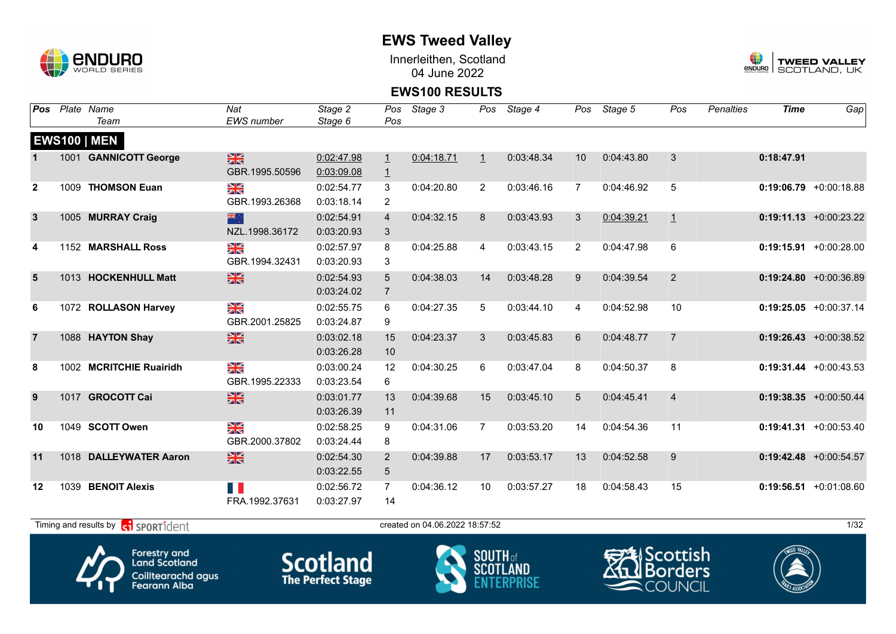

Innerleithen, Scotland 04 June 2022



### **EWS100 RESULTS**

| Pos            |      | Plate Name                                        | Nat               | Stage 2    | Pos             | Stage 3                        | Pos     | Stage 4    | Pos            | Stage 5    | Pos            | <b>Penalties</b> | <b>Time</b> | Gap                       |
|----------------|------|---------------------------------------------------|-------------------|------------|-----------------|--------------------------------|---------|------------|----------------|------------|----------------|------------------|-------------|---------------------------|
|                |      | Team                                              | <b>EWS</b> number | Stage 6    | Pos             |                                |         |            |                |            |                |                  |             |                           |
|                |      | <b>EWS100   MEN</b>                               |                   |            |                 |                                |         |            |                |            |                |                  |             |                           |
|                |      | 1001 GANNICOTT George                             | $\frac{28}{28}$   | 0:02:47.98 | $\perp$         | 0:04:18.71                     | $\perp$ | 0:03:48.34 | 10             | 0:04:43.80 | 3              |                  | 0:18:47.91  |                           |
|                |      |                                                   | GBR.1995.50596    | 0:03:09.08 | $\overline{1}$  |                                |         |            |                |            |                |                  |             |                           |
| $\mathbf{2}$   | 1009 | <b>THOMSON Euan</b>                               | ≫<br>X            | 0:02:54.77 | 3               | 0:04:20.80                     | 2       | 0:03:46.16 | $\overline{7}$ | 0:04:46.92 | 5              |                  |             | $0:19:06.79 + 0:00:18.88$ |
|                |      |                                                   | GBR.1993.26368    | 0:03:18.14 | 2               |                                |         |            |                |            |                |                  |             |                           |
| $\mathbf{3}$   |      | 1005 MURRAY Craig                                 | 米宁                | 0:02:54.91 | $\overline{4}$  | 0:04:32.15                     | 8       | 0:03:43.93 | 3              | 0:04:39.21 | $\overline{1}$ |                  |             | $0:19:11.13 + 0:00:23.22$ |
|                |      |                                                   | NZL.1998.36172    | 0:03:20.93 | 3               |                                |         |            |                |            |                |                  |             |                           |
| 4              |      | 1152 MARSHALL Ross                                | ¥≼                | 0:02:57.97 | 8               | 0:04:25.88                     | 4       | 0:03:43.15 | $\overline{2}$ | 0:04:47.98 | $\,6\,$        |                  |             | $0:19:15.91 + 0:00:28.00$ |
|                |      |                                                   | GBR.1994.32431    | 0:03:20.93 | 3               |                                |         |            |                |            |                |                  |             |                           |
| $5\phantom{1}$ |      | 1013 HOCKENHULL Matt                              | $\frac{N}{N}$     | 0:02:54.93 | 5               | 0:04:38.03                     | 14      | 0:03:48.28 | 9              | 0:04:39.54 | 2              |                  |             | $0:19:24.80 + 0:00:36.89$ |
|                |      |                                                   |                   | 0:03:24.02 | $\overline{7}$  |                                |         |            |                |            |                |                  |             |                           |
| 6              |      | 1072 ROLLASON Harvey                              | $\frac{N}{N}$     | 0:02:55.75 | 6               | 0:04:27.35                     | 5       | 0:03:44.10 | 4              | 0:04:52.98 | 10             |                  |             | $0:19:25.05$ +0:00:37.14  |
|                |      |                                                   | GBR.2001.25825    | 0:03:24.87 | 9               |                                |         |            |                |            |                |                  |             |                           |
| $\overline{7}$ |      | 1088 HAYTON Shay                                  | $\frac{28}{28}$   | 0:03:02.18 | 15              | 0:04:23.37                     | 3       | 0:03:45.83 | 6              | 0:04:48.77 | $\overline{7}$ |                  |             | $0:19:26.43 + 0:00:38.52$ |
|                |      |                                                   |                   | 0:03:26.28 | 10              |                                |         |            |                |            |                |                  |             |                           |
| 8              |      | 1002 MCRITCHIE Ruairidh                           | N<br>X            | 0:03:00.24 | 12              | 0:04:30.25                     | 6       | 0:03:47.04 | 8              | 0:04:50.37 | 8              |                  |             | $0:19:31.44 + 0:00:43.53$ |
|                |      |                                                   | GBR.1995.22333    | 0:03:23.54 | 6               |                                |         |            |                |            |                |                  |             |                           |
| 9              |      | 1017 GROCOTT Cai                                  | $\frac{N}{N}$     | 0:03:01.77 | 13              | 0:04:39.68                     | 15      | 0:03:45.10 | 5              | 0:04:45.41 | $\overline{4}$ |                  |             | $0:19:38.35 + 0:00:50.44$ |
|                |      |                                                   |                   | 0:03:26.39 | 11              |                                |         |            |                |            |                |                  |             |                           |
| 10             |      | 1049 SCOTT Owen                                   | N<br>X            | 0:02:58.25 | 9               | 0:04:31.06                     | 7       | 0:03:53.20 | 14             | 0:04:54.36 | 11             |                  |             | $0:19:41.31 + 0:00:53.40$ |
|                |      |                                                   | GBR.2000.37802    | 0:03:24.44 | 8               |                                |         |            |                |            |                |                  |             |                           |
| 11             |      | 1018 DALLEYWATER Aaron                            | $\frac{N}{N}$     | 0:02:54.30 | 2               | 0:04:39.88                     | 17      | 0:03:53.17 | 13             | 0:04:52.58 | 9              |                  |             | $0:19:42.48$ +0:00:54.57  |
|                |      |                                                   |                   | 0:03:22.55 | $5\phantom{.0}$ |                                |         |            |                |            |                |                  |             |                           |
| 12             |      | 1039 BENOIT Alexis                                | H                 | 0:02:56.72 | $\overline{7}$  | 0:04:36.12                     | 10      | 0:03:57.27 | 18             | 0:04:58.43 | 15             |                  |             | $0:19:56.51$ +0:01:08.60  |
|                |      |                                                   | FRA.1992.37631    | 0:03:27.97 | 14              |                                |         |            |                |            |                |                  |             |                           |
|                |      | Timing and results by <b>contract</b> sport ident |                   |            |                 | created on 04.06.2022 18:57:52 |         |            |                |            |                |                  |             | 1/32                      |
|                |      |                                                   |                   |            |                 |                                |         |            |                |            |                |                  |             |                           |







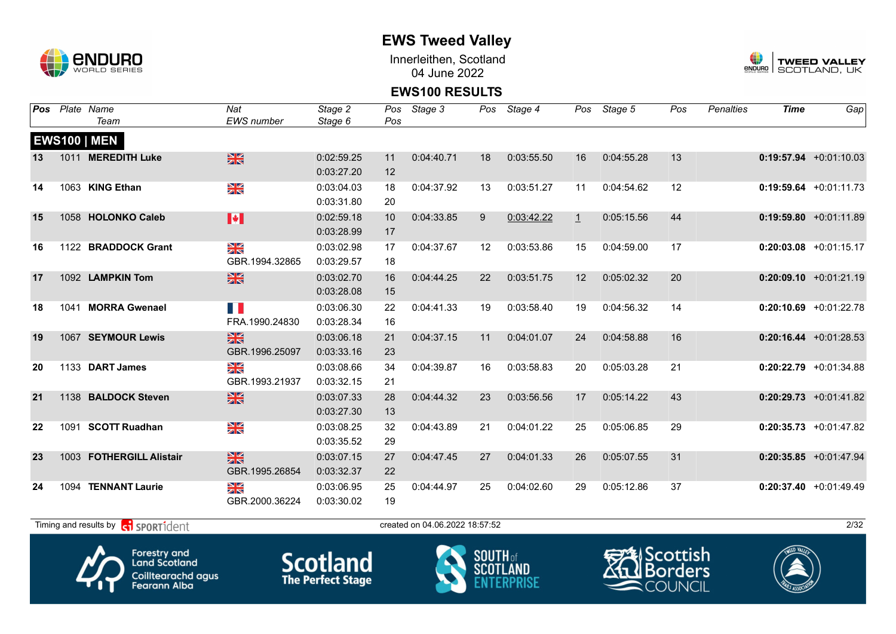

Innerleithen, Scotland 04 June 2022



#### **EWS100 RESULTS**

| Pos |      | Plate Name               | Nat                             | Stage 2    | Pos | Stage 3    |    | Pos Stage 4 |              | Pos Stage 5 | Pos | <b>Penalties</b> | <b>Time</b> | Gap                       |
|-----|------|--------------------------|---------------------------------|------------|-----|------------|----|-------------|--------------|-------------|-----|------------------|-------------|---------------------------|
|     |      | Team                     | <b>EWS</b> number               | Stage 6    | Pos |            |    |             |              |             |     |                  |             |                           |
|     |      | <b>EWS100   MEN</b>      |                                 |            |     |            |    |             |              |             |     |                  |             |                           |
| 13  |      | 1011 MEREDITH Luke       | $\frac{N}{N}$                   | 0:02:59.25 | 11  | 0:04:40.71 | 18 | 0:03:55.50  | 16           | 0:04:55.28  | 13  |                  |             | $0:19:57.94 +0:01:10.03$  |
|     |      |                          |                                 | 0:03:27.20 | 12  |            |    |             |              |             |     |                  |             |                           |
| 14  |      | 1063 KING Ethan          | XK                              | 0:03:04.03 | 18  | 0:04:37.92 | 13 | 0:03:51.27  | 11           | 0:04:54.62  | 12  |                  |             | $0:19:59.64$ +0:01:11.73  |
|     |      |                          |                                 | 0:03:31.80 | 20  |            |    |             |              |             |     |                  |             |                           |
| 15  |      | 1058 HOLONKO Caleb       | $\blacktriangleright$           | 0:02:59.18 | 10  | 0:04:33.85 | 9  | 0:03:42.22  | $\mathbf{1}$ | 0:05:15.56  | 44  |                  |             | $0:19:59.80 + 0:01:11.89$ |
|     |      |                          |                                 | 0:03:28.99 | 17  |            |    |             |              |             |     |                  |             |                           |
| 16  |      | 1122 BRADDOCK Grant      | $\frac{\mathbf{N}}{\mathbf{N}}$ | 0:03:02.98 | 17  | 0:04:37.67 | 12 | 0:03:53.86  | 15           | 0:04:59.00  | 17  |                  |             | $0:20:03.08$ +0:01:15.17  |
|     |      |                          | GBR.1994.32865                  | 0:03:29.57 | 18  |            |    |             |              |             |     |                  |             |                           |
| 17  |      | 1092 LAMPKIN Tom         | $\frac{N}{N}$                   | 0:03:02.70 | 16  | 0:04:44.25 | 22 | 0:03:51.75  | 12           | 0:05:02.32  | 20  |                  |             | $0:20:09.10 + 0:01:21.19$ |
|     |      |                          |                                 | 0:03:28.08 | 15  |            |    |             |              |             |     |                  |             |                           |
| 18  |      | 1041 MORRA Gwenael       | T.                              | 0:03:06.30 | 22  | 0:04:41.33 | 19 | 0:03:58.40  | 19           | 0:04:56.32  | 14  |                  |             | $0:20:10.69$ +0:01:22.78  |
|     |      |                          | FRA.1990.24830                  | 0:03:28.34 | 16  |            |    |             |              |             |     |                  |             |                           |
| 19  |      | 1067 SEYMOUR Lewis       | $\frac{N}{N}$                   | 0:03:06.18 | 21  | 0:04:37.15 | 11 | 0:04:01.07  | 24           | 0:04:58.88  | 16  |                  |             | $0:20:16.44 + 0:01:28.53$ |
|     |      |                          | GBR.1996.25097                  | 0:03:33.16 | 23  |            |    |             |              |             |     |                  |             |                           |
| 20  |      | 1133 DART James          | $\frac{N}{N}$                   | 0:03:08.66 | 34  | 0:04:39.87 | 16 | 0:03:58.83  | 20           | 0:05:03.28  | 21  |                  |             | $0:20:22.79$ +0:01:34.88  |
|     |      |                          | GBR.1993.21937                  | 0:03:32.15 | 21  |            |    |             |              |             |     |                  |             |                           |
| 21  |      | 1138 BALDOCK Steven      | $\frac{N}{N}$                   | 0:03:07.33 | 28  | 0:04:44.32 | 23 | 0:03:56.56  | 17           | 0:05:14.22  | 43  |                  |             | $0:20:29.73$ +0:01:41.82  |
|     |      |                          |                                 | 0:03:27.30 | 13  |            |    |             |              |             |     |                  |             |                           |
| 22  | 1091 | <b>SCOTT Ruadhan</b>     | $\frac{N}{N}$                   | 0:03:08.25 | 32  | 0:04:43.89 | 21 | 0:04:01.22  | 25           | 0:05:06.85  | 29  |                  |             | $0:20:35.73$ +0:01:47.82  |
|     |      |                          |                                 | 0:03:35.52 | 29  |            |    |             |              |             |     |                  |             |                           |
| 23  |      | 1003 FOTHERGILL Alistair | $\frac{N}{N}$                   | 0:03:07.15 | 27  | 0:04:47.45 | 27 | 0:04:01.33  | 26           | 0:05:07.55  | 31  |                  |             | $0:20:35.85$ +0:01:47.94  |
|     |      |                          | GBR.1995.26854                  | 0:03:32.37 | 22  |            |    |             |              |             |     |                  |             |                           |
| 24  | 1094 | <b>TENNANT Laurie</b>    | XK                              | 0:03:06.95 | 25  | 0:04:44.97 | 25 | 0:04:02.60  | 29           | 0:05:12.86  | 37  |                  |             | $0:20:37.40 +0:01:49.49$  |
|     |      |                          | GBR.2000.36224                  | 0:03:30.02 | 19  |            |    |             |              |             |     |                  |             |                           |
|     |      |                          |                                 |            |     |            |    |             |              |             |     |                  |             |                           |

 $T$ iming and results by  $\overline{c_1}$  SPORT1 $\overline{1}$  dentity and the created on 04.06.2022 18:57:52









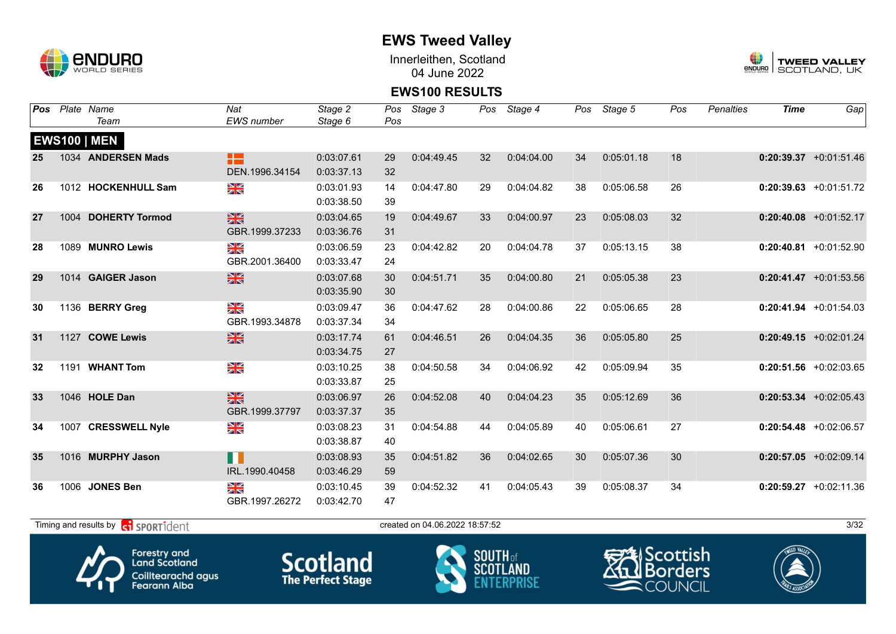

Innerleithen, Scotland 04 June 2022



#### **EWS100 RESULTS**

| Pos | Plate Name          | Nat               | Stage 2    | Pos | Stage 3    |    | Pos Stage 4 |    | Pos Stage 5 | Pos | Penalties | <b>Time</b> | Gap                      |
|-----|---------------------|-------------------|------------|-----|------------|----|-------------|----|-------------|-----|-----------|-------------|--------------------------|
|     | Team                | <b>EWS</b> number | Stage 6    | Pos |            |    |             |    |             |     |           |             |                          |
|     | <b>EWS100   MEN</b> |                   |            |     |            |    |             |    |             |     |           |             |                          |
| 25  | 1034 ANDERSEN Mads  | æ                 | 0:03:07.61 | 29  | 0:04:49.45 | 32 | 0:04:04.00  | 34 | 0:05:01.18  | 18  |           |             | $0:20:39.37$ +0:01:51.46 |
|     |                     | DEN.1996.34154    | 0:03:37.13 | 32  |            |    |             |    |             |     |           |             |                          |
| 26  | 1012 HOCKENHULL Sam | XK                | 0:03:01.93 | 14  | 0:04:47.80 | 29 | 0:04:04.82  | 38 | 0:05:06.58  | 26  |           |             | $0:20:39.63$ +0:01:51.72 |
|     |                     |                   | 0:03:38.50 | 39  |            |    |             |    |             |     |           |             |                          |
| 27  | 1004 DOHERTY Tormod | $\frac{N}{N}$     | 0:03:04.65 | 19  | 0:04:49.67 | 33 | 0:04:00.97  | 23 | 0:05:08.03  | 32  |           |             | $0:20:40.08$ +0:01:52.17 |
|     |                     | GBR.1999.37233    | 0:03:36.76 | 31  |            |    |             |    |             |     |           |             |                          |
| 28  | 1089 MUNRO Lewis    | ≥k                | 0:03:06.59 | 23  | 0:04:42.82 | 20 | 0:04:04.78  | 37 | 0:05:13.15  | 38  |           |             | $0:20:40.81$ +0:01:52.90 |
|     |                     | GBR.2001.36400    | 0:03:33.47 | 24  |            |    |             |    |             |     |           |             |                          |
| 29  | 1014 GAIGER Jason   | $\frac{N}{N}$     | 0:03:07.68 | 30  | 0:04:51.71 | 35 | 0:04:00.80  | 21 | 0:05:05.38  | 23  |           |             | $0:20:41.47$ +0:01:53.56 |
|     |                     |                   | 0:03:35.90 | 30  |            |    |             |    |             |     |           |             |                          |
| 30  | 1136 BERRY Greg     | XK                | 0:03:09.47 | 36  | 0:04:47.62 | 28 | 0:04:00.86  | 22 | 0:05:06.65  | 28  |           |             | $0:20:41.94$ +0:01:54.03 |
|     |                     | GBR.1993.34878    | 0:03:37.34 | 34  |            |    |             |    |             |     |           |             |                          |
| 31  | 1127 COWE Lewis     | $\frac{N}{N}$     | 0:03:17.74 | 61  | 0:04:46.51 | 26 | 0:04:04.35  | 36 | 0:05:05.80  | 25  |           |             | $0:20:49.15$ +0:02:01.24 |
|     |                     |                   | 0:03:34.75 | 27  |            |    |             |    |             |     |           |             |                          |
| 32  | 1191 WHANT Tom      | N<br>X            | 0:03:10.25 | 38  | 0:04:50.58 | 34 | 0:04:06.92  | 42 | 0:05:09.94  | 35  |           |             | $0:20:51.56$ +0:02:03.65 |
|     |                     |                   | 0:03:33.87 | 25  |            |    |             |    |             |     |           |             |                          |
| 33  | 1046 HOLE Dan       | $\frac{N}{N}$     | 0:03:06.97 | 26  | 0:04:52.08 | 40 | 0:04:04.23  | 35 | 0:05:12.69  | 36  |           |             | $0:20:53.34 +0:02:05.43$ |
|     |                     | GBR.1999.37797    | 0:03:37.37 | 35  |            |    |             |    |             |     |           |             |                          |
| 34  | 1007 CRESSWELL Nyle | XK                | 0:03:08.23 | 31  | 0:04:54.88 | 44 | 0:04:05.89  | 40 | 0:05:06.61  | 27  |           |             | $0:20:54.48$ +0:02:06.57 |
|     |                     |                   | 0:03:38.87 | 40  |            |    |             |    |             |     |           |             |                          |
| 35  | 1016 MURPHY Jason   | m                 | 0:03:08.93 | 35  | 0:04:51.82 | 36 | 0:04:02.65  | 30 | 0:05:07.36  | 30  |           |             | $0:20:57.05$ +0:02:09.14 |
|     |                     | IRL.1990.40458    | 0:03:46.29 | 59  |            |    |             |    |             |     |           |             |                          |
| 36  | 1006 JONES Ben      | XK                | 0:03:10.45 | 39  | 0:04:52.32 | 41 | 0:04:05.43  | 39 | 0:05:08.37  | 34  |           |             | $0:20:59.27$ +0:02:11.36 |
|     |                     | GBR.1997.26272    | 0:03:42.70 | 47  |            |    |             |    |             |     |           |             |                          |
|     |                     |                   |            |     |            |    |             |    |             |     |           |             |                          |

 $T$ iming and results by  $\overline{c_1}$  SPORT1 $\overline{d}$  enter the created on 04.06.2022 18:57:52 3/32







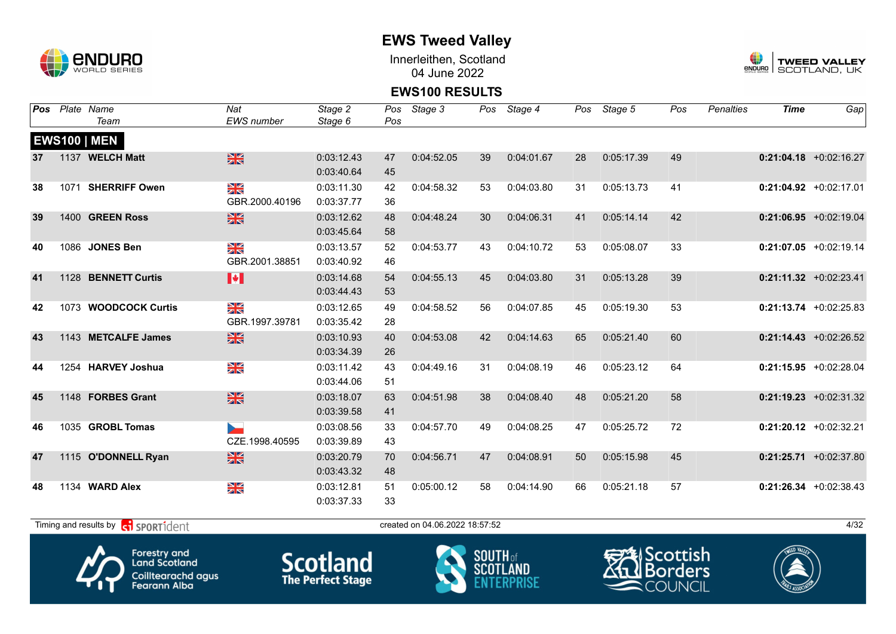

Innerleithen, Scotland 04 June 2022



#### **EWS100 RESULTS**

| Pos | Plate Name           | Nat                      | Stage 2    | Pos | Stage 3    |    | Pos Stage 4 | Pos | Stage 5    | Pos | <b>Penalties</b> | <b>Time</b> | Gap                       |
|-----|----------------------|--------------------------|------------|-----|------------|----|-------------|-----|------------|-----|------------------|-------------|---------------------------|
|     | Team                 | <b>EWS</b> number        | Stage 6    | Pos |            |    |             |     |            |     |                  |             |                           |
|     | <b>EWS100   MEN</b>  |                          |            |     |            |    |             |     |            |     |                  |             |                           |
| 37  | 1137 WELCH Matt      | $\frac{N}{N}$            | 0:03:12.43 | 47  | 0:04:52.05 | 39 | 0:04:01.67  | 28  | 0:05:17.39 | 49  |                  |             | $0:21:04.18$ +0:02:16.27  |
|     |                      |                          | 0:03:40.64 | 45  |            |    |             |     |            |     |                  |             |                           |
| 38  | 1071 SHERRIFF Owen   | N<br>X                   | 0:03:11.30 | 42  | 0:04:58.32 | 53 | 0:04:03.80  | 31  | 0:05:13.73 | 41  |                  |             | $0:21:04.92 +0:02:17.01$  |
|     |                      | GBR.2000.40196           | 0:03:37.77 | 36  |            |    |             |     |            |     |                  |             |                           |
| 39  | 1400 GREEN Ross      | $\frac{N}{N}$            | 0:03:12.62 | 48  | 0:04:48.24 | 30 | 0:04:06.31  | 41  | 0:05:14.14 | 42  |                  |             | $0:21:06.95$ +0:02:19.04  |
|     |                      |                          | 0:03:45.64 | 58  |            |    |             |     |            |     |                  |             |                           |
| 40  | 1086 JONES Ben       | N<br>X                   | 0:03:13.57 | 52  | 0:04:53.77 | 43 | 0:04:10.72  | 53  | 0:05:08.07 | 33  |                  |             | $0:21:07.05$ +0:02:19.14  |
|     |                      | GBR.2001.38851           | 0:03:40.92 | 46  |            |    |             |     |            |     |                  |             |                           |
| 41  | 1128 BENNETT Curtis  | M                        | 0:03:14.68 | 54  | 0:04:55.13 | 45 | 0:04:03.80  | 31  | 0:05:13.28 | 39  |                  |             | $0:21:11.32$ +0:02:23.41  |
|     |                      |                          | 0:03:44.43 | 53  |            |    |             |     |            |     |                  |             |                           |
| 42  | 1073 WOODCOCK Curtis | N<br>X                   | 0:03:12.65 | 49  | 0:04:58.52 | 56 | 0:04:07.85  | 45  | 0:05:19.30 | 53  |                  |             | $0:21:13.74$ +0:02:25.83  |
|     |                      | GBR.1997.39781           | 0:03:35.42 | 28  |            |    |             |     |            |     |                  |             |                           |
| 43  | 1143 METCALFE James  | $\frac{N}{N}$            | 0:03:10.93 | 40  | 0:04:53.08 | 42 | 0:04:14.63  | 65  | 0:05:21.40 | 60  |                  |             | $0:21:14.43$ +0:02:26.52  |
|     |                      |                          | 0:03:34.39 | 26  |            |    |             |     |            |     |                  |             |                           |
| 44  | 1254 HARVEY Joshua   | N<br>X                   | 0:03:11.42 | 43  | 0:04:49.16 | 31 | 0:04:08.19  | 46  | 0:05:23.12 | 64  |                  |             | $0:21:15.95 + 0:02:28.04$ |
|     |                      |                          | 0:03:44.06 | 51  |            |    |             |     |            |     |                  |             |                           |
| 45  | 1148 FORBES Grant    | $\frac{N}{N}$            | 0:03:18.07 | 63  | 0:04:51.98 | 38 | 0:04:08.40  | 48  | 0:05:21.20 | 58  |                  |             | $0:21:19.23 + 0:02:31.32$ |
|     |                      |                          | 0:03:39.58 | 41  |            |    |             |     |            |     |                  |             |                           |
| 46  | 1035 GROBL Tomas     | $\overline{\phantom{a}}$ | 0:03:08.56 | 33  | 0:04:57.70 | 49 | 0:04:08.25  | 47  | 0:05:25.72 | 72  |                  |             | $0:21:20.12$ +0:02:32.21  |
|     |                      | CZE.1998.40595           | 0:03:39.89 | 43  |            |    |             |     |            |     |                  |             |                           |
| 47  | 1115 O'DONNELL Ryan  | $\frac{N}{N}$            | 0:03:20.79 | 70  | 0:04:56.71 | 47 | 0:04:08.91  | 50  | 0:05:15.98 | 45  |                  |             | $0:21:25.71$ +0:02:37.80  |
|     |                      |                          | 0:03:43.32 | 48  |            |    |             |     |            |     |                  |             |                           |
| 48  | 1134 WARD Alex       | N<br>X                   | 0:03:12.81 | 51  | 0:05:00.12 | 58 | 0:04:14.90  | 66  | 0:05:21.18 | 57  |                  |             | $0:21:26.34 +0:02:38.43$  |
|     |                      |                          | 0:03:37.33 | 33  |            |    |             |     |            |     |                  |             |                           |

 $T$ iming and results by  $\overline{c_1}$  SPORT1 $d$ ent and the created on 04.06.2022 18:57:52







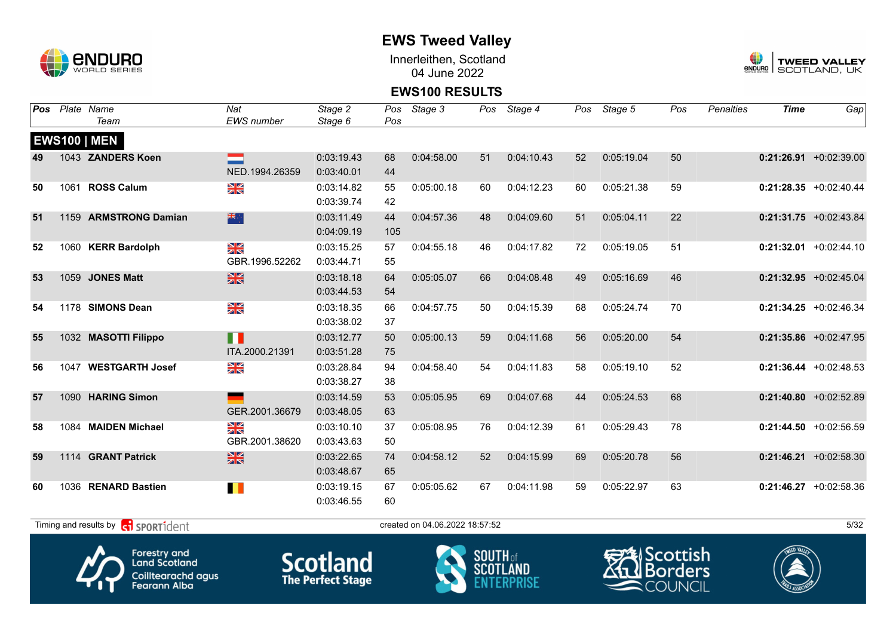

Innerleithen, Scotland 04 June 2022



#### **EWS100 RESULTS**

| Pos | Plate Name                                                  | Nat                             | Stage 2    | Pos | Stage 3                        |    | Pos Stage 4 | Pos | Stage 5    | Pos | Penalties | <b>Time</b> | Gap                       |
|-----|-------------------------------------------------------------|---------------------------------|------------|-----|--------------------------------|----|-------------|-----|------------|-----|-----------|-------------|---------------------------|
|     | Team                                                        | <b>EWS</b> number               | Stage 6    | Pos |                                |    |             |     |            |     |           |             |                           |
|     | <b>EWS100   MEN</b>                                         |                                 |            |     |                                |    |             |     |            |     |           |             |                           |
| 49  | 1043 ZANDERS Koen                                           |                                 | 0:03:19.43 | 68  | 0:04:58.00                     | 51 | 0:04:10.43  | 52  | 0:05:19.04 | 50  |           |             | $0:21:26.91 + 0:02:39.00$ |
|     |                                                             | NED.1994.26359                  | 0:03:40.01 | 44  |                                |    |             |     |            |     |           |             |                           |
| 50  | 1061 ROSS Calum                                             | $\frac{\mathbf{N}}{\mathbf{N}}$ | 0:03:14.82 | 55  | 0:05:00.18                     | 60 | 0:04:12.23  | 60  | 0:05:21.38 | 59  |           |             | $0:21:28.35$ +0:02:40.44  |
|     |                                                             |                                 | 0:03:39.74 | 42  |                                |    |             |     |            |     |           |             |                           |
| 51  | 1159 ARMSTRONG Damian                                       | 深心                              | 0:03:11.49 | 44  | 0:04:57.36                     | 48 | 0:04:09.60  | 51  | 0:05:04.11 | 22  |           |             | $0:21:31.75$ +0:02:43.84  |
|     |                                                             |                                 | 0:04:09.19 | 105 |                                |    |             |     |            |     |           |             |                           |
| 52  | 1060 KERR Bardolph                                          | XK<br>X                         | 0:03:15.25 | 57  | 0:04:55.18                     | 46 | 0:04:17.82  | 72  | 0:05:19.05 | 51  |           |             | $0:21:32.01$ +0:02:44.10  |
|     |                                                             | GBR.1996.52262                  | 0:03:44.71 | 55  |                                |    |             |     |            |     |           |             |                           |
| 53  | 1059 JONES Matt                                             | $\frac{N}{N}$                   | 0:03:18.18 | 64  | 0:05:05.07                     | 66 | 0:04:08.48  | 49  | 0:05:16.69 | 46  |           |             | $0:21:32.95$ +0:02:45.04  |
|     |                                                             |                                 | 0:03:44.53 | 54  |                                |    |             |     |            |     |           |             |                           |
| 54  | 1178 SIMONS Dean                                            | XK                              | 0:03:18.35 | 66  | 0:04:57.75                     | 50 | 0:04:15.39  | 68  | 0:05:24.74 | 70  |           |             | $0:21:34.25$ +0:02:46.34  |
|     |                                                             |                                 | 0:03:38.02 | 37  |                                |    |             |     |            |     |           |             |                           |
| 55  | 1032 MASOTTI Filippo                                        | ╻╻                              | 0:03:12.77 | 50  | 0:05:00.13                     | 59 | 0:04:11.68  | 56  | 0:05:20.00 | 54  |           |             | $0:21:35.86$ +0:02:47.95  |
|     |                                                             | ITA.2000.21391                  | 0:03:51.28 | 75  |                                |    |             |     |            |     |           |             |                           |
| 56  | 1047 WESTGARTH Josef                                        | N<br>ZK                         | 0:03:28.84 | 94  | 0:04:58.40                     | 54 | 0:04:11.83  | 58  | 0:05:19.10 | 52  |           |             | $0:21:36.44 +0:02:48.53$  |
|     |                                                             |                                 | 0:03:38.27 | 38  |                                |    |             |     |            |     |           |             |                           |
| 57  | 1090 HARING Simon                                           |                                 | 0:03:14.59 | 53  | 0:05:05.95                     | 69 | 0:04:07.68  | 44  | 0:05:24.53 | 68  |           |             | $0:21:40.80$ +0:02:52.89  |
|     |                                                             | GER.2001.36679                  | 0:03:48.05 | 63  |                                |    |             |     |            |     |           |             |                           |
| 58  | 1084 MAIDEN Michael                                         | $\frac{N}{N}$                   | 0:03:10.10 | 37  | 0:05:08.95                     | 76 | 0:04:12.39  | 61  | 0:05:29.43 | 78  |           |             | $0:21:44.50$ +0:02:56.59  |
|     |                                                             | GBR.2001.38620                  | 0:03:43.63 | 50  |                                |    |             |     |            |     |           |             |                           |
| 59  | 1114 GRANT Patrick                                          | $\frac{N}{N}$                   | 0:03:22.65 | 74  | 0:04:58.12                     | 52 | 0:04:15.99  | 69  | 0:05:20.78 | 56  |           |             | $0:21:46.21 + 0:02:58.30$ |
|     |                                                             |                                 | 0:03:48.67 | 65  |                                |    |             |     |            |     |           |             |                           |
| 60  | 1036 RENARD Bastien                                         | H.                              | 0:03:19.15 | 67  | 0:05:05.62                     | 67 | 0:04:11.98  | 59  | 0:05:22.97 | 63  |           |             | $0:21:46.27$ +0:02:58.36  |
|     |                                                             |                                 | 0:03:46.55 | 60  |                                |    |             |     |            |     |           |             |                           |
|     | Timing and results by <b>container that the SPORT1</b> dent |                                 |            |     | created on 04.06.2022 18:57:52 |    |             |     |            |     |           |             | 5/32                      |







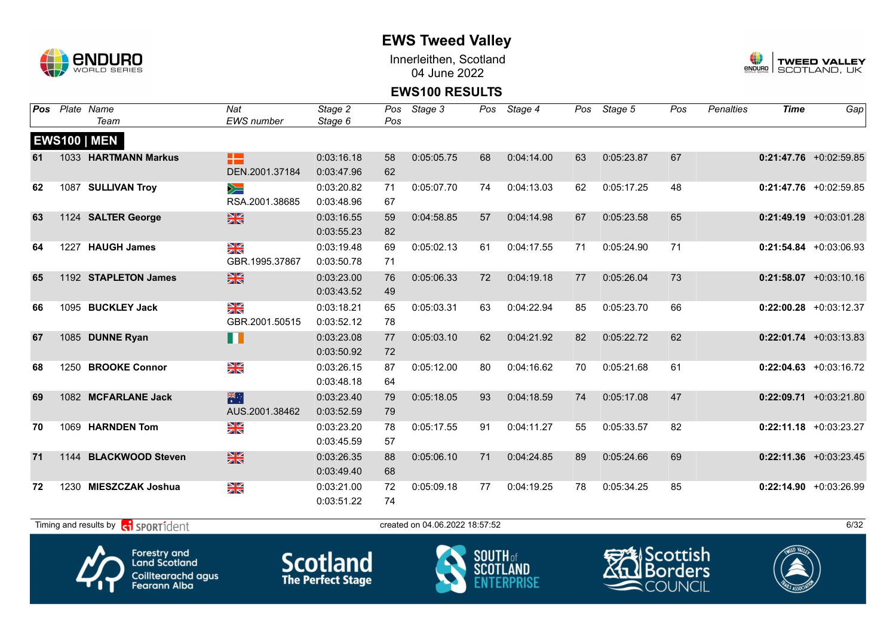

Innerleithen, Scotland 04 June 2022



#### **EWS100 RESULTS**

| Pos |      | Plate Name            | Nat               | Stage 2    | Pos | Stage 3    |    | Pos Stage 4 |    | Pos Stage 5 | Pos | Penalties | <b>Time</b> | Gap                       |
|-----|------|-----------------------|-------------------|------------|-----|------------|----|-------------|----|-------------|-----|-----------|-------------|---------------------------|
|     |      | Team                  | <b>EWS</b> number | Stage 6    | Pos |            |    |             |    |             |     |           |             |                           |
|     |      | <b>EWS100   MEN</b>   |                   |            |     |            |    |             |    |             |     |           |             |                           |
| 61  |      | 1033 HARTMANN Markus  | æ                 | 0:03:16.18 | 58  | 0:05:05.75 | 68 | 0:04:14.00  | 63 | 0:05:23.87  | 67  |           |             | $0:21:47.76$ +0:02:59.85  |
|     |      |                       | DEN.2001.37184    | 0:03:47.96 | 62  |            |    |             |    |             |     |           |             |                           |
| 62  |      | 1087 SULLIVAN Troy    | $\geqslant$       | 0:03:20.82 | 71  | 0:05:07.70 | 74 | 0:04:13.03  | 62 | 0:05:17.25  | 48  |           |             | $0:21:47.76$ +0:02:59.85  |
|     |      |                       | RSA.2001.38685    | 0:03:48.96 | 67  |            |    |             |    |             |     |           |             |                           |
| 63  |      | 1124 SALTER George    | $\frac{N}{N}$     | 0:03:16.55 | 59  | 0:04:58.85 | 57 | 0:04:14.98  | 67 | 0:05:23.58  | 65  |           |             | $0:21:49.19$ +0:03:01.28  |
|     |      |                       |                   | 0:03:55.23 | 82  |            |    |             |    |             |     |           |             |                           |
| 64  | 1227 | <b>HAUGH James</b>    | XK<br>ZK          | 0:03:19.48 | 69  | 0:05:02.13 | 61 | 0:04:17.55  | 71 | 0:05:24.90  | 71  |           |             | $0:21:54.84 + 0:03:06.93$ |
|     |      |                       | GBR.1995.37867    | 0:03:50.78 | 71  |            |    |             |    |             |     |           |             |                           |
| 65  |      | 1192 STAPLETON James  | $\frac{N}{N}$     | 0:03:23.00 | 76  | 0:05:06.33 | 72 | 0:04:19.18  | 77 | 0:05:26.04  | 73  |           |             | $0:21:58.07$ +0:03:10.16  |
|     |      |                       |                   | 0:03:43.52 | 49  |            |    |             |    |             |     |           |             |                           |
| 66  |      | 1095 BUCKLEY Jack     | $\frac{N}{N}$     | 0:03:18.21 | 65  | 0:05:03.31 | 63 | 0:04:22.94  | 85 | 0:05:23.70  | 66  |           |             | $0:22:00.28$ +0:03:12.37  |
|     |      |                       | GBR.2001.50515    | 0:03:52.12 | 78  |            |    |             |    |             |     |           |             |                           |
| 67  |      | 1085 DUNNE Ryan       | Ш                 | 0:03:23.08 | 77  | 0:05:03.10 | 62 | 0:04:21.92  | 82 | 0:05:22.72  | 62  |           |             | $0:22:01.74$ +0:03:13.83  |
|     |      |                       |                   | 0:03:50.92 | 72  |            |    |             |    |             |     |           |             |                           |
| 68  | 1250 | <b>BROOKE Connor</b>  | N<br>ZK           | 0:03:26.15 | 87  | 0:05:12.00 | 80 | 0:04:16.62  | 70 | 0:05:21.68  | 61  |           |             | $0:22:04.63$ +0:03:16.72  |
|     |      |                       |                   | 0:03:48.18 | 64  |            |    |             |    |             |     |           |             |                           |
| 69  |      | 1082 MCFARLANE Jack   | 米                 | 0:03:23.40 | 79  | 0:05:18.05 | 93 | 0:04:18.59  | 74 | 0:05:17.08  | 47  |           |             | $0:22:09.71$ +0:03:21.80  |
|     |      |                       | AUS.2001.38462    | 0:03:52.59 | 79  |            |    |             |    |             |     |           |             |                           |
| 70  |      | 1069 HARNDEN Tom      | $\frac{N}{N}$     | 0:03:23.20 | 78  | 0:05:17.55 | 91 | 0:04:11.27  | 55 | 0:05:33.57  | 82  |           |             | $0:22:11.18$ +0:03:23.27  |
|     |      |                       |                   | 0:03:45.59 | 57  |            |    |             |    |             |     |           |             |                           |
| 71  |      | 1144 BLACKWOOD Steven | $\frac{N}{N}$     | 0:03:26.35 | 88  | 0:05:06.10 | 71 | 0:04:24.85  | 89 | 0:05:24.66  | 69  |           |             | $0:22:11.36$ +0:03:23.45  |
|     |      |                       |                   | 0:03:49.40 | 68  |            |    |             |    |             |     |           |             |                           |
| 72  |      | 1230 MIESZCZAK Joshua | $\frac{N}{N}$     | 0:03:21.00 | 72  | 0:05:09.18 | 77 | 0:04:19.25  | 78 | 0:05:34.25  | 85  |           |             | $0:22:14.90 +0:03:26.99$  |
|     |      |                       |                   | 0:03:51.22 | 74  |            |    |             |    |             |     |           |             |                           |
|     |      |                       |                   |            |     |            |    |             |    |             |     |           |             |                           |

 $T$ iming and results by  $\overline{c_1}$  SPORT1 $\overline{d}$  enter the created on 04.06.2022 18:57:52 6/32







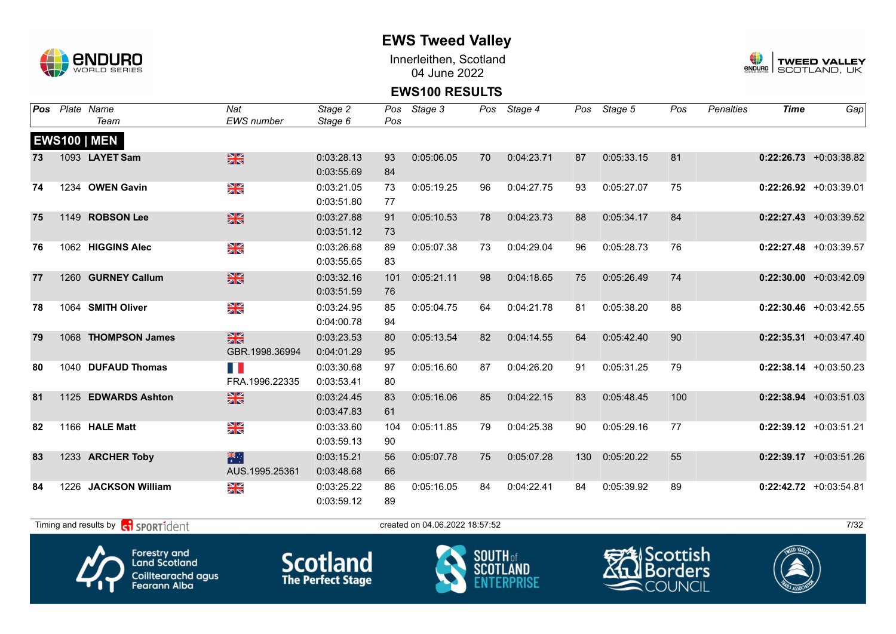

Innerleithen, Scotland 04 June 2022



#### **EWS100 RESULTS**

| Pos |      | Plate Name             | Nat               | Stage 2    | Pos | Stage 3    |    | Pos Stage 4 |     | Pos Stage 5 | Pos | <b>Penalties</b> | <b>Time</b> | Gap                       |
|-----|------|------------------------|-------------------|------------|-----|------------|----|-------------|-----|-------------|-----|------------------|-------------|---------------------------|
|     |      | Team                   | <b>EWS</b> number | Stage 6    | Pos |            |    |             |     |             |     |                  |             |                           |
|     |      | <b>EWS100   MEN</b>    |                   |            |     |            |    |             |     |             |     |                  |             |                           |
| 73  |      | 1093 LAYET Sam         | $\frac{N}{N}$     | 0:03:28.13 | 93  | 0:05:06.05 | 70 | 0:04:23.71  | 87  | 0:05:33.15  | 81  |                  |             | $0:22:26.73$ +0:03:38.82  |
|     |      |                        |                   | 0:03:55.69 | 84  |            |    |             |     |             |     |                  |             |                           |
| 74  |      | 1234 OWEN Gavin        | XK                | 0:03:21.05 | 73  | 0:05:19.25 | 96 | 0:04:27.75  | 93  | 0:05:27.07  | 75  |                  |             | $0:22:26.92$ +0:03:39.01  |
|     |      |                        |                   | 0:03:51.80 | 77  |            |    |             |     |             |     |                  |             |                           |
| 75  |      | 1149 ROBSON Lee        | $\frac{N}{N}$     | 0:03:27.88 | 91  | 0:05:10.53 | 78 | 0:04:23.73  | 88  | 0:05:34.17  | 84  |                  |             | $0:22:27.43$ +0:03:39.52  |
|     |      |                        |                   | 0:03:51.12 | 73  |            |    |             |     |             |     |                  |             |                           |
| 76  |      | 1062 HIGGINS Alec      | $\frac{N}{N}$     | 0:03:26.68 | 89  | 0:05:07.38 | 73 | 0:04:29.04  | 96  | 0:05:28.73  | 76  |                  |             | $0:22:27.48$ +0:03:39.57  |
|     |      |                        |                   | 0:03:55.65 | 83  |            |    |             |     |             |     |                  |             |                           |
| 77  |      | 1260 GURNEY Callum     | $\frac{N}{N}$     | 0:03:32.16 | 101 | 0:05:21.11 | 98 | 0:04:18.65  | 75  | 0:05:26.49  | 74  |                  |             | $0:22:30.00$ +0:03:42.09  |
|     |      |                        |                   | 0:03:51.59 | 76  |            |    |             |     |             |     |                  |             |                           |
| 78  |      | 1064 SMITH Oliver      | NK<br>ZK          | 0:03:24.95 | 85  | 0:05:04.75 | 64 | 0:04:21.78  | 81  | 0:05:38.20  | 88  |                  |             | $0:22:30.46$ +0:03:42.55  |
|     |      |                        |                   | 0:04:00.78 | 94  |            |    |             |     |             |     |                  |             |                           |
| 79  |      | 1068 THOMPSON James    | $\frac{N}{N}$     | 0:03:23.53 | 80  | 0:05:13.54 | 82 | 0:04:14.55  | 64  | 0:05:42.40  | 90  |                  |             | $0:22:35.31 + 0:03:47.40$ |
|     |      |                        | GBR.1998.36994    | 0:04:01.29 | 95  |            |    |             |     |             |     |                  |             |                           |
| 80  |      | 1040 DUFAUD Thomas     | n e               | 0:03:30.68 | 97  | 0:05:16.60 | 87 | 0:04:26.20  | 91  | 0:05:31.25  | 79  |                  |             | $0:22:38.14$ +0:03:50.23  |
|     |      |                        | FRA.1996.22335    | 0:03:53.41 | 80  |            |    |             |     |             |     |                  |             |                           |
| 81  |      | 1125 EDWARDS Ashton    | $\frac{N}{N}$     | 0:03:24.45 | 83  | 0:05:16.06 | 85 | 0:04:22.15  | 83  | 0:05:48.45  | 100 |                  |             | $0:22:38.94$ +0:03:51.03  |
|     |      |                        |                   | 0:03:47.83 | 61  |            |    |             |     |             |     |                  |             |                           |
| 82  |      | 1166 HALE Matt         | XK                | 0:03:33.60 | 104 | 0:05:11.85 | 79 | 0:04:25.38  | 90  | 0:05:29.16  | 77  |                  |             | $0:22:39.12$ +0:03:51.21  |
|     |      |                        |                   | 0:03:59.13 | 90  |            |    |             |     |             |     |                  |             |                           |
| 83  |      | 1233 ARCHER Toby       | 米                 | 0:03:15.21 | 56  | 0:05:07.78 | 75 | 0:05:07.28  | 130 | 0:05:20.22  | 55  |                  |             | $0:22:39.17$ +0:03:51.26  |
|     |      |                        | AUS.1995.25361    | 0:03:48.68 | 66  |            |    |             |     |             |     |                  |             |                           |
| 84  | 1226 | <b>JACKSON William</b> | XK<br>X           | 0:03:25.22 | 86  | 0:05:16.05 | 84 | 0:04:22.41  | 84  | 0:05:39.92  | 89  |                  |             | $0:22:42.72$ +0:03:54.81  |
|     |      |                        |                   | 0:03:59.12 | 89  |            |    |             |     |             |     |                  |             |                           |

 $T$ iming and results by  $\overline{c_1}$  SPORT1 $\overline{1}$  dent to the created on 04.06.2022 18:57:52 7/32







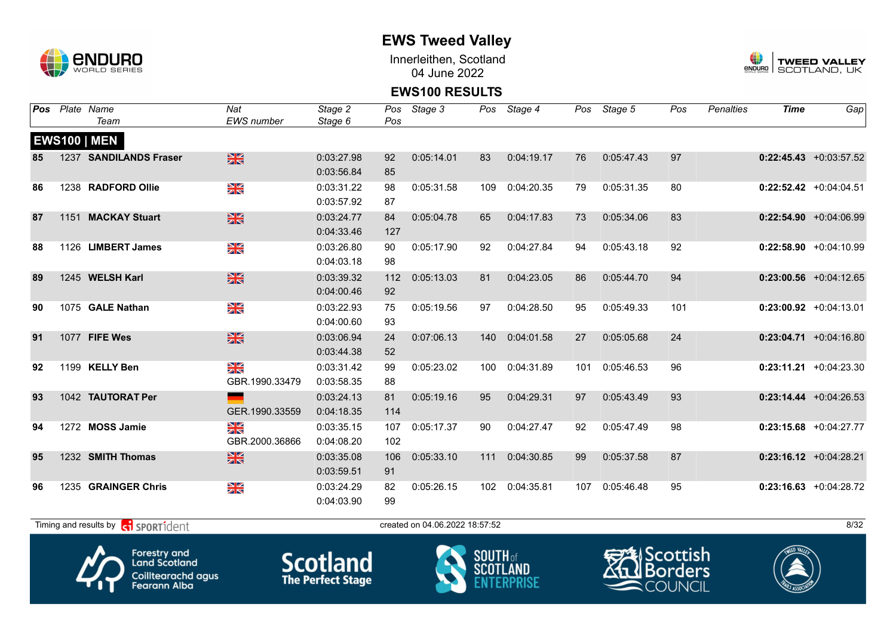

Innerleithen, Scotland 04 June 2022



#### **EWS100 RESULTS**

| Pos | Plate Name                                                  | Nat                     | Stage 2    | Pos | Stage 3                        |     | Pos Stage 4 |     | Pos Stage 5 | Pos | Penalties | <b>Time</b> | Gap                       |
|-----|-------------------------------------------------------------|-------------------------|------------|-----|--------------------------------|-----|-------------|-----|-------------|-----|-----------|-------------|---------------------------|
|     | Team                                                        | <b>EWS</b> number       | Stage 6    | Pos |                                |     |             |     |             |     |           |             |                           |
|     | <b>EWS100   MEN</b>                                         |                         |            |     |                                |     |             |     |             |     |           |             |                           |
| 85  | 1237 SANDILANDS Fraser                                      | $\frac{N}{N}$           | 0:03:27.98 | 92  | 0:05:14.01                     | 83  | 0:04:19.17  | 76  | 0:05:47.43  | 97  |           |             | $0:22:45.43$ +0:03:57.52  |
|     |                                                             |                         | 0:03:56.84 | 85  |                                |     |             |     |             |     |           |             |                           |
| 86  | 1238 RADFORD Ollie                                          | XK                      | 0:03:31.22 | 98  | 0:05:31.58                     | 109 | 0:04:20.35  | 79  | 0:05:31.35  | 80  |           |             | $0:22:52.42$ +0:04:04.51  |
|     |                                                             |                         | 0:03:57.92 | 87  |                                |     |             |     |             |     |           |             |                           |
| 87  | 1151 MACKAY Stuart                                          | $\frac{N}{N}$           | 0:03:24.77 | 84  | 0:05:04.78                     | 65  | 0:04:17.83  | 73  | 0:05:34.06  | 83  |           |             | $0:22:54.90 +0:04:06.99$  |
|     |                                                             |                         | 0:04:33.46 | 127 |                                |     |             |     |             |     |           |             |                           |
| 88  | 1126 LIMBERT James                                          | NK<br>ZK                | 0:03:26.80 | 90  | 0:05:17.90                     | 92  | 0:04:27.84  | 94  | 0:05:43.18  | 92  |           |             | $0:22:58.90 + 0:04:10.99$ |
|     |                                                             |                         | 0:04:03.18 | 98  |                                |     |             |     |             |     |           |             |                           |
| 89  | 1245 WELSH Karl                                             | $\frac{N}{N}$           | 0:03:39.32 | 112 | 0:05:13.03                     | 81  | 0:04:23.05  | 86  | 0:05:44.70  | 94  |           |             | $0:23:00.56$ +0:04:12.65  |
|     |                                                             |                         | 0:04:00.46 | 92  |                                |     |             |     |             |     |           |             |                           |
| 90  | 1075 GALE Nathan                                            | $\frac{\Delta}{\Delta}$ | 0:03:22.93 | 75  | 0:05:19.56                     | 97  | 0:04:28.50  | 95  | 0:05:49.33  | 101 |           |             | $0:23:00.92$ +0:04:13.01  |
|     |                                                             |                         | 0:04:00.60 | 93  |                                |     |             |     |             |     |           |             |                           |
| 91  | 1077 FIFE Wes                                               | $\frac{N}{N}$           | 0:03:06.94 | 24  | 0:07:06.13                     | 140 | 0:04:01.58  | 27  | 0:05:05.68  | 24  |           |             | $0:23:04.71$ +0:04:16.80  |
|     |                                                             |                         | 0:03:44.38 | 52  |                                |     |             |     |             |     |           |             |                           |
| 92  | 1199 KELLY Ben                                              | X                       | 0:03:31.42 | 99  | 0:05:23.02                     | 100 | 0:04:31.89  | 101 | 0:05:46.53  | 96  |           |             | $0:23:11.21 + 0:04:23.30$ |
|     |                                                             | GBR.1990.33479          | 0:03:58.35 | 88  |                                |     |             |     |             |     |           |             |                           |
| 93  | 1042 TAUTORAT Per                                           |                         | 0:03:24.13 | 81  | 0:05:19.16                     | 95  | 0:04:29.31  | 97  | 0:05:43.49  | 93  |           |             | $0:23:14.44 + 0:04:26.53$ |
|     |                                                             | GER.1990.33559          | 0:04:18.35 | 114 |                                |     |             |     |             |     |           |             |                           |
| 94  | 1272 MOSS Jamie                                             | NK<br>2K                | 0:03:35.15 | 107 | 0:05:17.37                     | 90  | 0:04:27.47  | 92  | 0:05:47.49  | 98  |           |             | $0:23:15.68$ +0:04:27.77  |
|     |                                                             | GBR.2000.36866          | 0:04:08.20 | 102 |                                |     |             |     |             |     |           |             |                           |
| 95  | 1232 SMITH Thomas                                           | $\frac{N}{N}$           | 0:03:35.08 | 106 | 0:05:33.10                     | 111 | 0:04:30.85  | 99  | 0:05:37.58  | 87  |           |             | $0:23:16.12$ +0:04:28.21  |
|     |                                                             |                         | 0:03:59.51 | 91  |                                |     |             |     |             |     |           |             |                           |
| 96  | 1235 GRAINGER Chris                                         | N<br>Xk                 | 0:03:24.29 | 82  | 0:05:26.15                     | 102 | 0:04:35.81  | 107 | 0:05:46.48  | 95  |           |             | $0:23:16.63 + 0:04:28.72$ |
|     |                                                             |                         | 0:04:03.90 | 99  |                                |     |             |     |             |     |           |             |                           |
|     | Timing and results by <b>container that the SPORT1</b> dent |                         |            |     | created on 04.06.2022 18:57:52 |     |             |     |             |     |           |             | 8/32                      |







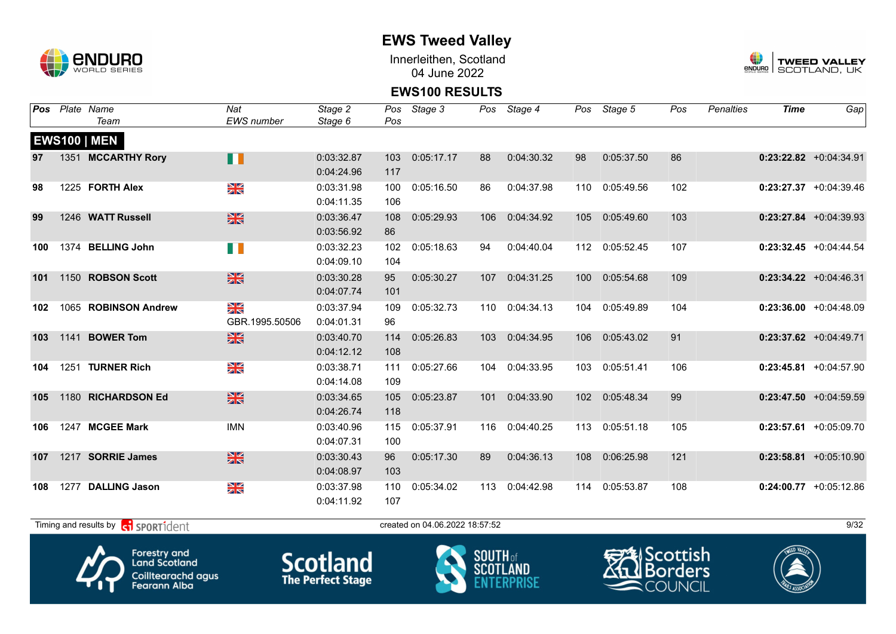

Innerleithen, Scotland 04 June 2022



#### **EWS100 RESULTS**

| Pos |      | Plate Name           | Nat               | Stage 2    | Pos | Stage 3    |     | Pos Stage 4 |     | Pos Stage 5 | Pos | <b>Penalties</b> | <b>Time</b> | Gap                       |
|-----|------|----------------------|-------------------|------------|-----|------------|-----|-------------|-----|-------------|-----|------------------|-------------|---------------------------|
|     |      | Team                 | <b>EWS</b> number | Stage 6    | Pos |            |     |             |     |             |     |                  |             |                           |
|     |      | <b>EWS100   MEN</b>  |                   |            |     |            |     |             |     |             |     |                  |             |                           |
| 97  |      | 1351 MCCARTHY Rory   | Ш                 | 0:03:32.87 | 103 | 0:05:17.17 | 88  | 0:04:30.32  | 98  | 0:05:37.50  | 86  |                  |             | $0:23:22.82$ +0:04:34.91  |
|     |      |                      |                   | 0:04:24.96 | 117 |            |     |             |     |             |     |                  |             |                           |
| 98  |      | 1225 FORTH Alex      | N<br>X            | 0:03:31.98 | 100 | 0:05:16.50 | 86  | 0:04:37.98  | 110 | 0:05:49.56  | 102 |                  |             | $0:23:27.37$ +0:04:39.46  |
|     |      |                      |                   | 0:04:11.35 | 106 |            |     |             |     |             |     |                  |             |                           |
| 99  |      | 1246 WATT Russell    | <b>SK</b>         | 0:03:36.47 | 108 | 0:05:29.93 | 106 | 0:04:34.92  | 105 | 0:05:49.60  | 103 |                  |             | $0:23:27.84$ +0:04:39.93  |
|     |      |                      |                   | 0:03:56.92 | 86  |            |     |             |     |             |     |                  |             |                           |
| 100 |      | 1374 BELLING John    | U D               | 0:03:32.23 | 102 | 0:05:18.63 | 94  | 0:04:40.04  | 112 | 0:05:52.45  | 107 |                  |             | $0:23:32.45$ +0:04:44.54  |
|     |      |                      |                   | 0:04:09.10 | 104 |            |     |             |     |             |     |                  |             |                           |
| 101 |      | 1150 ROBSON Scott    | $\frac{N}{N}$     | 0:03:30.28 | 95  | 0:05:30.27 | 107 | 0:04:31.25  | 100 | 0:05:54.68  | 109 |                  |             | $0:23:34.22$ +0:04:46.31  |
|     |      |                      |                   | 0:04:07.74 | 101 |            |     |             |     |             |     |                  |             |                           |
| 102 |      | 1065 ROBINSON Andrew | N<br>X            | 0:03:37.94 | 109 | 0:05:32.73 | 110 | 0:04:34.13  | 104 | 0:05:49.89  | 104 |                  |             | $0:23:36.00 +0:04:48.09$  |
|     |      |                      | GBR.1995.50506    | 0:04:01.31 | 96  |            |     |             |     |             |     |                  |             |                           |
| 103 |      | 1141 BOWER Tom       | <b>SK</b>         | 0:03:40.70 | 114 | 0:05:26.83 | 103 | 0:04:34.95  | 106 | 0:05:43.02  | 91  |                  |             | $0:23:37.62$ +0:04:49.71  |
|     |      |                      |                   | 0:04:12.12 | 108 |            |     |             |     |             |     |                  |             |                           |
| 104 |      | 1251 TURNER Rich     | N<br>X            | 0:03:38.71 | 111 | 0:05:27.66 | 104 | 0:04:33.95  | 103 | 0:05:51.41  | 106 |                  |             | $0:23:45.81 + 0:04:57.90$ |
|     |      |                      |                   | 0:04:14.08 | 109 |            |     |             |     |             |     |                  |             |                           |
| 105 |      | 1180 RICHARDSON Ed   | $\frac{N}{N}$     | 0:03:34.65 | 105 | 0:05:23.87 | 101 | 0:04:33.90  | 102 | 0:05:48.34  | 99  |                  |             | $0:23:47.50 + 0:04:59.59$ |
|     |      |                      |                   | 0:04:26.74 | 118 |            |     |             |     |             |     |                  |             |                           |
| 106 |      | 1247 MCGEE Mark      | <b>IMN</b>        | 0:03:40.96 | 115 | 0:05:37.91 | 116 | 0:04:40.25  | 113 | 0:05:51.18  | 105 |                  |             | $0:23:57.61$ +0:05:09.70  |
|     |      |                      |                   | 0:04:07.31 | 100 |            |     |             |     |             |     |                  |             |                           |
| 107 |      | 1217 SORRIE James    | $\frac{N}{N}$     | 0:03:30.43 | 96  | 0:05:17.30 | 89  | 0:04:36.13  | 108 | 0:06:25.98  | 121 |                  |             | $0:23:58.81 + 0:05:10.90$ |
|     |      |                      |                   | 0:04:08.97 | 103 |            |     |             |     |             |     |                  |             |                           |
| 108 | 1277 | <b>DALLING Jason</b> | XK                | 0:03:37.98 | 110 | 0:05:34.02 | 113 | 0:04:42.98  | 114 | 0:05:53.87  | 108 |                  |             | $0:24:00.77$ +0:05:12.86  |
|     |      |                      |                   | 0:04:11.92 | 107 |            |     |             |     |             |     |                  |             |                           |
|     |      |                      |                   |            |     |            |     |             |     |             |     |                  |             |                           |

 $T$ iming and results by  $\overline{c_1}$  SPORT1 $\overline{1}$  dentity and the created on 04.06.2022 18:57:52







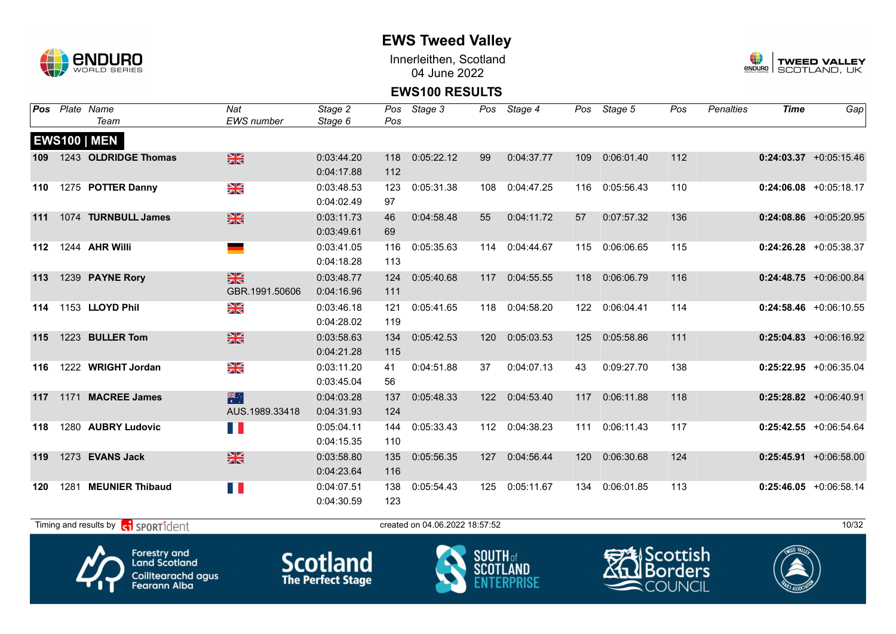

Innerleithen, Scotland 04 June 2022



### **EWS100 RESULTS**

| Pos |      | Plate Name<br>Team                                | Nat<br><b>EWS</b> number        | Stage 2<br>Stage 6                                | Pos<br>Pos | Stage 3                        |                     | Pos Stage 4    |     | Pos Stage 5            | Pos | Penalties | <b>Time</b>  | Gap                       |
|-----|------|---------------------------------------------------|---------------------------------|---------------------------------------------------|------------|--------------------------------|---------------------|----------------|-----|------------------------|-----|-----------|--------------|---------------------------|
|     |      | <b>EWS100   MEN</b>                               |                                 |                                                   |            |                                |                     |                |     |                        |     |           |              |                           |
| 109 |      | 1243 OLDRIDGE Thomas                              | $\frac{N}{N}$                   | 0:03:44.20                                        | 118        | 0:05:22.12                     | 99                  | 0:04:37.77     | 109 | 0:06:01.40             | 112 |           |              | $0:24:03.37$ +0:05:15.46  |
|     |      |                                                   |                                 | 0:04:17.88                                        | 112        |                                |                     |                |     |                        |     |           |              |                           |
| 110 |      | 1275 POTTER Danny                                 | $\frac{\mathbf{N}}{\mathbf{N}}$ | 0:03:48.53                                        | 123        | 0:05:31.38                     | 108                 | 0:04:47.25     | 116 | 0:05:56.43             | 110 |           |              | $0:24:06.08$ +0:05:18.17  |
|     |      |                                                   |                                 | 0:04:02.49                                        | 97         |                                |                     |                |     |                        |     |           |              |                           |
| 111 |      | 1074 TURNBULL James                               | $\frac{N}{N}$                   | 0:03:11.73                                        | 46         | 0:04:58.48                     | 55                  | 0:04:11.72     | 57  | 0:07:57.32             | 136 |           |              | $0:24:08.86$ +0:05:20.95  |
|     |      |                                                   |                                 | 0:03:49.61                                        | 69         |                                |                     |                |     |                        |     |           |              |                           |
| 112 |      | 1244 AHR Willi                                    | <b>State</b>                    | 0:03:41.05                                        | 116        | 0:05:35.63                     | 114                 | 0:04:44.67     | 115 | 0:06:06.65             | 115 |           |              | $0:24:26.28$ +0:05:38.37  |
|     |      |                                                   |                                 | 0:04:18.28                                        | 113        |                                |                     |                |     |                        |     |           |              |                           |
| 113 |      | 1239 PAYNE Rory                                   | $\frac{N}{N}$                   | 0:03:48.77                                        | 124        | 0:05:40.68                     | 117                 | 0:04:55.55     | 118 | 0:06:06.79             | 116 |           |              | $0:24:48.75 + 0:06:00.84$ |
|     |      |                                                   | GBR.1991.50606                  | 0:04:16.96                                        | 111        |                                |                     |                |     |                        |     |           |              |                           |
| 114 |      | 1153 LLOYD Phil                                   | $\frac{N}{N}$                   | 0:03:46.18                                        | 121        | 0:05:41.65                     | 118                 | 0:04:58.20     | 122 | 0:06:04.41             | 114 |           |              | $0:24:58.46$ +0:06:10.55  |
|     |      |                                                   |                                 | 0:04:28.02                                        | 119        |                                |                     |                |     |                        |     |           |              |                           |
| 115 |      | 1223 BULLER Tom                                   | $\frac{N}{N}$                   | 0:03:58.63                                        | 134        | 0:05:42.53                     | 120                 | 0:05:03.53     | 125 | 0:05:58.86             | 111 |           |              | $0:25:04.83$ +0:06:16.92  |
|     |      |                                                   |                                 | 0:04:21.28                                        | 115        |                                |                     |                |     |                        |     |           |              |                           |
| 116 |      | 1222 WRIGHT Jordan                                | XK                              | 0:03:11.20                                        | 41         | 0:04:51.88                     | 37                  | 0:04:07.13     | 43  | 0:09:27.70             | 138 |           |              | $0:25:22.95$ +0:06:35.04  |
|     |      |                                                   |                                 | 0:03:45.04                                        | 56         |                                |                     |                |     |                        |     |           |              |                           |
| 117 |      | 1171 MACREE James                                 | 米                               | 0:04:03.28                                        | 137        | 0:05:48.33                     | 122                 | 0:04:53.40     | 117 | 0:06:11.88             | 118 |           |              | $0:25:28.82$ +0:06:40.91  |
|     |      |                                                   | AUS.1989.33418                  | 0:04:31.93                                        | 124        |                                |                     |                |     |                        |     |           |              |                           |
| 118 |      | 1280 AUBRY Ludovic                                | TH.                             | 0:05:04.11                                        | 144        | 0:05:33.43                     |                     | 112 0:04:38.23 | 111 | 0:06:11.43             | 117 |           |              | $0:25:42.55$ +0:06:54.64  |
|     |      |                                                   |                                 | 0:04:15.35                                        | 110        |                                |                     |                |     |                        |     |           |              |                           |
| 119 |      | 1273 EVANS Jack                                   | $\frac{N}{N}$                   | 0:03:58.80                                        | 135        | 0:05:56.35                     | 127                 | 0:04:56.44     | 120 | 0:06:30.68             | 124 |           |              | $0:25:45.91$ +0:06:58.00  |
|     |      |                                                   |                                 | 0:04:23.64                                        | 116        |                                |                     |                |     |                        |     |           |              |                           |
| 120 | 1281 | <b>MEUNIER Thibaud</b>                            |                                 | 0:04:07.51                                        | 138        | 0:05:54.43                     | 125                 | 0:05:11.67     | 134 | 0:06:01.85             | 113 |           |              | $0:25:46.05 + 0:06:58.14$ |
|     |      |                                                   |                                 | 0:04:30.59                                        | 123        |                                |                     |                |     |                        |     |           |              |                           |
|     |      | Timing and results by <b>contains and results</b> |                                 |                                                   |            | created on 04.06.2022 18:57:52 |                     |                |     |                        |     |           |              | 10/32                     |
|     |      | Λ.<br><b>Forestry and</b>                         |                                 | $\mathcal{C}$ and $\mathcal{A}$ and $\mathcal{A}$ |            |                                | $S$ <b>NIITH</b> of |                |     | <del>EM</del> Scottish |     |           | TWEED VALLEY |                           |



**Land Scotland** Coilltearachd agus<br>Fearann Alba **Scotland**<br>The Perfect Stage



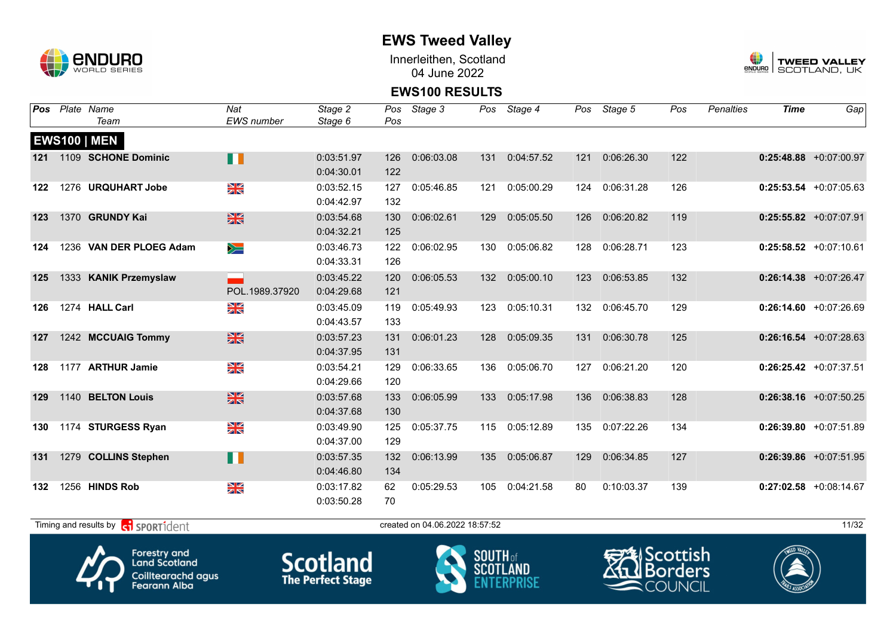

Innerleithen, Scotland 04 June 2022



#### **EWS100 RESULTS**

| Pos   | Plate Name              | Nat                       | Stage 2    | Pos | Stage 3    |     | Pos Stage 4 |     | Pos Stage 5    | Pos | <b>Penalties</b> | <b>Time</b> | Gap                       |
|-------|-------------------------|---------------------------|------------|-----|------------|-----|-------------|-----|----------------|-----|------------------|-------------|---------------------------|
|       | Team                    | <b>EWS</b> number         | Stage 6    | Pos |            |     |             |     |                |     |                  |             |                           |
|       | <b>EWS100   MEN</b>     |                           |            |     |            |     |             |     |                |     |                  |             |                           |
| $121$ | 1109 SCHONE Dominic     | n                         | 0:03:51.97 | 126 | 0:06:03.08 | 131 | 0:04:57.52  | 121 | 0:06:26.30     | 122 |                  |             | $0:25:48.88$ +0:07:00.97  |
|       |                         |                           | 0:04:30.01 | 122 |            |     |             |     |                |     |                  |             |                           |
| 122   | 1276 URQUHART Jobe      | N<br>X                    | 0:03:52.15 | 127 | 0:05:46.85 | 121 | 0:05:00.29  | 124 | 0:06:31.28     | 126 |                  |             | $0:25:53.54$ +0:07:05.63  |
|       |                         |                           | 0:04:42.97 | 132 |            |     |             |     |                |     |                  |             |                           |
| 123   | 1370 GRUNDY Kai         | 黑                         | 0:03:54.68 | 130 | 0:06:02.61 | 129 | 0:05:05.50  | 126 | 0:06:20.82     | 119 |                  |             | $0:25:55.82 +0:07:07.91$  |
|       |                         |                           | 0:04:32.21 | 125 |            |     |             |     |                |     |                  |             |                           |
| 124   | 1236 VAN DER PLOEG Adam | $\geqslant$               | 0:03:46.73 | 122 | 0:06:02.95 | 130 | 0:05:06.82  | 128 | 0:06:28.71     | 123 |                  |             | $0:25:58.52 + 0:07:10.61$ |
|       |                         |                           | 0:04:33.31 | 126 |            |     |             |     |                |     |                  |             |                           |
| 125   | 1333 KANIK Przemyslaw   |                           | 0:03:45.22 | 120 | 0:06:05.53 | 132 | 0:05:00.10  | 123 | 0:06:53.85     | 132 |                  |             | $0:26:14.38$ +0:07:26.47  |
|       |                         | POL.1989.37920            | 0:04:29.68 | 121 |            |     |             |     |                |     |                  |             |                           |
| 126   | 1274 HALL Carl          | $\frac{\Delta K}{\Delta}$ | 0:03:45.09 | 119 | 0:05:49.93 | 123 | 0:05:10.31  |     | 132 0:06:45.70 | 129 |                  |             | $0:26:14.60 + 0:07:26.69$ |
|       |                         |                           | 0:04:43.57 | 133 |            |     |             |     |                |     |                  |             |                           |
| 127   | 1242 MCCUAIG Tommy      | $\frac{N}{N}$             | 0:03:57.23 | 131 | 0:06:01.23 | 128 | 0:05:09.35  | 131 | 0:06:30.78     | 125 |                  |             | $0:26:16.54$ +0:07:28.63  |
|       |                         |                           | 0:04:37.95 | 131 |            |     |             |     |                |     |                  |             |                           |
| 128   | 1177 ARTHUR Jamie       | $\frac{N}{N}$             | 0:03:54.21 | 129 | 0:06:33.65 | 136 | 0:05:06.70  | 127 | 0:06:21.20     | 120 |                  |             | $0:26:25.42$ +0:07:37.51  |
|       |                         |                           | 0:04:29.66 | 120 |            |     |             |     |                |     |                  |             |                           |
| 129   | 1140 BELTON Louis       | $\frac{N}{N}$             | 0:03:57.68 | 133 | 0:06:05.99 | 133 | 0:05:17.98  | 136 | 0:06:38.83     | 128 |                  |             | $0:26:38.16$ +0:07:50.25  |
|       |                         |                           | 0:04:37.68 | 130 |            |     |             |     |                |     |                  |             |                           |
| 130   | 1174 STURGESS Ryan      | $\frac{N}{N}$             | 0:03:49.90 | 125 | 0:05:37.75 | 115 | 0:05:12.89  | 135 | 0:07:22.26     | 134 |                  |             | $0:26:39.80$ +0:07:51.89  |
|       |                         |                           | 0:04:37.00 | 129 |            |     |             |     |                |     |                  |             |                           |
| 131   | 1279 COLLINS Stephen    | П                         | 0:03:57.35 | 132 | 0:06:13.99 | 135 | 0:05:06.87  | 129 | 0:06:34.85     | 127 |                  |             | $0:26:39.86$ +0:07:51.95  |
|       |                         |                           | 0:04:46.80 | 134 |            |     |             |     |                |     |                  |             |                           |
| 132   | 1256 HINDS Rob          | XK                        | 0:03:17.82 | 62  | 0:05:29.53 | 105 | 0:04:21.58  | 80  | 0:10:03.37     | 139 |                  |             | $0:27:02.58$ +0:08:14.67  |
|       |                         |                           | 0:03:50.28 | 70  |            |     |             |     |                |     |                  |             |                           |
|       |                         |                           |            |     |            |     |             |     |                |     |                  |             |                           |

 $T$ iming and results by  $\left[\frac{1}{\sqrt{1}}\right]$  SPORT1 $d$ 









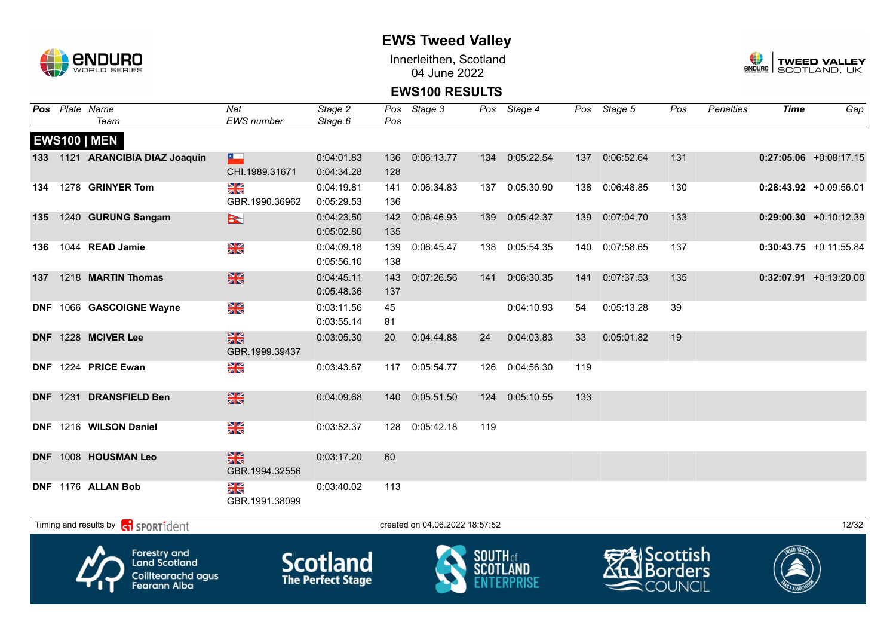

Innerleithen, Scotland 04 June 2022



#### **EWS100 RESULTS**

|     | Pos Plate Name                  | Nat                      | Stage 2    |     | Pos Stage 3 |     | Pos Stage 4 |     | Pos Stage 5    | Pos | <b>Penalties</b> | <b>Time</b> | Gap                       |
|-----|---------------------------------|--------------------------|------------|-----|-------------|-----|-------------|-----|----------------|-----|------------------|-------------|---------------------------|
|     | Team                            | EWS number               | Stage 6    | Pos |             |     |             |     |                |     |                  |             |                           |
|     | <b>EWS100   MEN</b>             |                          |            |     |             |     |             |     |                |     |                  |             |                           |
|     | 133 1121 ARANCIBIA DIAZ Joaquin | $\overline{\phantom{a}}$ | 0:04:01.83 | 136 | 0:06:13.77  | 134 | 0:05:22.54  | 137 | 0:06:52.64     | 131 |                  |             | $0:27:05.06$ +0:08:17.15  |
|     |                                 | CHI.1989.31671           | 0:04:34.28 | 128 |             |     |             |     |                |     |                  |             |                           |
| 134 | 1278 GRINYER Tom                | N<br>X                   | 0:04:19.81 | 141 | 0:06:34.83  | 137 | 0:05:30.90  | 138 | 0:06:48.85     | 130 |                  |             | $0:28:43.92$ +0:09:56.01  |
|     |                                 | GBR.1990.36962           | 0:05:29.53 | 136 |             |     |             |     |                |     |                  |             |                           |
| 135 | 1240 GURUNG Sangam              | $\triangleright$         | 0:04:23.50 | 142 | 0:06:46.93  | 139 | 0:05:42.37  | 139 | 0:07:04.70     | 133 |                  |             | $0:29:00.30 +0:10:12.39$  |
|     |                                 |                          | 0:05:02.80 | 135 |             |     |             |     |                |     |                  |             |                           |
| 136 | 1044 READ Jamie                 | XK                       | 0:04:09.18 | 139 | 0:06:45.47  | 138 | 0:05:54.35  |     | 140 0:07:58.65 | 137 |                  |             | $0:30:43.75$ +0:11:55.84  |
|     |                                 |                          | 0:05:56.10 | 138 |             |     |             |     |                |     |                  |             |                           |
| 137 | 1218 MARTIN Thomas              | $\frac{N}{N}$            | 0:04:45.11 | 143 | 0:07:26.56  | 141 | 0:06:30.35  | 141 | 0:07:37.53     | 135 |                  |             | $0:32:07.91 + 0:13:20.00$ |
|     |                                 |                          | 0:05:48.36 | 137 |             |     |             |     |                |     |                  |             |                           |
|     | DNF 1066 GASCOIGNE Wayne        | XK<br>X                  | 0:03:11.56 | 45  |             |     | 0:04:10.93  | 54  | 0:05:13.28     | 39  |                  |             |                           |
|     |                                 |                          | 0:03:55.14 | 81  |             |     |             |     |                |     |                  |             |                           |
|     | DNF 1228 MCIVER Lee             | $\frac{N}{N}$            | 0:03:05.30 | 20  | 0:04:44.88  | 24  | 0:04:03.83  | 33  | 0:05:01.82     | 19  |                  |             |                           |
|     |                                 | GBR.1999.39437           |            |     |             |     |             |     |                |     |                  |             |                           |
|     | DNF 1224 PRICE Ewan             | XK                       | 0:03:43.67 | 117 | 0:05:54.77  | 126 | 0:04:56.30  | 119 |                |     |                  |             |                           |
|     |                                 |                          |            |     |             |     |             |     |                |     |                  |             |                           |
|     | DNF 1231 DRANSFIELD Ben         | $\frac{N}{N}$            | 0:04:09.68 | 140 | 0:05:51.50  | 124 | 0:05:10.55  | 133 |                |     |                  |             |                           |
|     |                                 |                          |            |     |             |     |             |     |                |     |                  |             |                           |
|     | DNF 1216 WILSON Daniel          | ≫<br>X                   | 0:03:52.37 | 128 | 0:05:42.18  | 119 |             |     |                |     |                  |             |                           |
|     |                                 |                          |            |     |             |     |             |     |                |     |                  |             |                           |
|     | DNF 1008 HOUSMAN Leo            | $\frac{N}{N}$            | 0:03:17.20 | 60  |             |     |             |     |                |     |                  |             |                           |
|     |                                 | GBR.1994.32556           |            |     |             |     |             |     |                |     |                  |             |                           |
|     | DNF 1176 ALLAN Bob              | XK                       | 0:03:40.02 | 113 |             |     |             |     |                |     |                  |             |                           |
|     |                                 | GBR.1991.38099           |            |     |             |     |             |     |                |     |                  |             |                           |
|     |                                 |                          |            |     |             |     |             |     |                |     |                  |             |                           |

 $T$ iming and results by  $\overline{c_1}$  SPORT1 $\overline{1}$  dentity and the created on 04.06.2022 18:57:52

Forestry and<br>Land Scotland Coilltearachd agus<br>Fearann Alba

**Scotland** 





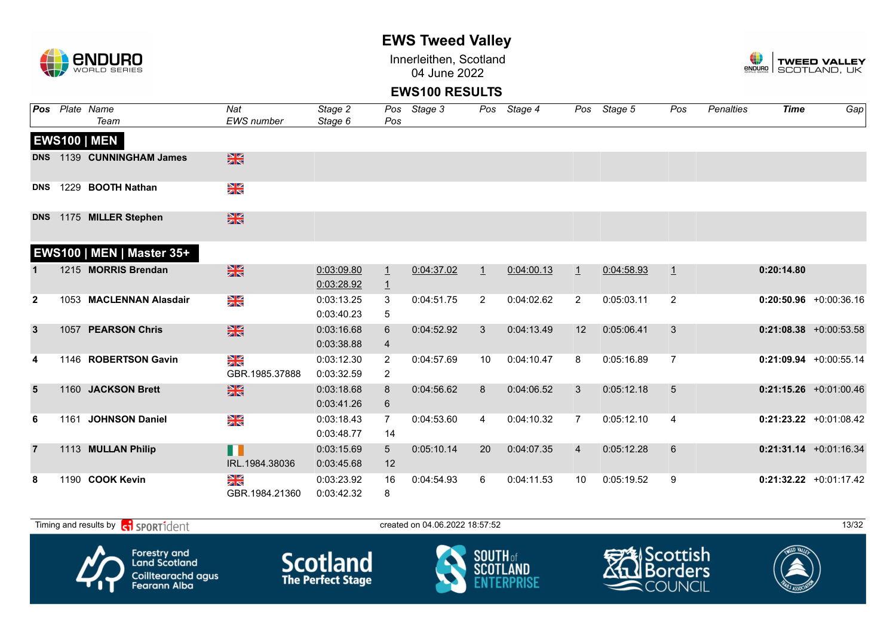

Innerleithen, Scotland 04 June 2022



#### **EWS100 RESULTS**

| Pos            |      | Plate Name                | Nat                       | Stage 2                  |                                  | Pos Stage 3 |         | Pos Stage 4 |                | Pos Stage 5 | Pos            | Penalties | <b>Time</b> | Gap                      |
|----------------|------|---------------------------|---------------------------|--------------------------|----------------------------------|-------------|---------|-------------|----------------|-------------|----------------|-----------|-------------|--------------------------|
|                |      | Team                      | <b>EWS</b> number         | Stage 6                  | Pos                              |             |         |             |                |             |                |           |             |                          |
|                |      | <b>EWS100   MEN</b>       |                           |                          |                                  |             |         |             |                |             |                |           |             |                          |
| <b>DNS</b>     |      | 1139 CUNNINGHAM James     | $\frac{N}{N}$             |                          |                                  |             |         |             |                |             |                |           |             |                          |
| <b>DNS</b>     |      | 1229 BOOTH Nathan         | $\frac{N}{N}$             |                          |                                  |             |         |             |                |             |                |           |             |                          |
| <b>DNS</b>     |      | 1175 MILLER Stephen       | $\frac{N}{N}$             |                          |                                  |             |         |             |                |             |                |           |             |                          |
|                |      | EWS100   MEN   Master 35+ |                           |                          |                                  |             |         |             |                |             |                |           |             |                          |
|                |      | 1215 MORRIS Brendan       | $\frac{N}{N}$             | 0:03:09.80<br>0:03:28.92 | $\overline{1}$<br>$\overline{1}$ | 0:04:37.02  | $\perp$ | 0:04:00.13  | $\perp$        | 0:04:58.93  | $\perp$        |           | 0:20:14.80  |                          |
| $\overline{2}$ |      | 1053 MACLENNAN Alasdair   | $\frac{\Delta}{\Delta}$   | 0:03:13.25<br>0:03:40.23 | 3<br>5                           | 0:04:51.75  | 2       | 0:04:02.62  | $\overline{2}$ | 0:05:03.11  | 2              |           |             | $0:20:50.96$ +0:00:36.16 |
| $\mathbf{3}$   |      | 1057 PEARSON Chris        | $\frac{N}{N}$             | 0:03:16.68<br>0:03:38.88 | 6<br>$\overline{4}$              | 0:04:52.92  | 3       | 0:04:13.49  | 12             | 0:05:06.41  | 3              |           |             | $0:21:08.38$ +0:00:53.58 |
| 4              |      | 1146 ROBERTSON Gavin      | ≥k<br>GBR.1985.37888      | 0:03:12.30<br>0:03:32.59 | $\overline{2}$<br>$\overline{2}$ | 0:04:57.69  | 10      | 0:04:10.47  | 8              | 0:05:16.89  | $\overline{7}$ |           |             | $0:21:09.94$ +0:00:55.14 |
| 5              |      | 1160 JACKSON Brett        | $\frac{N}{N}$             | 0:03:18.68<br>0:03:41.26 | 8<br>6                           | 0:04:56.62  | 8       | 0:04:06.52  | 3              | 0:05:12.18  | 5              |           |             | $0:21:15.26$ +0:01:00.46 |
| 6              | 1161 | <b>JOHNSON Daniel</b>     | XK                        | 0:03:18.43<br>0:03:48.77 | $\overline{7}$<br>14             | 0:04:53.60  | 4       | 0:04:10.32  | $\overline{7}$ | 0:05:12.10  | 4              |           |             | $0:21:23.22$ +0:01:08.42 |
| $\overline{7}$ |      | 1113 MULLAN Philip        | n T<br>IRL.1984.38036     | 0:03:15.69<br>0:03:45.68 | 5 <sup>5</sup><br>12             | 0:05:10.14  | 20      | 0:04:07.35  | 4              | 0:05:12.28  | $6\phantom{1}$ |           |             | $0:21:31.14 +0:01:16.34$ |
| 8              |      | 1190 COOK Kevin           | N<br>ZK<br>GBR.1984.21360 | 0:03:23.92<br>0:03:42.32 | 16<br>8                          | 0:04:54.93  | 6       | 0:04:11.53  | 10             | 0:05:19.52  | 9              |           |             | $0:21:32.22$ +0:01:17.42 |

 $T$ iming and results by  $\overline{c_1}$  SPORT1 $\overline{d}$  enter the created on 04.06.2022 18:57:52 13:57:52 Scottish Forestry and<br>Land Scotland **Scotland SOUTH** of orders SCOT Coilltearachd agus<br>Fearann Alba COUNCIL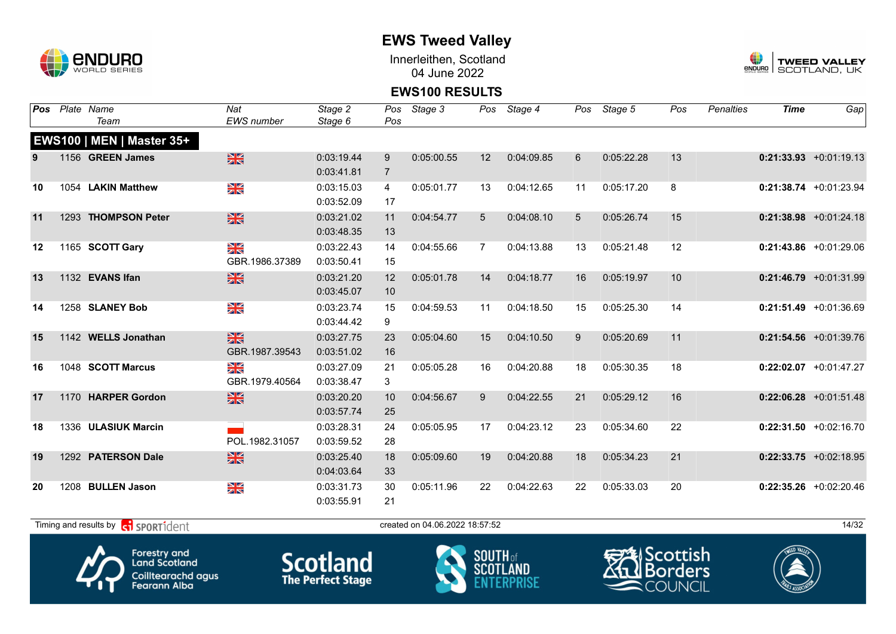

Innerleithen, Scotland 04 June 2022



#### **EWS100 RESULTS**

| Pos | Plate Name                       | Nat                                    | Stage 2    | Pos            | Stage 3    |    | Pos Stage 4 | Pos | Stage 5    | Pos | <b>Penalties</b> | <b>Time</b> | Gap                       |
|-----|----------------------------------|----------------------------------------|------------|----------------|------------|----|-------------|-----|------------|-----|------------------|-------------|---------------------------|
|     | Team                             | <b>EWS</b> number                      | Stage 6    | Pos            |            |    |             |     |            |     |                  |             |                           |
|     | <b>EWS100   MEN   Master 35+</b> |                                        |            |                |            |    |             |     |            |     |                  |             |                           |
|     | 1156 GREEN James                 | $\frac{N}{N}$                          | 0:03:19.44 | 9              | 0:05:00.55 | 12 | 0:04:09.85  | 6   | 0:05:22.28 | 13  |                  |             | $0:21:33.93 + 0:01:19.13$ |
|     |                                  |                                        | 0:03:41.81 | $\overline{7}$ |            |    |             |     |            |     |                  |             |                           |
| 10  | 1054 LAKIN Matthew               | NK<br>ZK                               | 0:03:15.03 | $\overline{4}$ | 0:05:01.77 | 13 | 0:04:12.65  | 11  | 0:05:17.20 | 8   |                  |             | $0:21:38.74$ +0:01:23.94  |
|     |                                  |                                        | 0:03:52.09 | 17             |            |    |             |     |            |     |                  |             |                           |
| 11  | 1293 THOMPSON Peter              | $\frac{N}{N}$                          | 0:03:21.02 | 11             | 0:04:54.77 | 5  | 0:04:08.10  | 5   | 0:05:26.74 | 15  |                  |             | $0:21:38.98$ +0:01:24.18  |
|     |                                  |                                        | 0:03:48.35 | 13             |            |    |             |     |            |     |                  |             |                           |
| 12  | 1165 SCOTT Gary                  | N<br>X                                 | 0:03:22.43 | 14             | 0:04:55.66 | 7  | 0:04:13.88  | 13  | 0:05:21.48 | 12  |                  |             | $0:21:43.86$ +0:01:29.06  |
|     |                                  | GBR.1986.37389                         | 0:03:50.41 | 15             |            |    |             |     |            |     |                  |             |                           |
| 13  | 1132 EVANS Ifan                  | $\frac{N}{N}$                          | 0:03:21.20 | 12             | 0:05:01.78 | 14 | 0:04:18.77  | 16  | 0:05:19.97 | 10  |                  |             | $0:21:46.79$ +0:01:31.99  |
|     |                                  |                                        | 0:03:45.07 | 10             |            |    |             |     |            |     |                  |             |                           |
| 14  | 1258 SLANEY Bob                  | N<br>X                                 | 0:03:23.74 | 15             | 0:04:59.53 | 11 | 0:04:18.50  | 15  | 0:05:25.30 | 14  |                  |             | $0:21:51.49$ +0:01:36.69  |
|     |                                  |                                        | 0:03:44.42 | 9              |            |    |             |     |            |     |                  |             |                           |
| 15  | 1142 WELLS Jonathan              | $\frac{N}{N}$                          | 0:03:27.75 | 23             | 0:05:04.60 | 15 | 0:04:10.50  | 9   | 0:05:20.69 | 11  |                  |             | $0:21:54.56$ +0:01:39.76  |
|     |                                  | GBR.1987.39543                         | 0:03:51.02 | 16             |            |    |             |     |            |     |                  |             |                           |
| 16  | 1048 SCOTT Marcus                | $\frac{\Delta \mathbf{K}}{\mathbf{K}}$ | 0:03:27.09 | 21             | 0:05:05.28 | 16 | 0:04:20.88  | 18  | 0:05:30.35 | 18  |                  |             | $0:22:02.07$ +0:01:47.27  |
|     |                                  | GBR.1979.40564                         | 0:03:38.47 | 3              |            |    |             |     |            |     |                  |             |                           |
| 17  | 1170 HARPER Gordon               | $\frac{N}{N}$                          | 0:03:20.20 | 10             | 0:04:56.67 | 9  | 0:04:22.55  | 21  | 0:05:29.12 | 16  |                  |             | $0:22:06.28$ +0:01:51.48  |
|     |                                  |                                        | 0:03:57.74 | 25             |            |    |             |     |            |     |                  |             |                           |
| 18  | 1336 ULASIUK Marcin              |                                        | 0:03:28.31 | 24             | 0:05:05.95 | 17 | 0:04:23.12  | 23  | 0:05:34.60 | 22  |                  |             | $0:22:31.50 +0:02:16.70$  |
|     |                                  | POL.1982.31057                         | 0:03:59.52 | 28             |            |    |             |     |            |     |                  |             |                           |
| 19  | 1292 PATERSON Dale               | $\frac{N}{N}$                          | 0:03:25.40 | 18             | 0:05:09.60 | 19 | 0:04:20.88  | 18  | 0:05:34.23 | 21  |                  |             | $0:22:33.75$ +0:02:18.95  |
|     |                                  |                                        | 0:04:03.64 | 33             |            |    |             |     |            |     |                  |             |                           |
| 20  | 1208 BULLEN Jason                | N<br>X                                 | 0:03:31.73 | 30             | 0:05:11.96 | 22 | 0:04:22.63  | 22  | 0:05:33.03 | 20  |                  |             | $0:22:35.26$ +0:02:20.46  |
|     |                                  |                                        | 0:03:55.91 | 21             |            |    |             |     |            |     |                  |             |                           |

Forestry and<br>Land Scotland Coilltearachd agus<br>Fearann Alba

**Scotland** 





 $T$ iming and results by  $\overline{c_1}$  SPORT1 $\overline{d}$  enter the created on 04.06.2022 18:57:52 14/32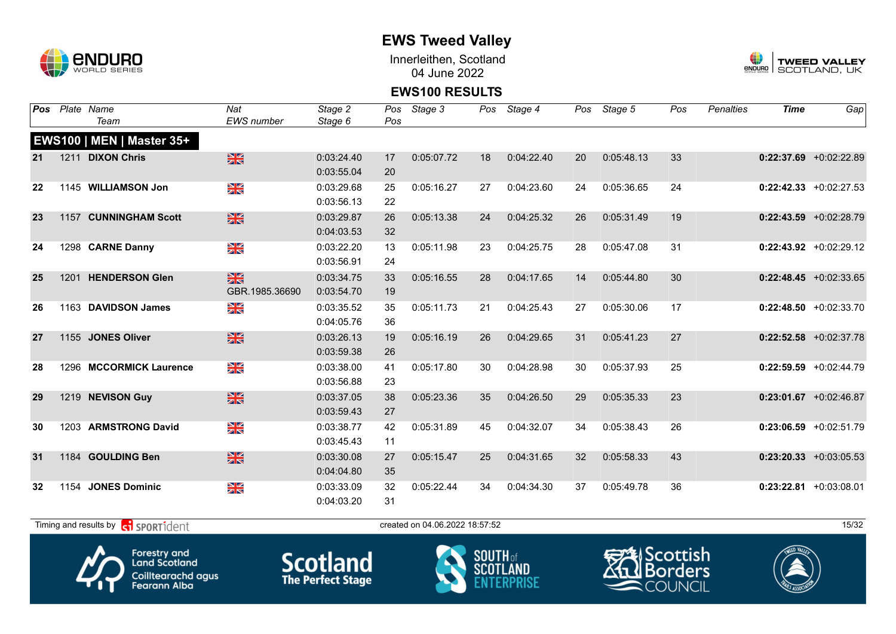

Innerleithen, Scotland 04 June 2022



#### **EWS100 RESULTS**

| Pos | Plate Name                       | Nat            | Stage 2    | Pos | Stage 3    |    | Pos Stage 4 |    | Pos Stage 5 | Pos | Penalties | <b>Time</b> | Gap                       |
|-----|----------------------------------|----------------|------------|-----|------------|----|-------------|----|-------------|-----|-----------|-------------|---------------------------|
|     | Team                             | EWS number     | Stage 6    | Pos |            |    |             |    |             |     |           |             |                           |
|     | <b>EWS100   MEN   Master 35+</b> |                |            |     |            |    |             |    |             |     |           |             |                           |
| 21  | 1211 DIXON Chris                 | $\frac{N}{N}$  | 0:03:24.40 | 17  | 0:05:07.72 | 18 | 0:04:22.40  | 20 | 0:05:48.13  | 33  |           |             | $0:22:37.69$ +0:02:22.89  |
|     |                                  |                | 0:03:55.04 | 20  |            |    |             |    |             |     |           |             |                           |
| 22  | 1145 WILLIAMSON Jon              | N<br>X         | 0:03:29.68 | 25  | 0:05:16.27 | 27 | 0:04:23.60  | 24 | 0:05:36.65  | 24  |           |             | $0:22:42.33 + 0:02:27.53$ |
|     |                                  |                | 0:03:56.13 | 22  |            |    |             |    |             |     |           |             |                           |
| 23  | 1157 CUNNINGHAM Scott            | $\frac{N}{N}$  | 0:03:29.87 | 26  | 0:05:13.38 | 24 | 0:04:25.32  | 26 | 0:05:31.49  | 19  |           |             | $0:22:43.59$ +0:02:28.79  |
|     |                                  |                | 0:04:03.53 | 32  |            |    |             |    |             |     |           |             |                           |
| 24  | 1298 CARNE Danny                 | XK             | 0:03:22.20 | 13  | 0:05:11.98 | 23 | 0:04:25.75  | 28 | 0:05:47.08  | 31  |           |             | $0:22:43.92$ +0:02:29.12  |
|     |                                  |                | 0:03:56.91 | 24  |            |    |             |    |             |     |           |             |                           |
| 25  | 1201 HENDERSON Glen              | <b>SK</b>      | 0:03:34.75 | 33  | 0:05:16.55 | 28 | 0:04:17.65  | 14 | 0:05:44.80  | 30  |           |             | $0:22:48.45 + 0:02:33.65$ |
|     |                                  | GBR.1985.36690 | 0:03:54.70 | 19  |            |    |             |    |             |     |           |             |                           |
| 26  | 1163 DAVIDSON James              | XK             | 0:03:35.52 | 35  | 0:05:11.73 | 21 | 0:04:25.43  | 27 | 0:05:30.06  | 17  |           |             | $0:22:48.50 + 0:02:33.70$ |
|     |                                  |                | 0:04:05.76 | 36  |            |    |             |    |             |     |           |             |                           |
| 27  | 1155 JONES Oliver                | $\frac{N}{N}$  | 0:03:26.13 | 19  | 0:05:16.19 | 26 | 0:04:29.65  | 31 | 0:05:41.23  | 27  |           |             | $0:22:52.58$ +0:02:37.78  |
|     |                                  |                | 0:03:59.38 | 26  |            |    |             |    |             |     |           |             |                           |
| 28  | 1296 MCCORMICK Laurence          | XK             | 0:03:38.00 | 41  | 0:05:17.80 | 30 | 0:04:28.98  | 30 | 0:05:37.93  | 25  |           |             | $0:22:59.59$ +0:02:44.79  |
|     |                                  |                | 0:03:56.88 | 23  |            |    |             |    |             |     |           |             |                           |
| 29  | 1219 NEVISON Guy                 | $\frac{N}{N}$  | 0:03:37.05 | 38  | 0:05:23.36 | 35 | 0:04:26.50  | 29 | 0:05:35.33  | 23  |           |             | $0:23:01.67$ +0:02:46.87  |
|     |                                  |                | 0:03:59.43 | 27  |            |    |             |    |             |     |           |             |                           |
| 30  | 1203 ARMSTRONG David             | N<br>X         | 0:03:38.77 | 42  | 0:05:31.89 | 45 | 0:04:32.07  | 34 | 0:05:38.43  | 26  |           |             | $0:23:06.59$ +0:02:51.79  |
|     |                                  |                | 0:03:45.43 | 11  |            |    |             |    |             |     |           |             |                           |
| 31  | 1184 GOULDING Ben                | $\frac{N}{N}$  | 0:03:30.08 | 27  | 0:05:15.47 | 25 | 0:04:31.65  | 32 | 0:05:58.33  | 43  |           |             | $0:23:20.33$ +0:03:05.53  |
|     |                                  |                | 0:04:04.80 | 35  |            |    |             |    |             |     |           |             |                           |
| 32  | 1154 JONES Dominic               | XK<br>X        | 0:03:33.09 | 32  | 0:05:22.44 | 34 | 0:04:34.30  | 37 | 0:05:49.78  | 36  |           |             | $0:23:22.81$ +0:03:08.01  |
|     |                                  |                | 0:04:03.20 | 31  |            |    |             |    |             |     |           |             |                           |
|     |                                  |                |            |     |            |    |             |    |             |     |           |             |                           |

 $T$ iming and results by  $\left[\frac{1}{\sqrt{1}}\right]$  SPORT1 $d$ 









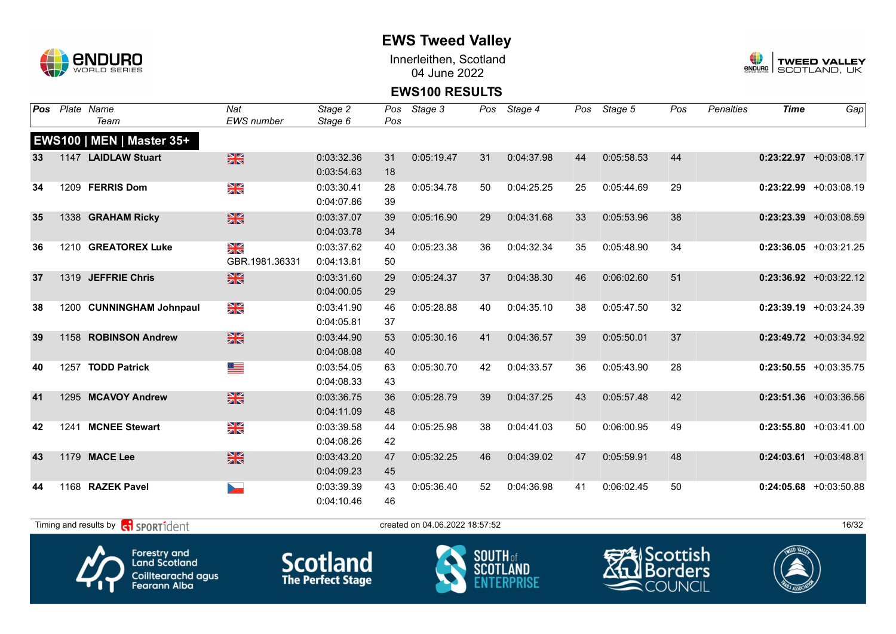

Innerleithen, Scotland 04 June 2022



#### **EWS100 RESULTS**

| Pos             | Plate Name                                  | Nat                      | Stage 2    | Pos | Stage 3                        |    | Pos Stage 4 |    | Pos Stage 5 | Pos | Penalties | <b>Time</b> | Gap                       |
|-----------------|---------------------------------------------|--------------------------|------------|-----|--------------------------------|----|-------------|----|-------------|-----|-----------|-------------|---------------------------|
|                 | Team                                        | <b>EWS</b> number        | Stage 6    | Pos |                                |    |             |    |             |     |           |             |                           |
|                 | <b>EWS100   MEN   Master 35+</b>            |                          |            |     |                                |    |             |    |             |     |           |             |                           |
| 33 <sup>3</sup> | 1147 LAIDLAW Stuart                         | $\frac{N}{N}$            | 0:03:32.36 | 31  | 0:05:19.47                     | 31 | 0:04:37.98  | 44 | 0:05:58.53  | 44  |           |             | $0:23:22.97$ +0:03:08.17  |
|                 |                                             |                          | 0:03:54.63 | 18  |                                |    |             |    |             |     |           |             |                           |
| 34              | 1209 FERRIS Dom                             | XK                       | 0:03:30.41 | 28  | 0:05:34.78                     | 50 | 0:04:25.25  | 25 | 0:05:44.69  | 29  |           |             | $0:23:22.99$ +0:03:08.19  |
|                 |                                             |                          | 0:04:07.86 | 39  |                                |    |             |    |             |     |           |             |                           |
| 35              | 1338 GRAHAM Ricky                           | $\frac{N}{N}$            | 0:03:37.07 | 39  | 0:05:16.90                     | 29 | 0:04:31.68  | 33 | 0:05:53.96  | 38  |           |             | $0:23:23.39$ +0:03:08.59  |
|                 |                                             |                          | 0:04:03.78 | 34  |                                |    |             |    |             |     |           |             |                           |
| 36              | 1210 GREATOREX Luke                         | $\frac{N}{N}$            | 0:03:37.62 | 40  | 0:05:23.38                     | 36 | 0:04:32.34  | 35 | 0:05:48.90  | 34  |           |             | $0:23:36.05$ +0:03:21.25  |
|                 |                                             | GBR.1981.36331           | 0:04:13.81 | 50  |                                |    |             |    |             |     |           |             |                           |
| 37              | 1319 JEFFRIE Chris                          | $\frac{N}{2}$            | 0:03:31.60 | 29  | 0:05:24.37                     | 37 | 0:04:38.30  | 46 | 0:06:02.60  | 51  |           |             | $0:23:36.92$ +0:03:22.12  |
|                 |                                             |                          | 0:04:00.05 | 29  |                                |    |             |    |             |     |           |             |                           |
| 38              | 1200 CUNNINGHAM Johnpaul                    | $\frac{\Delta}{\Delta}$  | 0:03:41.90 | 46  | 0:05:28.88                     | 40 | 0:04:35.10  | 38 | 0:05:47.50  | 32  |           |             | $0:23:39.19$ +0:03:24.39  |
|                 |                                             |                          | 0:04:05.81 | 37  |                                |    |             |    |             |     |           |             |                           |
| 39              | 1158 ROBINSON Andrew                        | $\frac{N}{N}$            | 0:03:44.90 | 53  | 0:05:30.16                     | 41 | 0:04:36.57  | 39 | 0:05:50.01  | 37  |           |             | $0:23:49.72$ +0:03:34.92  |
|                 |                                             |                          | 0:04:08.08 | 40  |                                |    |             |    |             |     |           |             |                           |
| 40              | 1257 TODD Patrick                           | ▀                        | 0:03:54.05 | 63  | 0:05:30.70                     | 42 | 0:04:33.57  | 36 | 0:05:43.90  | 28  |           |             | $0:23:50.55$ +0:03:35.75  |
|                 |                                             |                          | 0:04:08.33 | 43  |                                |    |             |    |             |     |           |             |                           |
| 41              | 1295 MCAVOY Andrew                          | $\frac{N}{N}$            | 0:03:36.75 | 36  | 0:05:28.79                     | 39 | 0:04:37.25  | 43 | 0:05:57.48  | 42  |           |             | $0:23:51.36$ +0:03:36.56  |
|                 |                                             |                          | 0:04:11.09 | 48  |                                |    |             |    |             |     |           |             |                           |
| 42              | 1241 MCNEE Stewart                          | $\frac{N}{N}$            | 0:03:39.58 | 44  | 0:05:25.98                     | 38 | 0:04:41.03  | 50 | 0:06:00.95  | 49  |           |             | $0:23:55.80 + 0:03:41.00$ |
|                 |                                             |                          | 0:04:08.26 | 42  |                                |    |             |    |             |     |           |             |                           |
| 43              | 1179 MACE Lee                               | $\frac{N}{N}$            | 0:03:43.20 | 47  | 0:05:32.25                     | 46 | 0:04:39.02  | 47 | 0:05:59.91  | 48  |           |             | $0:24:03.61$ +0:03:48.81  |
|                 |                                             |                          | 0:04:09.23 | 45  |                                |    |             |    |             |     |           |             |                           |
| 44              | 1168 RAZEK Pavel                            | $\overline{\phantom{a}}$ | 0:03:39.39 | 43  | 0:05:36.40                     | 52 | 0:04:36.98  | 41 | 0:06:02.45  | 50  |           |             | $0:24:05.68$ +0:03:50.88  |
|                 |                                             |                          | 0:04:10.46 | 46  |                                |    |             |    |             |     |           |             |                           |
|                 | Timing and results by <b>CO</b> SPORT1 dent |                          |            |     | created on 04.06.2022 18:57:52 |    |             |    |             |     |           |             | 16/32                     |







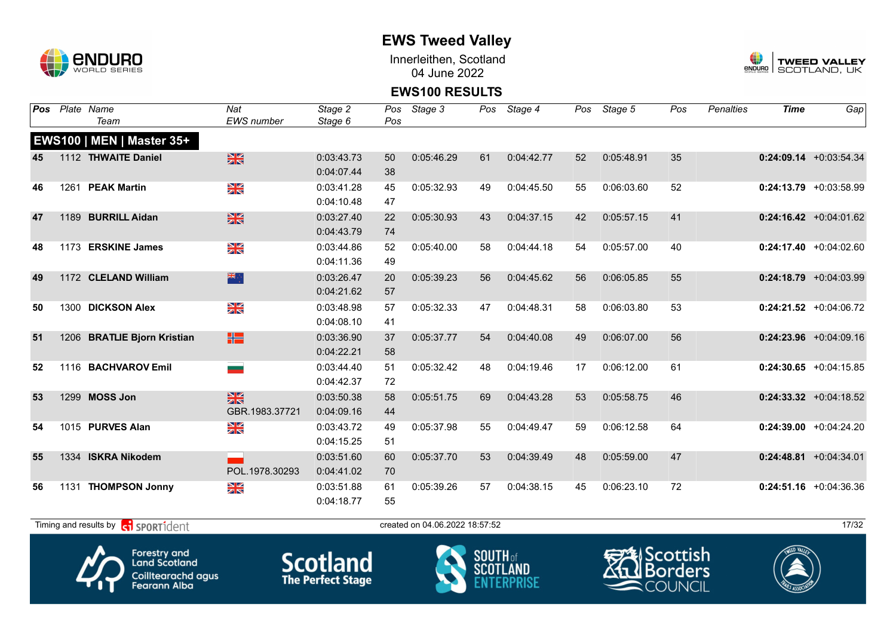

Innerleithen, Scotland 04 June 2022



#### **EWS100 RESULTS**

| EWS number<br>Team<br>Stage 6<br>Pos<br><b>EWS100   MEN   Master 35+</b><br>$\frac{N}{N}$<br>35<br>1112 THWAITE Daniel<br>0:03:43.73<br>0:05:46.29<br>0:04:42.77<br>0:05:48.91<br>$0:24:09.14$ +0:03:54.34<br>50<br>61<br>52<br>45<br>0:04:07.44<br>38<br>NK<br>ZK<br>1261 PEAK Martin<br>52<br>$0:24:13.79 + 0:03:58.99$<br>0:03:41.28<br>0:05:32.93<br>0:04:45.50<br>0:06:03.60<br>46<br>45<br>49<br>55<br>0:04:10.48<br>47<br>$\frac{N}{N}$<br>41<br>1189 BURRILL Aidan<br>0:03:27.40<br>0:05:30.93<br>0:04:37.15<br>0:05:57.15<br>$0:24:16.42$ +0:04:01.62<br>47<br>22<br>43<br>42<br>0:04:43.79<br>74<br>NK<br>ZK<br>1173 ERSKINE James<br>0:04:44.18<br>0:05:57.00<br>40<br>0:03:44.86<br>0:05:40.00<br>54<br>$0:24:17.40 + 0:04:02.60$<br>48<br>52<br>58<br>0:04:11.36<br>49<br>米亭<br>1172 CLELAND William<br>0:03:26.47<br>0:05:39.23<br>0:04:45.62<br>55<br>$0:24:18.79$ +0:04:03.99<br>49<br>20<br>56<br>56<br>0:06:05.85<br>0:04:21.62<br>57<br>NK<br>ZK<br>1300 DICKSON Alex<br>0:03:48.98<br>0:05:32.33<br>0:04:48.31<br>0:06:03.80<br>53<br>$0:24:21.52$ +0:04:06.72<br>57<br>47<br>50<br>58<br>0:04:08.10<br>41<br>體<br>0:05:37.77<br>0:06:07.00<br>56<br>$0:24:23.96$ +0:04:09.16<br>51<br>1206 BRATLIE Bjorn Kristian<br>0:03:36.90<br>37<br>54<br>0:04:40.08<br>49<br>0:04:22.21<br>58<br>61<br>1116 BACHVAROV Emil<br>0:03:44.40<br>0:05:32.42<br>0:04:19.46<br>0:06:12.00<br>$0:24:30.65$ +0:04:15.85<br>48<br>17<br>52<br>51<br>-<br>0:04:42.37<br>72<br>$\frac{N}{N}$<br>1299 MOSS Jon<br>0:03:50.38<br>58<br>0:05:51.75<br>0:04:43.28<br>0:05:58.75<br>46<br>$0:24:33.32 +0:04:18.52$<br>53<br>69<br>53<br>GBR.1983.37721<br>0:04:09.16<br>44<br>N<br>ZK<br>1015 PURVES Alan<br>0:03:43.72<br>0:05:37.98<br>0:04:49.47<br>0:06:12.58<br>64<br>$0:24:39.00 +0:04:24.20$<br>54<br>55<br>59<br>49<br>0:04:15.25<br>51<br>1334 ISKRA Nikodem<br>47<br>0:03:51.60<br>0:05:37.70<br>0:04:39.49<br>0:05:59.00<br>$0:24:48.81 + 0:04:34.01$<br>55<br>60<br>53<br>48<br>POL.1978.30293<br>0:04:41.02<br>70<br>N<br>ZK<br>72<br>1131 THOMPSON Jonny<br>0:05:39.26<br>0:04:38.15<br>0:06:23.10<br>$0:24:51.16$ +0:04:36.36<br>0:03:51.88<br>57<br>56<br>61<br>45<br>0:04:18.77<br>55 | Pos | Plate Name | Nat | Stage 2 | Pos | Stage 3 | Pos Stage 4 | Pos | Stage 5 | Pos | <b>Penalties</b> | <b>Time</b> | Gap |
|--------------------------------------------------------------------------------------------------------------------------------------------------------------------------------------------------------------------------------------------------------------------------------------------------------------------------------------------------------------------------------------------------------------------------------------------------------------------------------------------------------------------------------------------------------------------------------------------------------------------------------------------------------------------------------------------------------------------------------------------------------------------------------------------------------------------------------------------------------------------------------------------------------------------------------------------------------------------------------------------------------------------------------------------------------------------------------------------------------------------------------------------------------------------------------------------------------------------------------------------------------------------------------------------------------------------------------------------------------------------------------------------------------------------------------------------------------------------------------------------------------------------------------------------------------------------------------------------------------------------------------------------------------------------------------------------------------------------------------------------------------------------------------------------------------------------------------------------------------------------------------------------------------------------------------------------------------------------------------------------------------------------------------------------------------------------------------------------------------------------------------------------------------------------------------------------------|-----|------------|-----|---------|-----|---------|-------------|-----|---------|-----|------------------|-------------|-----|
|                                                                                                                                                                                                                                                                                                                                                                                                                                                                                                                                                                                                                                                                                                                                                                                                                                                                                                                                                                                                                                                                                                                                                                                                                                                                                                                                                                                                                                                                                                                                                                                                                                                                                                                                                                                                                                                                                                                                                                                                                                                                                                                                                                                                  |     |            |     |         |     |         |             |     |         |     |                  |             |     |
|                                                                                                                                                                                                                                                                                                                                                                                                                                                                                                                                                                                                                                                                                                                                                                                                                                                                                                                                                                                                                                                                                                                                                                                                                                                                                                                                                                                                                                                                                                                                                                                                                                                                                                                                                                                                                                                                                                                                                                                                                                                                                                                                                                                                  |     |            |     |         |     |         |             |     |         |     |                  |             |     |
|                                                                                                                                                                                                                                                                                                                                                                                                                                                                                                                                                                                                                                                                                                                                                                                                                                                                                                                                                                                                                                                                                                                                                                                                                                                                                                                                                                                                                                                                                                                                                                                                                                                                                                                                                                                                                                                                                                                                                                                                                                                                                                                                                                                                  |     |            |     |         |     |         |             |     |         |     |                  |             |     |
|                                                                                                                                                                                                                                                                                                                                                                                                                                                                                                                                                                                                                                                                                                                                                                                                                                                                                                                                                                                                                                                                                                                                                                                                                                                                                                                                                                                                                                                                                                                                                                                                                                                                                                                                                                                                                                                                                                                                                                                                                                                                                                                                                                                                  |     |            |     |         |     |         |             |     |         |     |                  |             |     |
|                                                                                                                                                                                                                                                                                                                                                                                                                                                                                                                                                                                                                                                                                                                                                                                                                                                                                                                                                                                                                                                                                                                                                                                                                                                                                                                                                                                                                                                                                                                                                                                                                                                                                                                                                                                                                                                                                                                                                                                                                                                                                                                                                                                                  |     |            |     |         |     |         |             |     |         |     |                  |             |     |
|                                                                                                                                                                                                                                                                                                                                                                                                                                                                                                                                                                                                                                                                                                                                                                                                                                                                                                                                                                                                                                                                                                                                                                                                                                                                                                                                                                                                                                                                                                                                                                                                                                                                                                                                                                                                                                                                                                                                                                                                                                                                                                                                                                                                  |     |            |     |         |     |         |             |     |         |     |                  |             |     |
|                                                                                                                                                                                                                                                                                                                                                                                                                                                                                                                                                                                                                                                                                                                                                                                                                                                                                                                                                                                                                                                                                                                                                                                                                                                                                                                                                                                                                                                                                                                                                                                                                                                                                                                                                                                                                                                                                                                                                                                                                                                                                                                                                                                                  |     |            |     |         |     |         |             |     |         |     |                  |             |     |
|                                                                                                                                                                                                                                                                                                                                                                                                                                                                                                                                                                                                                                                                                                                                                                                                                                                                                                                                                                                                                                                                                                                                                                                                                                                                                                                                                                                                                                                                                                                                                                                                                                                                                                                                                                                                                                                                                                                                                                                                                                                                                                                                                                                                  |     |            |     |         |     |         |             |     |         |     |                  |             |     |
|                                                                                                                                                                                                                                                                                                                                                                                                                                                                                                                                                                                                                                                                                                                                                                                                                                                                                                                                                                                                                                                                                                                                                                                                                                                                                                                                                                                                                                                                                                                                                                                                                                                                                                                                                                                                                                                                                                                                                                                                                                                                                                                                                                                                  |     |            |     |         |     |         |             |     |         |     |                  |             |     |
|                                                                                                                                                                                                                                                                                                                                                                                                                                                                                                                                                                                                                                                                                                                                                                                                                                                                                                                                                                                                                                                                                                                                                                                                                                                                                                                                                                                                                                                                                                                                                                                                                                                                                                                                                                                                                                                                                                                                                                                                                                                                                                                                                                                                  |     |            |     |         |     |         |             |     |         |     |                  |             |     |
|                                                                                                                                                                                                                                                                                                                                                                                                                                                                                                                                                                                                                                                                                                                                                                                                                                                                                                                                                                                                                                                                                                                                                                                                                                                                                                                                                                                                                                                                                                                                                                                                                                                                                                                                                                                                                                                                                                                                                                                                                                                                                                                                                                                                  |     |            |     |         |     |         |             |     |         |     |                  |             |     |
|                                                                                                                                                                                                                                                                                                                                                                                                                                                                                                                                                                                                                                                                                                                                                                                                                                                                                                                                                                                                                                                                                                                                                                                                                                                                                                                                                                                                                                                                                                                                                                                                                                                                                                                                                                                                                                                                                                                                                                                                                                                                                                                                                                                                  |     |            |     |         |     |         |             |     |         |     |                  |             |     |
|                                                                                                                                                                                                                                                                                                                                                                                                                                                                                                                                                                                                                                                                                                                                                                                                                                                                                                                                                                                                                                                                                                                                                                                                                                                                                                                                                                                                                                                                                                                                                                                                                                                                                                                                                                                                                                                                                                                                                                                                                                                                                                                                                                                                  |     |            |     |         |     |         |             |     |         |     |                  |             |     |
|                                                                                                                                                                                                                                                                                                                                                                                                                                                                                                                                                                                                                                                                                                                                                                                                                                                                                                                                                                                                                                                                                                                                                                                                                                                                                                                                                                                                                                                                                                                                                                                                                                                                                                                                                                                                                                                                                                                                                                                                                                                                                                                                                                                                  |     |            |     |         |     |         |             |     |         |     |                  |             |     |
|                                                                                                                                                                                                                                                                                                                                                                                                                                                                                                                                                                                                                                                                                                                                                                                                                                                                                                                                                                                                                                                                                                                                                                                                                                                                                                                                                                                                                                                                                                                                                                                                                                                                                                                                                                                                                                                                                                                                                                                                                                                                                                                                                                                                  |     |            |     |         |     |         |             |     |         |     |                  |             |     |
|                                                                                                                                                                                                                                                                                                                                                                                                                                                                                                                                                                                                                                                                                                                                                                                                                                                                                                                                                                                                                                                                                                                                                                                                                                                                                                                                                                                                                                                                                                                                                                                                                                                                                                                                                                                                                                                                                                                                                                                                                                                                                                                                                                                                  |     |            |     |         |     |         |             |     |         |     |                  |             |     |
|                                                                                                                                                                                                                                                                                                                                                                                                                                                                                                                                                                                                                                                                                                                                                                                                                                                                                                                                                                                                                                                                                                                                                                                                                                                                                                                                                                                                                                                                                                                                                                                                                                                                                                                                                                                                                                                                                                                                                                                                                                                                                                                                                                                                  |     |            |     |         |     |         |             |     |         |     |                  |             |     |
|                                                                                                                                                                                                                                                                                                                                                                                                                                                                                                                                                                                                                                                                                                                                                                                                                                                                                                                                                                                                                                                                                                                                                                                                                                                                                                                                                                                                                                                                                                                                                                                                                                                                                                                                                                                                                                                                                                                                                                                                                                                                                                                                                                                                  |     |            |     |         |     |         |             |     |         |     |                  |             |     |
|                                                                                                                                                                                                                                                                                                                                                                                                                                                                                                                                                                                                                                                                                                                                                                                                                                                                                                                                                                                                                                                                                                                                                                                                                                                                                                                                                                                                                                                                                                                                                                                                                                                                                                                                                                                                                                                                                                                                                                                                                                                                                                                                                                                                  |     |            |     |         |     |         |             |     |         |     |                  |             |     |
|                                                                                                                                                                                                                                                                                                                                                                                                                                                                                                                                                                                                                                                                                                                                                                                                                                                                                                                                                                                                                                                                                                                                                                                                                                                                                                                                                                                                                                                                                                                                                                                                                                                                                                                                                                                                                                                                                                                                                                                                                                                                                                                                                                                                  |     |            |     |         |     |         |             |     |         |     |                  |             |     |
|                                                                                                                                                                                                                                                                                                                                                                                                                                                                                                                                                                                                                                                                                                                                                                                                                                                                                                                                                                                                                                                                                                                                                                                                                                                                                                                                                                                                                                                                                                                                                                                                                                                                                                                                                                                                                                                                                                                                                                                                                                                                                                                                                                                                  |     |            |     |         |     |         |             |     |         |     |                  |             |     |
|                                                                                                                                                                                                                                                                                                                                                                                                                                                                                                                                                                                                                                                                                                                                                                                                                                                                                                                                                                                                                                                                                                                                                                                                                                                                                                                                                                                                                                                                                                                                                                                                                                                                                                                                                                                                                                                                                                                                                                                                                                                                                                                                                                                                  |     |            |     |         |     |         |             |     |         |     |                  |             |     |
|                                                                                                                                                                                                                                                                                                                                                                                                                                                                                                                                                                                                                                                                                                                                                                                                                                                                                                                                                                                                                                                                                                                                                                                                                                                                                                                                                                                                                                                                                                                                                                                                                                                                                                                                                                                                                                                                                                                                                                                                                                                                                                                                                                                                  |     |            |     |         |     |         |             |     |         |     |                  |             |     |
|                                                                                                                                                                                                                                                                                                                                                                                                                                                                                                                                                                                                                                                                                                                                                                                                                                                                                                                                                                                                                                                                                                                                                                                                                                                                                                                                                                                                                                                                                                                                                                                                                                                                                                                                                                                                                                                                                                                                                                                                                                                                                                                                                                                                  |     |            |     |         |     |         |             |     |         |     |                  |             |     |
|                                                                                                                                                                                                                                                                                                                                                                                                                                                                                                                                                                                                                                                                                                                                                                                                                                                                                                                                                                                                                                                                                                                                                                                                                                                                                                                                                                                                                                                                                                                                                                                                                                                                                                                                                                                                                                                                                                                                                                                                                                                                                                                                                                                                  |     |            |     |         |     |         |             |     |         |     |                  |             |     |
|                                                                                                                                                                                                                                                                                                                                                                                                                                                                                                                                                                                                                                                                                                                                                                                                                                                                                                                                                                                                                                                                                                                                                                                                                                                                                                                                                                                                                                                                                                                                                                                                                                                                                                                                                                                                                                                                                                                                                                                                                                                                                                                                                                                                  |     |            |     |         |     |         |             |     |         |     |                  |             |     |
| Timing and results by <b>CO</b> SPORT1 dent<br>17/32<br>created on 04.06.2022 18:57:52                                                                                                                                                                                                                                                                                                                                                                                                                                                                                                                                                                                                                                                                                                                                                                                                                                                                                                                                                                                                                                                                                                                                                                                                                                                                                                                                                                                                                                                                                                                                                                                                                                                                                                                                                                                                                                                                                                                                                                                                                                                                                                           |     |            |     |         |     |         |             |     |         |     |                  |             |     |







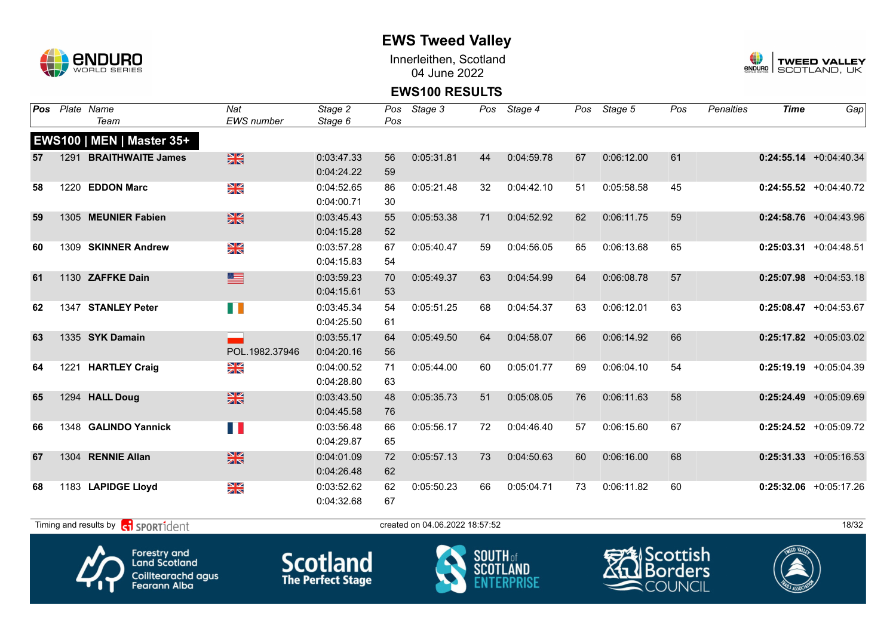

Innerleithen, Scotland 04 June 2022



#### **EWS100 RESULTS**

| Pos |      | Plate Name                          | Nat            | Stage 2    | Pos | Stage 3                        |    | Pos Stage 4 |    | Pos Stage 5 | Pos | <b>Penalties</b> | <b>Time</b> | Gap                       |
|-----|------|-------------------------------------|----------------|------------|-----|--------------------------------|----|-------------|----|-------------|-----|------------------|-------------|---------------------------|
|     |      | Team                                | EWS number     | Stage 6    | Pos |                                |    |             |    |             |     |                  |             |                           |
|     |      | <b>EWS100   MEN   Master 35+</b>    |                |            |     |                                |    |             |    |             |     |                  |             |                           |
| 57  |      | 1291 BRAITHWAITE James              | $\frac{N}{N}$  | 0:03:47.33 | 56  | 0:05:31.81                     | 44 | 0:04:59.78  | 67 | 0:06:12.00  | 61  |                  |             | $0:24:55.14$ +0:04:40.34  |
|     |      |                                     |                | 0:04:24.22 | 59  |                                |    |             |    |             |     |                  |             |                           |
| 58  | 1220 | <b>EDDON Marc</b>                   | XK<br>X        | 0:04:52.65 | 86  | 0:05:21.48                     | 32 | 0:04:42.10  | 51 | 0:05:58.58  | 45  |                  |             | $0:24:55.52$ +0:04:40.72  |
|     |      |                                     |                | 0:04:00.71 | 30  |                                |    |             |    |             |     |                  |             |                           |
| 59  |      | 1305 MEUNIER Fabien                 | $\frac{N}{N}$  | 0:03:45.43 | 55  | 0:05:53.38                     | 71 | 0:04:52.92  | 62 | 0:06:11.75  | 59  |                  |             | $0:24:58.76$ +0:04:43.96  |
|     |      |                                     |                | 0:04:15.28 | 52  |                                |    |             |    |             |     |                  |             |                           |
| 60  |      | 1309 SKINNER Andrew                 | XK             | 0:03:57.28 | 67  | 0:05:40.47                     | 59 | 0:04:56.05  | 65 | 0:06:13.68  | 65  |                  |             | $0:25:03.31$ +0:04:48.51  |
|     |      |                                     |                | 0:04:15.83 | 54  |                                |    |             |    |             |     |                  |             |                           |
| 61  |      | 1130 ZAFFKE Dain                    | ■              | 0:03:59.23 | 70  | 0:05:49.37                     | 63 | 0:04:54.99  | 64 | 0:06:08.78  | 57  |                  |             | $0:25:07.98$ +0:04:53.18  |
|     |      |                                     |                | 0:04:15.61 | 53  |                                |    |             |    |             |     |                  |             |                           |
| 62  |      | 1347 STANLEY Peter                  | U D            | 0:03:45.34 | 54  | 0:05:51.25                     | 68 | 0:04:54.37  | 63 | 0:06:12.01  | 63  |                  |             | $0:25:08.47$ +0:04:53.67  |
|     |      |                                     |                | 0:04:25.50 | 61  |                                |    |             |    |             |     |                  |             |                           |
| 63  |      | 1335 SYK Damain                     |                | 0:03:55.17 | 64  | 0:05:49.50                     | 64 | 0:04:58.07  | 66 | 0:06:14.92  | 66  |                  |             | $0:25:17.82$ +0:05:03.02  |
|     |      |                                     | POL.1982.37946 | 0:04:20.16 | 56  |                                |    |             |    |             |     |                  |             |                           |
| 64  |      | 1221 HARTLEY Craig                  | NK<br>ZK       | 0:04:00.52 | 71  | 0:05:44.00                     | 60 | 0:05:01.77  | 69 | 0:06:04.10  | 54  |                  |             | $0:25:19.19$ +0:05:04.39  |
|     |      |                                     |                | 0:04:28.80 | 63  |                                |    |             |    |             |     |                  |             |                           |
| 65  |      | 1294 HALL Doug                      | $\frac{N}{N}$  | 0:03:43.50 | 48  | 0:05:35.73                     | 51 | 0:05:08.05  | 76 | 0:06:11.63  | 58  |                  |             | $0:25:24.49$ +0:05:09.69  |
|     |      |                                     |                | 0:04:45.58 | 76  |                                |    |             |    |             |     |                  |             |                           |
| 66  |      | 1348 GALINDO Yannick                | H N            | 0:03:56.48 | 66  | 0:05:56.17                     | 72 | 0:04:46.40  | 57 | 0:06:15.60  | 67  |                  |             | $0:25:24.52$ +0:05:09.72  |
|     |      |                                     |                | 0:04:29.87 | 65  |                                |    |             |    |             |     |                  |             |                           |
| 67  |      | 1304 RENNIE Allan                   | $\frac{N}{N}$  | 0:04:01.09 | 72  | 0:05:57.13                     | 73 | 0:04:50.63  | 60 | 0:06:16.00  | 68  |                  |             | $0:25:31.33 + 0:05:16.53$ |
|     |      |                                     |                | 0:04:26.48 | 62  |                                |    |             |    |             |     |                  |             |                           |
| 68  |      | 1183 LAPIDGE Lloyd                  | $\frac{N}{N}$  | 0:03:52.62 | 62  | 0:05:50.23                     | 66 | 0:05:04.71  | 73 | 0:06:11.82  | 60  |                  |             | $0:25:32.06$ +0:05:17.26  |
|     |      |                                     |                | 0:04:32.68 | 67  |                                |    |             |    |             |     |                  |             |                           |
|     |      |                                     |                |            |     |                                |    |             |    |             |     |                  |             |                           |
|     |      | Timing and results by ci SPORT1dent |                |            |     | created on 04.06.2022 18:57:52 |    |             |    |             |     |                  |             | 18/32                     |



Forestry and<br>Land Scotland Coilltearachd agus<br>Fearann Alba

**Scotland** 



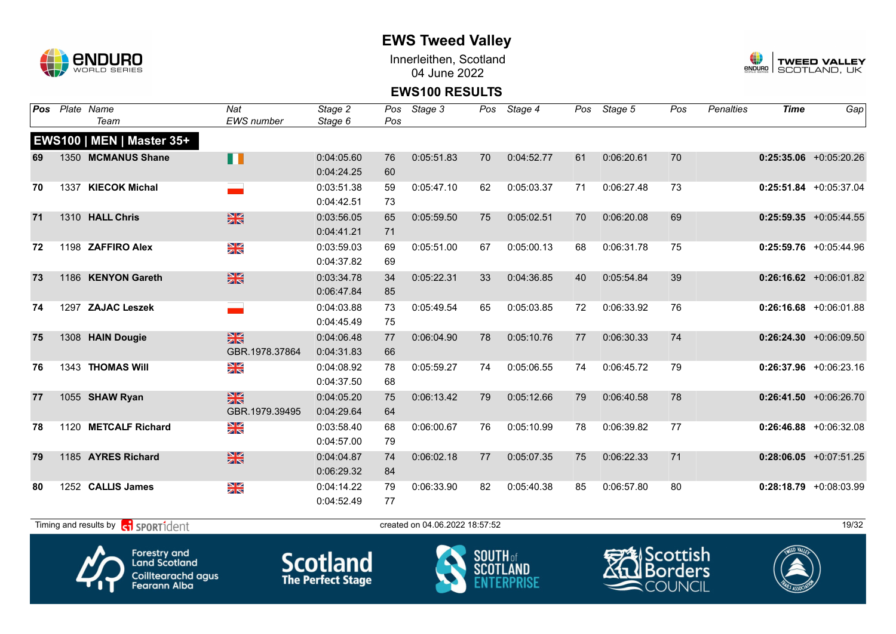

Innerleithen, Scotland 04 June 2022



#### **EWS100 RESULTS**

| <b>Pos</b> | Plate Name                       | Nat               | Stage 2    | Pos | Stage 3    |    | Pos Stage 4 | Pos | Stage 5    | Pos | <b>Penalties</b> | <b>Time</b> | Gap                       |
|------------|----------------------------------|-------------------|------------|-----|------------|----|-------------|-----|------------|-----|------------------|-------------|---------------------------|
|            | Team                             | <b>EWS</b> number | Stage 6    | Pos |            |    |             |     |            |     |                  |             |                           |
|            | <b>EWS100   MEN   Master 35+</b> |                   |            |     |            |    |             |     |            |     |                  |             |                           |
| 69         | 1350 MCMANUS Shane               | <b>II</b>         | 0:04:05.60 | 76  | 0:05:51.83 | 70 | 0:04:52.77  | 61  | 0:06:20.61 | 70  |                  |             | $0:25:35.06$ +0:05:20.26  |
|            |                                  |                   | 0:04:24.25 | 60  |            |    |             |     |            |     |                  |             |                           |
| 70         | 1337 KIECOK Michal               |                   | 0:03:51.38 | 59  | 0:05:47.10 | 62 | 0:05:03.37  | 71  | 0:06:27.48 | 73  |                  |             | $0:25:51.84$ +0:05:37.04  |
|            |                                  |                   | 0:04:42.51 | 73  |            |    |             |     |            |     |                  |             |                           |
| 71         | 1310 HALL Chris                  | $\frac{N}{N}$     | 0:03:56.05 | 65  | 0:05:59.50 | 75 | 0:05:02.51  | 70  | 0:06:20.08 | 69  |                  |             | $0:25:59.35 + 0:05:44.55$ |
|            |                                  |                   | 0:04:41.21 | 71  |            |    |             |     |            |     |                  |             |                           |
| 72         | 1198 ZAFFIRO Alex                | NK<br>ZK          | 0:03:59.03 | 69  | 0:05:51.00 | 67 | 0:05:00.13  | 68  | 0:06:31.78 | 75  |                  |             | $0:25:59.76$ +0:05:44.96  |
|            |                                  |                   | 0:04:37.82 | 69  |            |    |             |     |            |     |                  |             |                           |
| 73         | 1186 KENYON Gareth               | $\frac{N}{N}$     | 0:03:34.78 | 34  | 0:05:22.31 | 33 | 0:04:36.85  | 40  | 0:05:54.84 | 39  |                  |             | $0:26:16.62 + 0:06:01.82$ |
|            |                                  |                   | 0:06:47.84 | 85  |            |    |             |     |            |     |                  |             |                           |
| 74         | 1297 ZAJAC Leszek                |                   | 0:04:03.88 | 73  | 0:05:49.54 | 65 | 0:05:03.85  | 72  | 0:06:33.92 | 76  |                  |             | $0:26:16.68$ +0:06:01.88  |
|            |                                  |                   | 0:04:45.49 | 75  |            |    |             |     |            |     |                  |             |                           |
| 75         | 1308 HAIN Dougie                 | $\frac{N}{N}$     | 0:04:06.48 | 77  | 0:06:04.90 | 78 | 0:05:10.76  | 77  | 0:06:30.33 | 74  |                  |             | $0:26:24.30 + 0:06:09.50$ |
|            |                                  | GBR.1978.37864    | 0:04:31.83 | 66  |            |    |             |     |            |     |                  |             |                           |
| 76         | 1343 THOMAS Will                 | NK<br>ZK          | 0:04:08.92 | 78  | 0:05:59.27 | 74 | 0:05:06.55  | 74  | 0:06:45.72 | 79  |                  |             | $0:26:37.96$ +0:06:23.16  |
|            |                                  |                   | 0:04:37.50 | 68  |            |    |             |     |            |     |                  |             |                           |
| 77         | 1055 SHAW Ryan                   | $\frac{N}{N}$     | 0:04:05.20 | 75  | 0:06:13.42 | 79 | 0:05:12.66  | 79  | 0:06:40.58 | 78  |                  |             | $0:26:41.50 + 0:06:26.70$ |
|            |                                  | GBR.1979.39495    | 0:04:29.64 | 64  |            |    |             |     |            |     |                  |             |                           |
| 78         | 1120 METCALF Richard             | XX                | 0:03:58.40 | 68  | 0:06:00.67 | 76 | 0:05:10.99  | 78  | 0:06:39.82 | 77  |                  |             | $0:26:46.88$ +0:06:32.08  |
|            |                                  |                   | 0:04:57.00 | 79  |            |    |             |     |            |     |                  |             |                           |
| 79         | 1185 AYRES Richard               | $\frac{N}{N}$     | 0:04:04.87 | 74  | 0:06:02.18 | 77 | 0:05:07.35  | 75  | 0:06:22.33 | 71  |                  |             | $0:28:06.05$ +0:07:51.25  |
|            |                                  |                   | 0:06:29.32 | 84  |            |    |             |     |            |     |                  |             |                           |
| 80         | 1252 CALLIS James                | XX                | 0:04:14.22 | 79  | 0:06:33.90 | 82 | 0:05:40.38  | 85  | 0:06:57.80 | 80  |                  |             | $0:28:18.79$ +0:08:03.99  |
|            |                                  |                   | 0:04:52.49 | 77  |            |    |             |     |            |     |                  |             |                           |

 $T$ iming and results by  $\overline{c_1}$  SPORT1 $\overline{1}$  dentity that the created on 04.06.2022 18:57:52









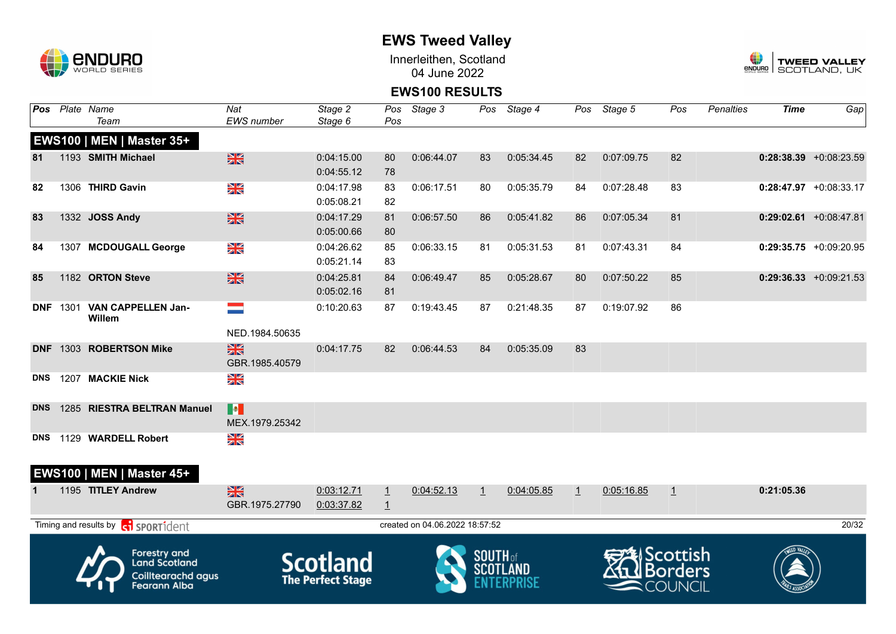

Innerleithen, Scotland 04 June 2022



### **EWS100 RESULTS**

| Pos        |      | Plate Name<br>Team                                                                       | Nat<br>EWS number               | Stage 2<br>Stage 6                          | Pos                              | Pos Stage 3                    | Pos             | Stage 4    | Pos          | Stage 5    | Pos                            | <b>Penalties</b> | <b>Time</b> | Gap                       |
|------------|------|------------------------------------------------------------------------------------------|---------------------------------|---------------------------------------------|----------------------------------|--------------------------------|-----------------|------------|--------------|------------|--------------------------------|------------------|-------------|---------------------------|
|            |      | EWS100   MEN   Master 35+                                                                |                                 |                                             |                                  |                                |                 |            |              |            |                                |                  |             |                           |
| 81         |      | 1193 SMITH Michael                                                                       | $\frac{N}{N}$                   | 0:04:15.00                                  | 80                               | 0:06:44.07                     | 83              | 0:05:34.45 | 82           | 0:07:09.75 | 82                             |                  |             | $0:28:38.39$ +0:08:23.59  |
|            |      |                                                                                          |                                 | 0:04:55.12                                  | 78                               |                                |                 |            |              |            |                                |                  |             |                           |
| 82         |      | 1306 THIRD Gavin                                                                         | NK<br>Ak                        | 0:04:17.98<br>0:05:08.21                    | 83<br>82                         | 0:06:17.51                     | 80              | 0:05:35.79 | 84           | 0:07:28.48 | 83                             |                  |             | $0:28:47.97$ +0:08:33.17  |
| 83         |      | 1332 JOSS Andy                                                                           | XK                              | 0:04:17.29<br>0:05:00.66                    | 81<br>80                         | 0:06:57.50                     | 86              | 0:05:41.82 | 86           | 0:07:05.34 | 81                             |                  |             | $0:29:02.61$ +0:08:47.81  |
| 84         |      | 1307 MCDOUGALL George                                                                    | N<br>X                          | 0:04:26.62<br>0:05:21.14                    | 85<br>83                         | 0:06:33.15                     | 81              | 0:05:31.53 | 81           | 0:07:43.31 | 84                             |                  |             | $0:29:35.75$ +0:09:20.95  |
| 85         |      | 1182 ORTON Steve                                                                         | $\frac{2}{3}$                   | 0:04:25.81<br>0:05:02.16                    | 84<br>81                         | 0:06:49.47                     | 85              | 0:05:28.67 | 80           | 0:07:50.22 | 85                             |                  |             | $0:29:36.33 + 0:09:21.53$ |
| <b>DNF</b> | 1301 | <b>VAN CAPPELLEN Jan-</b><br>Willem                                                      | $\equiv$<br>NED.1984.50635      | 0:10:20.63                                  | 87                               | 0:19:43.45                     | 87              | 0:21:48.35 | 87           | 0:19:07.92 | 86                             |                  |             |                           |
| <b>DNF</b> |      | 1303 ROBERTSON Mike                                                                      | $\frac{2}{3}$<br>GBR.1985.40579 | 0:04:17.75                                  | 82                               | 0:06:44.53                     | 84              | 0:05:35.09 | 83           |            |                                |                  |             |                           |
| <b>DNS</b> |      | 1207 MACKIE Nick                                                                         | NK<br>ZK                        |                                             |                                  |                                |                 |            |              |            |                                |                  |             |                           |
| <b>DNS</b> |      | 1285 RIESTRA BELTRAN Manuel                                                              | <b>B</b><br>MEX.1979.25342      |                                             |                                  |                                |                 |            |              |            |                                |                  |             |                           |
| <b>DNS</b> |      | 1129 WARDELL Robert                                                                      | NK<br>ZK                        |                                             |                                  |                                |                 |            |              |            |                                |                  |             |                           |
|            |      | EWS100   MEN   Master 45+                                                                |                                 |                                             |                                  |                                |                 |            |              |            |                                |                  |             |                           |
| 1          |      | 1195 TITLEY Andrew                                                                       | X<br>GBR.1975.27790             | 0:03:12.71<br>0:03:37.82                    | $\overline{1}$<br>$\overline{1}$ | 0:04:52.13                     | $\overline{1}$  | 0:04:05.85 | $\mathbf{1}$ | 0:05:16.85 | $\perp$                        |                  | 0:21:05.36  |                           |
|            |      | Timing and results by <b>contract</b> sport ident                                        |                                 |                                             |                                  | created on 04.06.2022 18:57:52 |                 |            |              |            |                                |                  |             | 20/32                     |
|            |      | <b>Forestry and</b><br><b>Land Scotland</b><br>Coilltearachd agus<br><b>Fearann Alba</b> |                                 | <b>Scotland</b><br><b>The Perfect Stage</b> |                                  |                                | <b>SOUTH</b> of |            |              |            | Scottish<br>Borders<br>:OUNCIL |                  |             |                           |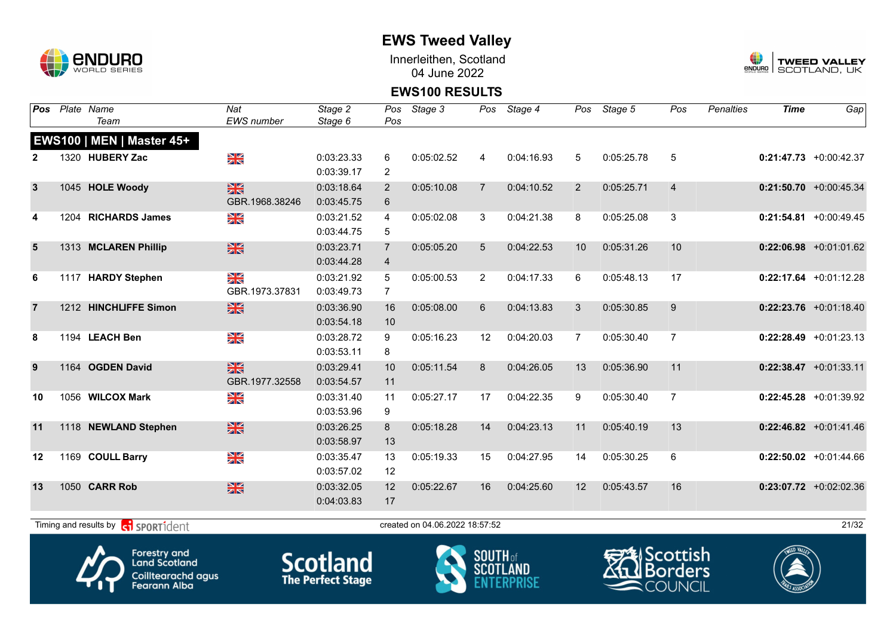

Innerleithen, Scotland 04 June 2022



#### **EWS100 RESULTS**

| Pos            | Plate Name                                | Nat            | Stage 2    | Pos            | Stage 3                        |                | Pos Stage 4 | Pos            | Stage 5    | Pos            | Penalties | <b>Time</b> | Gap                       |
|----------------|-------------------------------------------|----------------|------------|----------------|--------------------------------|----------------|-------------|----------------|------------|----------------|-----------|-------------|---------------------------|
|                | Team                                      | EWS number     | Stage 6    | Pos            |                                |                |             |                |            |                |           |             |                           |
|                | EWS100   MEN   Master 45+                 |                |            |                |                                |                |             |                |            |                |           |             |                           |
|                | 1320 HUBERY Zac                           | $\frac{N}{N}$  | 0:03:23.33 | 6              | 0:05:02.52                     | 4              | 0:04:16.93  | 5              | 0:05:25.78 | 5              |           |             | $0:21:47.73 + 0:00:42.37$ |
|                |                                           |                | 0:03:39.17 | 2              |                                |                |             |                |            |                |           |             |                           |
| $\mathbf{3}$   | 1045 HOLE Woody                           | $\frac{N}{N}$  | 0:03:18.64 | 2              | 0:05:10.08                     | $\overline{7}$ | 0:04:10.52  | $\overline{2}$ | 0:05:25.71 | $\overline{4}$ |           |             | $0:21:50.70$ +0:00:45.34  |
|                |                                           | GBR.1968.38246 | 0:03:45.75 | 6              |                                |                |             |                |            |                |           |             |                           |
| 4              | 1204 RICHARDS James                       | $\frac{N}{N}$  | 0:03:21.52 | 4              | 0:05:02.08                     | 3              | 0:04:21.38  | 8              | 0:05:25.08 | 3              |           |             | $0:21:54.81$ +0:00:49.45  |
|                |                                           |                | 0:03:44.75 | 5              |                                |                |             |                |            |                |           |             |                           |
| $5\phantom{1}$ | 1313 MCLAREN Phillip                      | $\frac{N}{N}$  | 0:03:23.71 | $\overline{7}$ | 0:05:05.20                     | 5              | 0:04:22.53  | 10             | 0:05:31.26 | 10             |           |             | $0:22:06.98$ +0:01:01.62  |
|                |                                           |                | 0:03:44.28 | $\overline{4}$ |                                |                |             |                |            |                |           |             |                           |
| 6              | 1117 HARDY Stephen                        | XK<br>X        | 0:03:21.92 | 5              | 0:05:00.53                     | 2              | 0:04:17.33  | 6              | 0:05:48.13 | 17             |           |             | $0:22:17.64$ +0:01:12.28  |
|                |                                           | GBR.1973.37831 | 0:03:49.73 | $\overline{7}$ |                                |                |             |                |            |                |           |             |                           |
|                | 1212 HINCHLIFFE Simon                     | $\frac{N}{N}$  | 0:03:36.90 | 16             | 0:05:08.00                     | 6              | 0:04:13.83  | 3              | 0:05:30.85 | 9              |           |             | $0:22:23.76$ +0:01:18.40  |
|                |                                           |                | 0:03:54.18 | 10             |                                |                |             |                |            |                |           |             |                           |
| 8              | 1194 LEACH Ben                            | XK<br>X        | 0:03:28.72 | 9              | 0:05:16.23                     | 12             | 0:04:20.03  | $\overline{7}$ | 0:05:30.40 | $\overline{7}$ |           |             | $0:22:28.49$ +0:01:23.13  |
|                |                                           |                | 0:03:53.11 | 8              |                                |                |             |                |            |                |           |             |                           |
| 9              | 1164 OGDEN David                          | 米              | 0:03:29.41 | 10             | 0:05:11.54                     | 8              | 0:04:26.05  | 13             | 0:05:36.90 | 11             |           |             | $0:22:38.47$ +0:01:33.11  |
|                |                                           | GBR.1977.32558 | 0:03:54.57 | 11             |                                |                |             |                |            |                |           |             |                           |
| 10             | 1056 WILCOX Mark                          | $\frac{N}{N}$  | 0:03:31.40 | 11             | 0:05:27.17                     | 17             | 0:04:22.35  | 9              | 0:05:30.40 | $\overline{7}$ |           |             | $0:22:45.28$ +0:01:39.92  |
|                |                                           |                | 0:03:53.96 | 9              |                                |                |             |                |            |                |           |             |                           |
| 11             | 1118 NEWLAND Stephen                      | $\frac{N}{N}$  | 0:03:26.25 | 8              | 0:05:18.28                     | 14             | 0:04:23.13  | 11             | 0:05:40.19 | 13             |           |             | $0:22:46.82$ +0:01:41.46  |
|                |                                           |                | 0:03:58.97 | 13             |                                |                |             |                |            |                |           |             |                           |
| 12             | 1169 COULL Barry                          | $\frac{N}{N}$  | 0:03:35.47 | 13             | 0:05:19.33                     | 15             | 0:04:27.95  | 14             | 0:05:30.25 | 6              |           |             | $0:22:50.02$ +0:01:44.66  |
|                |                                           |                | 0:03:57.02 | 12             |                                |                |             |                |            |                |           |             |                           |
| 13             | 1050 CARR Rob                             | $\frac{N}{N}$  | 0:03:32.05 | 12             | 0:05:22.67                     | 16             | 0:04:25.60  | 12             | 0:05:43.57 | 16             |           |             | $0:23:07.72$ +0:02:02.36  |
|                |                                           |                | 0:04:03.83 | 17             |                                |                |             |                |            |                |           |             |                           |
|                |                                           |                |            |                |                                |                |             |                |            |                |           |             |                           |
|                | Timing and results by <b>R</b> SPORT1dent |                |            |                | created on 04.06.2022 18:57:52 |                |             |                |            |                |           |             | 21/32                     |



Forestry and<br>Land Scotland Coilltearachd agus<br>Fearann Alba **Scotland** 



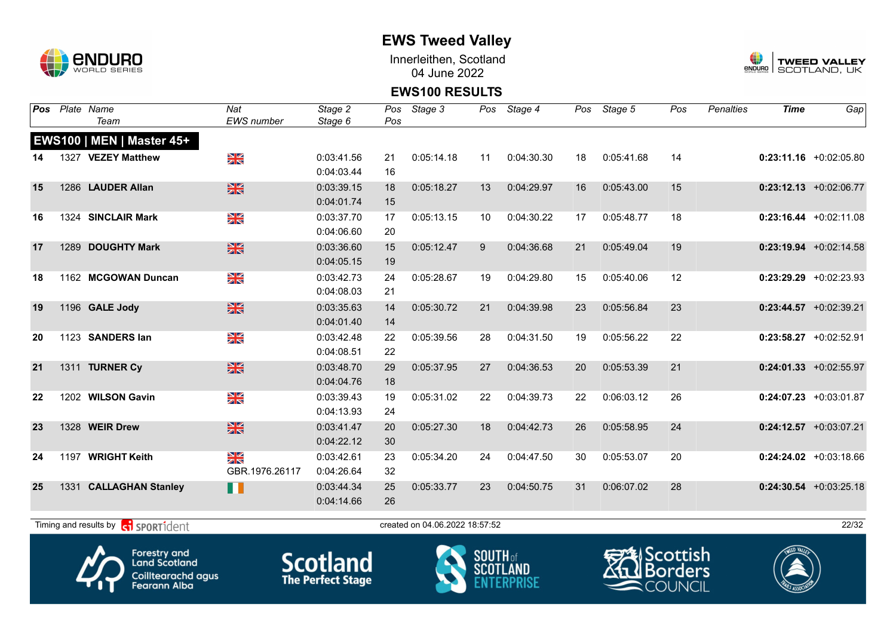

Innerleithen, Scotland 04 June 2022



### **EWS100 RESULTS**

| Pos |      | Plate Name<br>Team                                        | $\overline{Nat}$<br><b>EWS</b> number | Stage 2         | Pos | Stage 3                        | Pos             | Stage 4          | Pos | Stage 5             | Pos | <b>Penalties</b> | <b>Time</b>      | Gap                       |
|-----|------|-----------------------------------------------------------|---------------------------------------|-----------------|-----|--------------------------------|-----------------|------------------|-----|---------------------|-----|------------------|------------------|---------------------------|
|     |      |                                                           |                                       | Stage 6         | Pos |                                |                 |                  |     |                     |     |                  |                  |                           |
|     |      | EWS100   MEN   Master 45+                                 |                                       |                 |     |                                |                 |                  |     |                     |     |                  |                  |                           |
| 14  |      | 1327 VEZEY Matthew                                        | NK<br>ZK                              | 0:03:41.56      | 21  | 0:05:14.18                     | 11              | 0:04:30.30       | 18  | 0:05:41.68          | 14  |                  |                  | $0:23:11.16$ +0:02:05.80  |
|     |      |                                                           |                                       | 0:04:03.44      | 16  |                                |                 |                  |     |                     |     |                  |                  |                           |
| 15  |      | 1286 LAUDER Allan                                         | $\frac{N}{N}$                         | 0:03:39.15      | 18  | 0:05:18.27                     | 13              | 0:04:29.97       | 16  | 0:05:43.00          | 15  |                  |                  | $0:23:12.13 + 0:02:06.77$ |
|     |      |                                                           |                                       | 0:04:01.74      | 15  |                                |                 |                  |     |                     |     |                  |                  |                           |
| 16  | 1324 | <b>SINCLAIR Mark</b>                                      | NK<br>ZK                              | 0:03:37.70      | 17  | 0:05:13.15                     | 10              | 0:04:30.22       | 17  | 0:05:48.77          | 18  |                  |                  | $0:23:16.44 +0:02:11.08$  |
|     |      |                                                           |                                       | 0:04:06.60      | 20  |                                |                 |                  |     |                     |     |                  |                  |                           |
| 17  |      | 1289 DOUGHTY Mark                                         | $\frac{N}{N}$                         | 0:03:36.60      | 15  | 0:05:12.47                     | 9               | 0:04:36.68       | 21  | 0:05:49.04          | 19  |                  |                  | $0:23:19.94 +0:02:14.58$  |
|     |      |                                                           |                                       | 0:04:05.15      | 19  |                                |                 |                  |     |                     |     |                  |                  |                           |
| 18  |      | 1162 MCGOWAN Duncan                                       | NK<br>ZK                              | 0:03:42.73      | 24  | 0:05:28.67                     | 19              | 0:04:29.80       | 15  | 0:05:40.06          | 12  |                  |                  | $0:23:29.29 + 0:02:23.93$ |
|     |      |                                                           |                                       | 0:04:08.03      | 21  |                                |                 |                  |     |                     |     |                  |                  |                           |
| 19  |      | 1196 GALE Jody                                            | $\frac{N}{N}$                         | 0:03:35.63      | 14  | 0:05:30.72                     | 21              | 0:04:39.98       | 23  | 0:05:56.84          | 23  |                  |                  | $0:23:44.57$ +0:02:39.21  |
|     |      |                                                           |                                       | 0:04:01.40      | 14  |                                |                 |                  |     |                     |     |                  |                  |                           |
| 20  |      | 1123 SANDERS lan                                          | NK<br>ZK                              | 0:03:42.48      | 22  | 0:05:39.56                     | 28              | 0:04:31.50       | 19  | 0:05:56.22          | 22  |                  |                  | $0:23:58.27 +0:02:52.91$  |
|     |      |                                                           |                                       | 0:04:08.51      | 22  |                                |                 |                  |     |                     |     |                  |                  |                           |
| 21  |      | 1311 TURNER Cy                                            | $\frac{N}{N}$                         | 0:03:48.70      | 29  | 0:05:37.95                     | 27              | 0:04:36.53       | 20  | 0:05:53.39          | 21  |                  |                  | $0:24:01.33 + 0:02:55.97$ |
|     |      |                                                           |                                       | 0:04:04.76      | 18  |                                |                 |                  |     |                     |     |                  |                  |                           |
| 22  |      | 1202 WILSON Gavin                                         | N<br>X                                | 0:03:39.43      | 19  | 0:05:31.02                     | 22              | 0:04:39.73       | 22  | 0:06:03.12          | 26  |                  |                  | $0:24:07.23 +0:03:01.87$  |
|     |      |                                                           |                                       | 0:04:13.93      | 24  |                                |                 |                  |     |                     |     |                  |                  |                           |
| 23  |      | 1328 WEIR Drew                                            | $\frac{N}{N}$                         | 0:03:41.47      | 20  | 0:05:27.30                     | 18              | 0:04:42.73       | 26  | 0:05:58.95          | 24  |                  |                  | $0:24:12.57$ +0:03:07.21  |
|     |      |                                                           |                                       | 0:04:22.12      | 30  |                                |                 |                  |     |                     |     |                  |                  |                           |
| 24  |      | 1197 WRIGHT Keith                                         | X                                     | 0:03:42.61      | 23  | 0:05:34.20                     | 24              | 0:04:47.50       | 30  | 0:05:53.07          | 20  |                  |                  | $0:24:24.02$ +0:03:18.66  |
|     |      |                                                           | GBR.1976.26117                        | 0:04:26.64      | 32  |                                |                 |                  |     |                     |     |                  |                  |                           |
| 25  | 1331 | <b>CALLAGHAN Stanley</b>                                  | n                                     | 0:03:44.34      | 25  | 0:05:33.77                     | 23              | 0:04:50.75       | 31  | 0:06:07.02          | 28  |                  |                  | $0:24:30.54$ +0:03:25.18  |
|     |      |                                                           |                                       | 0:04:14.66      | 26  |                                |                 |                  |     |                     |     |                  |                  |                           |
|     |      |                                                           |                                       |                 |     |                                |                 |                  |     |                     |     |                  |                  |                           |
|     |      | Timing and results by <b>container to the SPORT1</b> dent |                                       |                 |     | created on 04.06.2022 18:57:52 |                 |                  |     |                     |     |                  |                  | 22/32                     |
|     |      | <b>Forestry and</b>                                       |                                       |                 |     |                                |                 |                  |     |                     |     |                  |                  |                           |
|     |      | <b>Land Scotland</b>                                      |                                       | <b>Scotland</b> |     |                                | <b>SOUTH</b> of | <b>CCOTI AND</b> |     | <b>SAI Scottish</b> |     |                  | $\blacktriangle$ |                           |



Coilltearachd agus<br>Fearann Alba





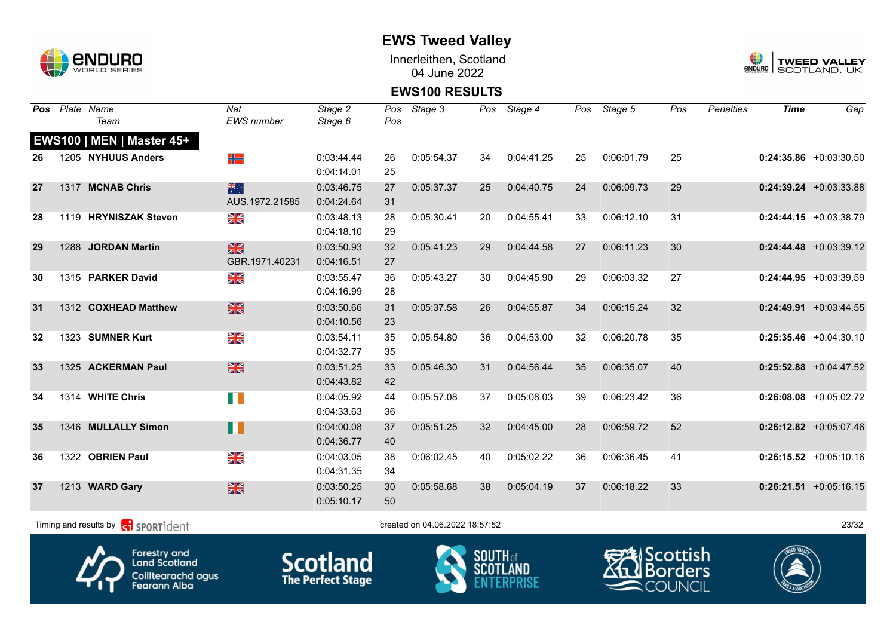

Innerleithen, Scotland 04 June 2022



### **EWS100 RESULTS**

| Pos | Plate Name<br>Team                         | Nat<br><b>EWS</b> number | Stage 2<br>Stage 6 | Pos<br>Pos | Stage 3                        | Pos          | Stage 4    | Pos | Stage 5                 | Pos | <b>Penalties</b> | <b>Time</b> | Gap                       |
|-----|--------------------------------------------|--------------------------|--------------------|------------|--------------------------------|--------------|------------|-----|-------------------------|-----|------------------|-------------|---------------------------|
|     |                                            |                          |                    |            |                                |              |            |     |                         |     |                  |             |                           |
|     | EWS100   MEN   Master 45+                  |                          |                    |            |                                |              |            |     |                         |     |                  |             |                           |
| 26  | 1205 NYHUUS Anders                         | ╬                        | 0:03:44.44         | 26         | 0:05:54.37                     | 34           | 0:04:41.25 | 25  | 0:06:01.79              | 25  |                  |             | $0:24:35.86 + 0:03:30.50$ |
|     |                                            |                          | 0:04:14.01         | 25         |                                |              |            |     |                         |     |                  |             |                           |
| 27  | 1317 MCNAB Chris                           | 米村                       | 0:03:46.75         | 27         | 0:05:37.37                     | 25           | 0:04:40.75 | 24  | 0:06:09.73              | 29  |                  |             | $0:24:39.24 +0:03:33.88$  |
|     |                                            | AUS.1972.21585           | 0:04:24.64         | 31         |                                |              |            |     |                         |     |                  |             |                           |
| 28  | 1119 HRYNISZAK Steven                      | XK<br>X                  | 0:03:48.13         | 28         | 0:05:30.41                     | 20           | 0:04:55.41 | 33  | 0:06:12.10              | 31  |                  |             | $0:24:44.15$ +0:03:38.79  |
|     |                                            |                          | 0:04:18.10         | 29         |                                |              |            |     |                         |     |                  |             |                           |
| 29  | 1288 JORDAN Martin                         | $\frac{N}{N}$            | 0:03:50.93         | 32         | 0:05:41.23                     | 29           | 0:04:44.58 | 27  | 0:06:11.23              | 30  |                  |             | $0:24:44.48$ +0:03:39.12  |
|     |                                            | GBR.1971.40231           | 0:04:16.51         | 27         |                                |              |            |     |                         |     |                  |             |                           |
| 30  | 1315 PARKER David                          | XK<br>X                  | 0:03:55.47         | 36         | 0:05:43.27                     | 30           | 0:04:45.90 | 29  | 0:06:03.32              | 27  |                  |             | $0:24:44.95 +0:03:39.59$  |
|     |                                            |                          | 0:04:16.99         | 28         |                                |              |            |     |                         |     |                  |             |                           |
| 31  | 1312 COXHEAD Matthew                       | ※                        | 0:03:50.66         | 31         | 0:05:37.58                     | 26           | 0:04:55.87 | 34  | 0:06:15.24              | 32  |                  |             | $0:24:49.91$ +0:03:44.55  |
|     |                                            |                          | 0:04:10.56         | 23         |                                |              |            |     |                         |     |                  |             |                           |
| 32  | 1323 SUMNER Kurt                           | XK<br>X                  | 0:03:54.11         | 35         | 0:05:54.80                     | 36           | 0:04:53.00 | 32  | 0:06:20.78              | 35  |                  |             | $0:25:35.46 + 0:04:30.10$ |
|     |                                            |                          | 0:04:32.77         | 35         |                                |              |            |     |                         |     |                  |             |                           |
| 33  | 1325 ACKERMAN Paul                         | $\frac{N}{N}$            | 0:03:51.25         | 33         | 0:05:46.30                     | 31           | 0:04:56.44 | 35  | 0:06:35.07              | 40  |                  |             | $0:25:52.88$ +0:04:47.52  |
|     |                                            |                          | 0:04:43.82         | 42         |                                |              |            |     |                         |     |                  |             |                           |
| 34  | 1314 WHITE Chris                           | H                        | 0:04:05.92         | 44         | 0:05:57.08                     | 37           | 0:05:08.03 | 39  | 0:06:23.42              | 36  |                  |             | $0:26:08.08$ +0:05:02.72  |
|     |                                            |                          | 0:04:33.63         | 36         |                                |              |            |     |                         |     |                  |             |                           |
| 35  | 1346 MULLALLY Simon                        | H                        | 0:04:00.08         | 37         | 0:05:51.25                     | 32           | 0:04:45.00 | 28  | 0:06:59.72              | 52  |                  |             | $0:26:12.82$ +0:05:07.46  |
|     |                                            |                          | 0:04:36.77         | 40         |                                |              |            |     |                         |     |                  |             |                           |
| 36  | 1322 OBRIEN Paul                           | N<br>X                   | 0:04:03.05         | 38         | 0:06:02.45                     | 40           | 0:05:02.22 | 36  | 0:06:36.45              | 41  |                  |             | $0:26:15.52 + 0:05:10.16$ |
|     |                                            |                          | 0:04:31.35         | 34         |                                |              |            |     |                         |     |                  |             |                           |
| 37  | 1213 WARD Gary                             | $\frac{N}{N}$            | 0:03:50.25         | 30         | 0:05:58.68                     | 38           | 0:05:04.19 | 37  | 0:06:18.22              | 33  |                  |             | $0:26:21.51 + 0:05:16.15$ |
|     |                                            |                          | 0:05:10.17         | 50         |                                |              |            |     |                         |     |                  |             |                           |
|     |                                            |                          |                    |            |                                |              |            |     |                         |     |                  |             |                           |
|     | Timing and results by <b>CO</b> SPORT1dent |                          |                    |            | created on 04.06.2022 18:57:52 |              |            |     |                         |     |                  |             | 23/32                     |
|     |                                            |                          |                    |            |                                |              |            |     | $\mathcal{L}$ (Contrict |     |                  | WEED VALLEY |                           |
|     | А<br><b>Forestry and</b>                   |                          |                    |            |                                | <b>COUTH</b> |            |     |                         |     |                  |             |                           |



**Land Scotland** Coilltearachd agus<br>Fearann Alba





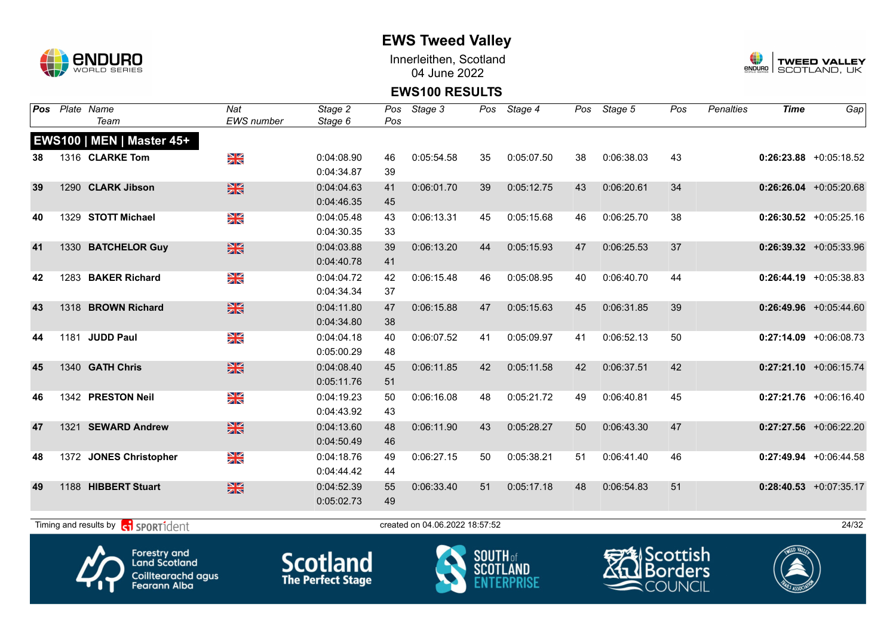

Innerleithen, Scotland 04 June 2022



#### **EWS100 RESULTS**

| Pos |      | Plate Name                                   | Nat               | Stage 2    | Pos | Stage 3                        |    | Pos Stage 4 | Pos | Stage 5    | Pos | <b>Penalties</b> | <b>Time</b> | Gap                      |
|-----|------|----------------------------------------------|-------------------|------------|-----|--------------------------------|----|-------------|-----|------------|-----|------------------|-------------|--------------------------|
|     |      | Team                                         | <b>EWS</b> number | Stage 6    | Pos |                                |    |             |     |            |     |                  |             |                          |
|     |      | EWS100   MEN   Master 45+                    |                   |            |     |                                |    |             |     |            |     |                  |             |                          |
| 38  |      | 1316 CLARKE Tom                              | NK<br>ZK          | 0:04:08.90 | 46  | 0:05:54.58                     | 35 | 0:05:07.50  | 38  | 0:06:38.03 | 43  |                  |             | $0:26:23.88$ +0:05:18.52 |
|     |      |                                              |                   | 0:04:34.87 | 39  |                                |    |             |     |            |     |                  |             |                          |
| 39  |      | 1290 CLARK Jibson                            | $\frac{N}{N}$     | 0:04:04.63 | 41  | 0:06:01.70                     | 39 | 0:05:12.75  | 43  | 0:06:20.61 | 34  |                  |             | $0:26:26.04$ +0:05:20.68 |
|     |      |                                              |                   | 0:04:46.35 | 45  |                                |    |             |     |            |     |                  |             |                          |
| 40  |      | 1329 STOTT Michael                           | NK<br>ZK          | 0:04:05.48 | 43  | 0:06:13.31                     | 45 | 0:05:15.68  | 46  | 0:06:25.70 | 38  |                  |             | $0:26:30.52$ +0:05:25.16 |
|     |      |                                              |                   | 0:04:30.35 | 33  |                                |    |             |     |            |     |                  |             |                          |
| 41  |      | 1330 BATCHELOR Guy                           | $\frac{N}{N}$     | 0:04:03.88 | 39  | 0:06:13.20                     | 44 | 0:05:15.93  | 47  | 0:06:25.53 | 37  |                  |             | $0:26:39.32$ +0:05:33.96 |
|     |      |                                              |                   | 0:04:40.78 | 41  |                                |    |             |     |            |     |                  |             |                          |
| 42  |      | 1283 BAKER Richard                           | NK<br>ZK          | 0:04:04.72 | 42  | 0:06:15.48                     | 46 | 0:05:08.95  | 40  | 0:06:40.70 | 44  |                  |             | $0:26:44.19$ +0:05:38.83 |
|     |      |                                              |                   | 0:04:34.34 | 37  |                                |    |             |     |            |     |                  |             |                          |
| 43  |      | 1318 BROWN Richard                           | $\frac{N}{N}$     | 0:04:11.80 | 47  | 0:06:15.88                     | 47 | 0:05:15.63  | 45  | 0:06:31.85 | 39  |                  |             | $0:26:49.96$ +0:05:44.60 |
|     |      |                                              |                   | 0:04:34.80 | 38  |                                |    |             |     |            |     |                  |             |                          |
| 44  | 1181 | <b>JUDD Paul</b>                             | XK<br>ZK          | 0:04:04.18 | 40  | 0:06:07.52                     | 41 | 0:05:09.97  | 41  | 0:06:52.13 | 50  |                  |             | $0:27:14.09$ +0:06:08.73 |
|     |      |                                              |                   | 0:05:00.29 | 48  |                                |    |             |     |            |     |                  |             |                          |
| 45  |      | 1340 GATH Chris                              | $\frac{N}{N}$     | 0:04:08.40 | 45  | 0:06:11.85                     | 42 | 0:05:11.58  | 42  | 0:06:37.51 | 42  |                  |             | $0:27:21.10$ +0:06:15.74 |
|     |      |                                              |                   | 0:05:11.76 | 51  |                                |    |             |     |            |     |                  |             |                          |
| 46  |      | 1342 PRESTON Neil                            | ×k<br>X           | 0:04:19.23 | 50  | 0:06:16.08                     | 48 | 0:05:21.72  | 49  | 0:06:40.81 | 45  |                  |             | $0:27:21.76$ +0:06:16.40 |
|     |      |                                              |                   | 0:04:43.92 | 43  |                                |    |             |     |            |     |                  |             |                          |
| 47  |      | 1321 SEWARD Andrew                           | $\frac{N}{N}$     | 0:04:13.60 | 48  | 0:06:11.90                     | 43 | 0:05:28.27  | 50  | 0:06:43.30 | 47  |                  |             | $0:27:27.56$ +0:06:22.20 |
|     |      |                                              |                   | 0:04:50.49 | 46  |                                |    |             |     |            |     |                  |             |                          |
| 48  |      | 1372 JONES Christopher                       | N<br>X            | 0:04:18.76 | 49  | 0:06:27.15                     | 50 | 0:05:38.21  | 51  | 0:06:41.40 | 46  |                  |             | $0:27:49.94$ +0:06:44.58 |
|     |      |                                              |                   | 0:04:44.42 | 44  |                                |    |             |     |            |     |                  |             |                          |
| 49  |      | 1188 HIBBERT Stuart                          | $\frac{N}{N}$     | 0:04:52.39 | 55  | 0:06:33.40                     | 51 | 0:05:17.18  | 48  | 0:06:54.83 | 51  |                  |             | $0:28:40.53$ +0:07:35.17 |
|     |      |                                              |                   | 0:05:02.73 | 49  |                                |    |             |     |            |     |                  |             |                          |
|     |      |                                              |                   |            |     |                                |    |             |     |            |     |                  |             |                          |
|     |      | <b>R</b> sportident<br>Timing and results by |                   |            |     | created on 04.06.2022 18:57:52 |    |             |     |            |     |                  |             | 24/32                    |
|     |      |                                              |                   |            |     |                                |    |             |     |            |     |                  |             |                          |







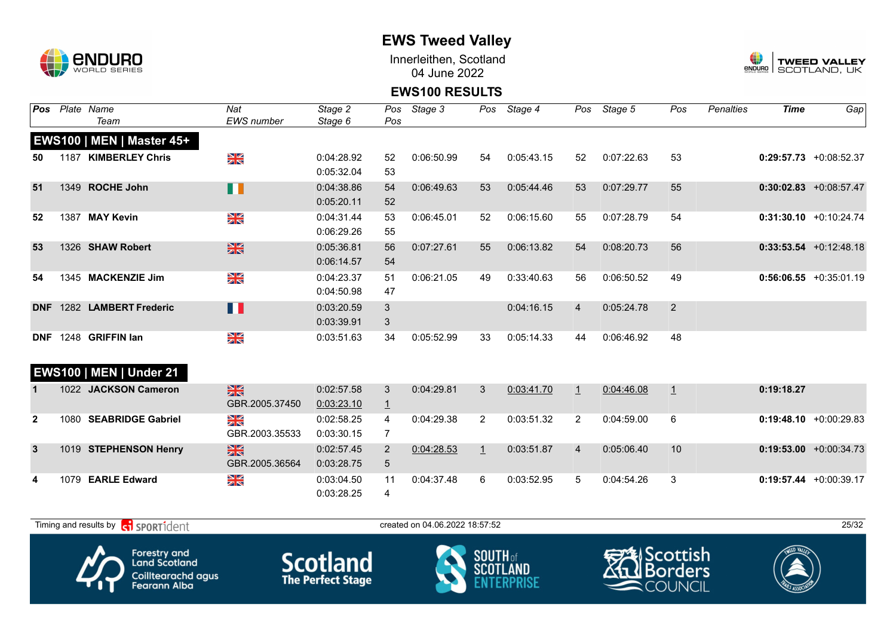

Innerleithen, Scotland 04 June 2022



#### **EWS100 RESULTS**

| <b>Pos</b>     | Plate Name                     | Nat               | Stage 2    |                | Pos Stage 3 |              | Pos Stage 4 |                | Pos Stage 5 | Pos | Penalties | <b>Time</b> | Gap                       |
|----------------|--------------------------------|-------------------|------------|----------------|-------------|--------------|-------------|----------------|-------------|-----|-----------|-------------|---------------------------|
|                | Team                           | <b>EWS</b> number | Stage 6    | Pos            |             |              |             |                |             |     |           |             |                           |
|                | EWS100   MEN   Master 45+      |                   |            |                |             |              |             |                |             |     |           |             |                           |
| 50             | 1187 KIMBERLEY Chris           | NK<br>AR          | 0:04:28.92 | 52             | 0:06:50.99  | 54           | 0:05:43.15  | 52             | 0:07:22.63  | 53  |           |             | $0:29:57.73$ +0:08:52.37  |
|                |                                |                   | 0:05:32.04 | 53             |             |              |             |                |             |     |           |             |                           |
| 51             | 1349 ROCHE John                | H                 | 0:04:38.86 | 54             | 0:06:49.63  | 53           | 0:05:44.46  | 53             | 0:07:29.77  | 55  |           |             | $0:30:02.83$ +0:08:57.47  |
|                |                                |                   | 0:05:20.11 | 52             |             |              |             |                |             |     |           |             |                           |
| 52             | 1387 MAY Kevin                 | ≫<br>Zk           | 0:04:31.44 | 53             | 0:06:45.01  | 52           | 0:06:15.60  | 55             | 0:07:28.79  | 54  |           |             | $0:31:30.10 + 0:10:24.74$ |
|                |                                |                   | 0:06:29.26 | 55             |             |              |             |                |             |     |           |             |                           |
| 53             | 1326 SHAW Robert               | $\frac{N}{N}$     | 0:05:36.81 | 56             | 0:07:27.61  | 55           | 0:06:13.82  | 54             | 0:08:20.73  | 56  |           |             | $0:33:53.54$ +0:12:48.18  |
|                |                                |                   | 0:06:14.57 | 54             |             |              |             |                |             |     |           |             |                           |
| 54             | 1345 MACKENZIE Jim             | NK<br>Ak          | 0:04:23.37 | 51             | 0:06:21.05  | 49           | 0:33:40.63  | 56             | 0:06:50.52  | 49  |           |             | $0:56:06.55 + 0:35:01.19$ |
|                |                                |                   | 0:04:50.98 | 47             |             |              |             |                |             |     |           |             |                           |
|                | DNF 1282 LAMBERT Frederic      | П                 | 0:03:20.59 | 3              |             |              | 0:04:16.15  | $\overline{4}$ | 0:05:24.78  | 2   |           |             |                           |
|                |                                |                   | 0:03:39.91 | 3              |             |              |             |                |             |     |           |             |                           |
|                | DNF 1248 GRIFFIN Ian           | NK<br>Ak          | 0:03:51.63 | 34             | 0:05:52.99  | 33           | 0:05:14.33  | 44             | 0:06:46.92  | 48  |           |             |                           |
|                |                                |                   |            |                |             |              |             |                |             |     |           |             |                           |
|                | <b>EWS100   MEN   Under 21</b> |                   |            |                |             |              |             |                |             |     |           |             |                           |
|                | 1022 JACKSON Cameron           | $\frac{N}{N}$     | 0:02:57.58 | 3              | 0:04:29.81  | 3            | 0:03:41.70  | $\mathbf{1}$   | 0:04:46.08  | 1   |           | 0:19:18.27  |                           |
|                |                                | GBR.2005.37450    | 0:03:23.10 | $\overline{1}$ |             |              |             |                |             |     |           |             |                           |
| $\overline{2}$ | 1080 SEABRIDGE Gabriel         | NK<br>ZK          | 0:02:58.25 | 4              | 0:04:29.38  | 2            | 0:03:51.32  | $\overline{2}$ | 0:04:59.00  | 6   |           |             | $0:19:48.10 + 0:00:29.83$ |
|                |                                | GBR.2003.35533    | 0:03:30.15 | 7              |             |              |             |                |             |     |           |             |                           |
| $\mathbf{3}$   | 1019 STEPHENSON Henry          | $\frac{N}{N}$     | 0:02:57.45 | $\overline{2}$ | 0:04:28.53  | $\mathbf{1}$ | 0:03:51.87  | $\overline{4}$ | 0:05:06.40  | 10  |           |             | $0:19:53.00 + 0:00:34.73$ |
|                |                                | GBR.2005.36564    | 0:03:28.75 | 5              |             |              |             |                |             |     |           |             |                           |
| 4              | 1079 EARLE Edward              | NK<br>ZK          | 0:03:04.50 | 11             | 0:04:37.48  | 6            | 0:03:52.95  | 5              | 0:04:54.26  | 3   |           |             | $0:19:57.44$ +0:00:39.17  |
|                |                                |                   | 0:03:28.25 | 4              |             |              |             |                |             |     |           |             |                           |
|                |                                |                   |            |                |             |              |             |                |             |     |           |             |                           |

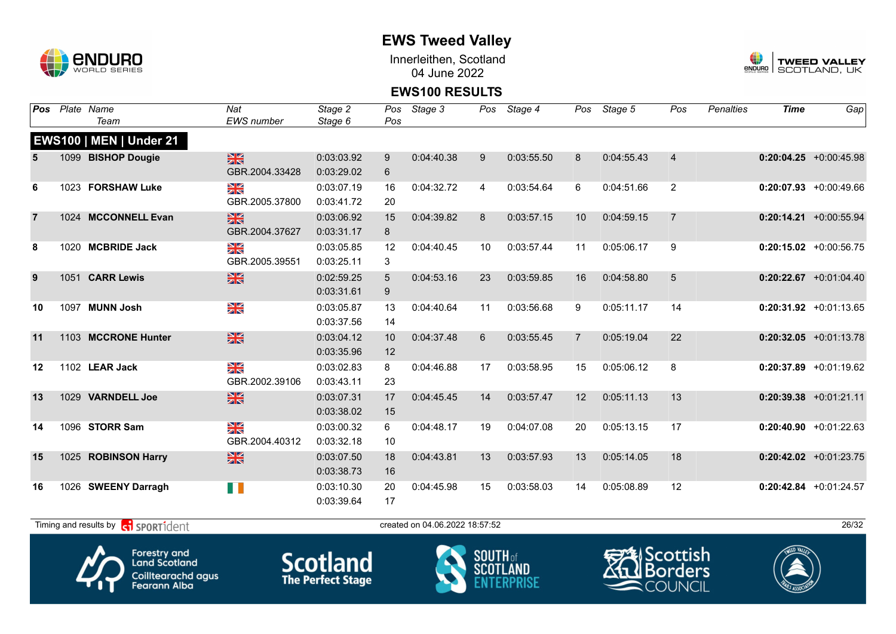

Innerleithen, Scotland 04 June 2022



#### **EWS100 RESULTS**

| <b>EWS</b> number<br>Team<br>Stage 6<br>Pos<br><b>EWS100   MEN   Under 21</b><br>$\frac{N}{N}$<br>1099 BISHOP Dougie<br>0:03:03.92<br>0:04:40.38<br>0:03:55.50<br>0:04:55.43<br>$\overline{4}$<br>$0:20:04.25$ +0:00:45.98<br>9<br>9<br>8<br>5<br>GBR.2004.33428<br>0:03:29.02<br>6<br>XK<br>$\overline{2}$<br>1023 FORSHAW Luke<br>0:03:07.19<br>0:04:32.72<br>0:03:54.64<br>6<br>0:04:51.66<br>$0:20:07.93 + 0:00:49.66$<br>16<br>6<br>4<br>GBR.2005.37800<br>20<br>0:03:41.72<br>黑<br>1024 MCCONNELL Evan<br>$\overline{7}$<br>$0:20:14.21$ +0:00:55.94<br>$\overline{7}$<br>0:03:06.92<br>0:04:39.82<br>8<br>0:03:57.15<br>10<br>0:04:59.15<br>15<br>GBR.2004.37627<br>0:03:31.17<br>8<br>≥k<br>1020 MCBRIDE Jack<br>0:03:57.44<br>9<br>8<br>0:03:05.85<br>0:04:40.45<br>10<br>0:05:06.17<br>$0:20:15.02$ +0:00:56.75<br>12<br>11<br>GBR.2005.39551<br>3<br>0:03:25.11<br>$\frac{N}{N}$<br>5<br>9<br>1051 CARR Lewis<br>0:04:53.16<br>$0:20:22.67$ +0:01:04.40<br>0:02:59.25<br>5<br>23<br>0:03:59.85<br>16<br>0:04:58.80<br>0:03:31.61<br>9<br>NK<br>ZK<br><b>MUNN Josh</b><br>0:03:56.68<br>0:05:11.17<br>$0:20:31.92$ +0:01:13.65<br>0:03:05.87<br>13<br>0:04:40.64<br>9<br>14<br>10<br>1097<br>11<br>0:03:37.56<br>14<br>$\frac{N}{N}$<br>1103 MCCRONE Hunter<br>22<br>0:03:04.12<br>0:04:37.48<br>6<br>0:03:55.45<br>$\overline{7}$<br>0:05:19.04<br>$0:20:32.05$ +0:01:13.78<br>11<br>10 | <b>Pos</b> | Plate Name | Nat | Stage 2    | Pos | Stage 3 | Pos | Stage 4 | Pos | Stage 5 | Pos | <b>Penalties</b> | <b>Time</b> | Gap |
|----------------------------------------------------------------------------------------------------------------------------------------------------------------------------------------------------------------------------------------------------------------------------------------------------------------------------------------------------------------------------------------------------------------------------------------------------------------------------------------------------------------------------------------------------------------------------------------------------------------------------------------------------------------------------------------------------------------------------------------------------------------------------------------------------------------------------------------------------------------------------------------------------------------------------------------------------------------------------------------------------------------------------------------------------------------------------------------------------------------------------------------------------------------------------------------------------------------------------------------------------------------------------------------------------------------------------------------------------------------------------------------------------|------------|------------|-----|------------|-----|---------|-----|---------|-----|---------|-----|------------------|-------------|-----|
|                                                                                                                                                                                                                                                                                                                                                                                                                                                                                                                                                                                                                                                                                                                                                                                                                                                                                                                                                                                                                                                                                                                                                                                                                                                                                                                                                                                                    |            |            |     |            |     |         |     |         |     |         |     |                  |             |     |
|                                                                                                                                                                                                                                                                                                                                                                                                                                                                                                                                                                                                                                                                                                                                                                                                                                                                                                                                                                                                                                                                                                                                                                                                                                                                                                                                                                                                    |            |            |     |            |     |         |     |         |     |         |     |                  |             |     |
|                                                                                                                                                                                                                                                                                                                                                                                                                                                                                                                                                                                                                                                                                                                                                                                                                                                                                                                                                                                                                                                                                                                                                                                                                                                                                                                                                                                                    |            |            |     |            |     |         |     |         |     |         |     |                  |             |     |
|                                                                                                                                                                                                                                                                                                                                                                                                                                                                                                                                                                                                                                                                                                                                                                                                                                                                                                                                                                                                                                                                                                                                                                                                                                                                                                                                                                                                    |            |            |     |            |     |         |     |         |     |         |     |                  |             |     |
|                                                                                                                                                                                                                                                                                                                                                                                                                                                                                                                                                                                                                                                                                                                                                                                                                                                                                                                                                                                                                                                                                                                                                                                                                                                                                                                                                                                                    |            |            |     |            |     |         |     |         |     |         |     |                  |             |     |
|                                                                                                                                                                                                                                                                                                                                                                                                                                                                                                                                                                                                                                                                                                                                                                                                                                                                                                                                                                                                                                                                                                                                                                                                                                                                                                                                                                                                    |            |            |     |            |     |         |     |         |     |         |     |                  |             |     |
|                                                                                                                                                                                                                                                                                                                                                                                                                                                                                                                                                                                                                                                                                                                                                                                                                                                                                                                                                                                                                                                                                                                                                                                                                                                                                                                                                                                                    |            |            |     |            |     |         |     |         |     |         |     |                  |             |     |
|                                                                                                                                                                                                                                                                                                                                                                                                                                                                                                                                                                                                                                                                                                                                                                                                                                                                                                                                                                                                                                                                                                                                                                                                                                                                                                                                                                                                    |            |            |     |            |     |         |     |         |     |         |     |                  |             |     |
|                                                                                                                                                                                                                                                                                                                                                                                                                                                                                                                                                                                                                                                                                                                                                                                                                                                                                                                                                                                                                                                                                                                                                                                                                                                                                                                                                                                                    |            |            |     |            |     |         |     |         |     |         |     |                  |             |     |
|                                                                                                                                                                                                                                                                                                                                                                                                                                                                                                                                                                                                                                                                                                                                                                                                                                                                                                                                                                                                                                                                                                                                                                                                                                                                                                                                                                                                    |            |            |     |            |     |         |     |         |     |         |     |                  |             |     |
|                                                                                                                                                                                                                                                                                                                                                                                                                                                                                                                                                                                                                                                                                                                                                                                                                                                                                                                                                                                                                                                                                                                                                                                                                                                                                                                                                                                                    |            |            |     |            |     |         |     |         |     |         |     |                  |             |     |
|                                                                                                                                                                                                                                                                                                                                                                                                                                                                                                                                                                                                                                                                                                                                                                                                                                                                                                                                                                                                                                                                                                                                                                                                                                                                                                                                                                                                    |            |            |     |            |     |         |     |         |     |         |     |                  |             |     |
|                                                                                                                                                                                                                                                                                                                                                                                                                                                                                                                                                                                                                                                                                                                                                                                                                                                                                                                                                                                                                                                                                                                                                                                                                                                                                                                                                                                                    |            |            |     |            |     |         |     |         |     |         |     |                  |             |     |
|                                                                                                                                                                                                                                                                                                                                                                                                                                                                                                                                                                                                                                                                                                                                                                                                                                                                                                                                                                                                                                                                                                                                                                                                                                                                                                                                                                                                    |            |            |     |            |     |         |     |         |     |         |     |                  |             |     |
|                                                                                                                                                                                                                                                                                                                                                                                                                                                                                                                                                                                                                                                                                                                                                                                                                                                                                                                                                                                                                                                                                                                                                                                                                                                                                                                                                                                                    |            |            |     |            |     |         |     |         |     |         |     |                  |             |     |
|                                                                                                                                                                                                                                                                                                                                                                                                                                                                                                                                                                                                                                                                                                                                                                                                                                                                                                                                                                                                                                                                                                                                                                                                                                                                                                                                                                                                    |            |            |     | 0:03:35.96 | 12  |         |     |         |     |         |     |                  |             |     |
| ≫≪<br>8<br>1102 LEAR Jack<br>0:03:02.83<br>0:03:58.95<br>0:05:06.12<br>$0:20:37.89$ +0:01:19.62<br>12<br>8<br>0:04:46.88<br>17<br>15                                                                                                                                                                                                                                                                                                                                                                                                                                                                                                                                                                                                                                                                                                                                                                                                                                                                                                                                                                                                                                                                                                                                                                                                                                                               |            |            |     |            |     |         |     |         |     |         |     |                  |             |     |
| GBR.2002.39106<br>0:03:43.11<br>23                                                                                                                                                                                                                                                                                                                                                                                                                                                                                                                                                                                                                                                                                                                                                                                                                                                                                                                                                                                                                                                                                                                                                                                                                                                                                                                                                                 |            |            |     |            |     |         |     |         |     |         |     |                  |             |     |
| $\frac{N}{N}$<br>1029 VARNDELL Joe<br>13<br>0:03:07.31<br>0:04:45.45<br>0:03:57.47<br>12<br>0:05:11.13<br>$0:20:39.38$ +0:01:21.11<br>13<br>17<br>14                                                                                                                                                                                                                                                                                                                                                                                                                                                                                                                                                                                                                                                                                                                                                                                                                                                                                                                                                                                                                                                                                                                                                                                                                                               |            |            |     |            |     |         |     |         |     |         |     |                  |             |     |
| 0:03:38.02<br>15                                                                                                                                                                                                                                                                                                                                                                                                                                                                                                                                                                                                                                                                                                                                                                                                                                                                                                                                                                                                                                                                                                                                                                                                                                                                                                                                                                                   |            |            |     |            |     |         |     |         |     |         |     |                  |             |     |
| X<br>1096 STORR Sam<br>0:05:13.15<br>17<br>0:03:00.32<br>6<br>0:04:48.17<br>19<br>0:04:07.08<br>20<br>$0:20:40.90 + 0:01:22.63$<br>14                                                                                                                                                                                                                                                                                                                                                                                                                                                                                                                                                                                                                                                                                                                                                                                                                                                                                                                                                                                                                                                                                                                                                                                                                                                              |            |            |     |            |     |         |     |         |     |         |     |                  |             |     |
| GBR.2004.40312<br>0:03:32.18<br>10                                                                                                                                                                                                                                                                                                                                                                                                                                                                                                                                                                                                                                                                                                                                                                                                                                                                                                                                                                                                                                                                                                                                                                                                                                                                                                                                                                 |            |            |     |            |     |         |     |         |     |         |     |                  |             |     |
| $\frac{N}{N}$<br>1025 ROBINSON Harry<br>18<br>15<br>0:03:07.50<br>18<br>0:04:43.81<br>13<br>0:03:57.93<br>13<br>0:05:14.05<br>$0:20:42.02$ +0:01:23.75                                                                                                                                                                                                                                                                                                                                                                                                                                                                                                                                                                                                                                                                                                                                                                                                                                                                                                                                                                                                                                                                                                                                                                                                                                             |            |            |     |            |     |         |     |         |     |         |     |                  |             |     |
| 0:03:38.73<br>16                                                                                                                                                                                                                                                                                                                                                                                                                                                                                                                                                                                                                                                                                                                                                                                                                                                                                                                                                                                                                                                                                                                                                                                                                                                                                                                                                                                   |            |            |     |            |     |         |     |         |     |         |     |                  |             |     |
| HD 11<br>0:03:10.30<br>0:03:58.03<br>0:05:08.89<br>12<br>$0:20:42.84$ +0:01:24.57<br>16<br>1026 SWEENY Darragh<br>20<br>0:04:45.98<br>15<br>14                                                                                                                                                                                                                                                                                                                                                                                                                                                                                                                                                                                                                                                                                                                                                                                                                                                                                                                                                                                                                                                                                                                                                                                                                                                     |            |            |     |            |     |         |     |         |     |         |     |                  |             |     |
| 17<br>0:03:39.64                                                                                                                                                                                                                                                                                                                                                                                                                                                                                                                                                                                                                                                                                                                                                                                                                                                                                                                                                                                                                                                                                                                                                                                                                                                                                                                                                                                   |            |            |     |            |     |         |     |         |     |         |     |                  |             |     |

Forestry and<br>Land Scotland

Coilltearachd agus<br>Fearann Alba







 $T$ iming and results by  $\overline{c_1}$  SPORT1 $\overline{1}$  dent to created on 04.06.2022 18:57:52 26/32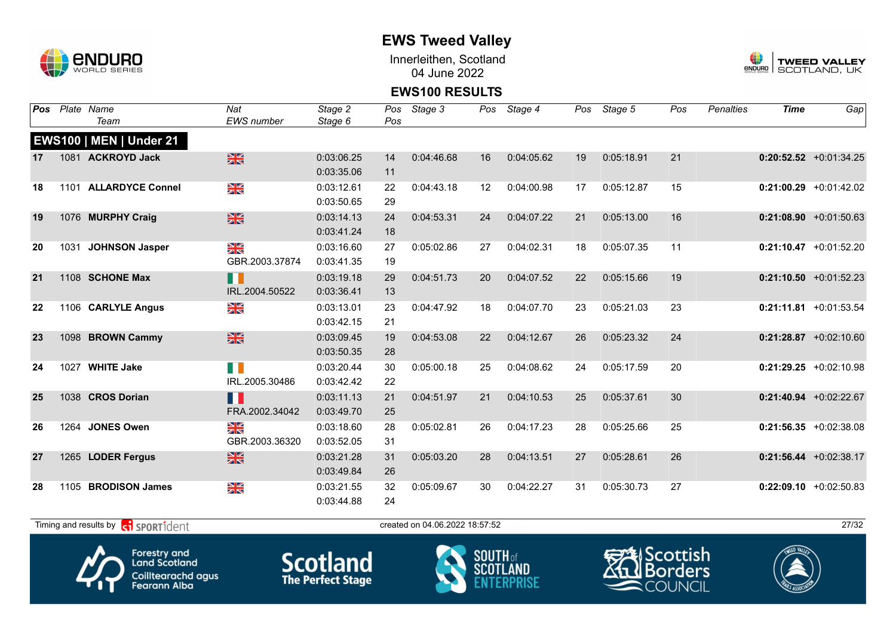

Innerleithen, Scotland 04 June 2022



#### **EWS100 RESULTS**

| Pos |      | Plate Name                     | Nat               | Stage 2    | Pos | Stage 3    |    | Pos Stage 4 | Pos | Stage 5    | Pos | <b>Penalties</b> | <b>Time</b> | Gap                       |
|-----|------|--------------------------------|-------------------|------------|-----|------------|----|-------------|-----|------------|-----|------------------|-------------|---------------------------|
|     |      | Team                           | <b>EWS</b> number | Stage 6    | Pos |            |    |             |     |            |     |                  |             |                           |
|     |      | <b>EWS100   MEN   Under 21</b> |                   |            |     |            |    |             |     |            |     |                  |             |                           |
| 17  |      | 1081 ACKROYD Jack              | $\frac{N}{N}$     | 0:03:06.25 | 14  | 0:04:46.68 | 16 | 0:04:05.62  | 19  | 0:05:18.91 | 21  |                  |             | $0:20:52.52$ +0:01:34.25  |
|     |      |                                |                   | 0:03:35.06 | 11  |            |    |             |     |            |     |                  |             |                           |
| 18  |      | 1101 ALLARDYCE Connel          | N<br>X            | 0:03:12.61 | 22  | 0:04:43.18 | 12 | 0:04:00.98  | 17  | 0:05:12.87 | 15  |                  |             | $0:21:00.29$ +0:01:42.02  |
|     |      |                                |                   | 0:03:50.65 | 29  |            |    |             |     |            |     |                  |             |                           |
| 19  |      | 1076 MURPHY Craig              | $\frac{N}{N}$     | 0:03:14.13 | 24  | 0:04:53.31 | 24 | 0:04:07.22  | 21  | 0:05:13.00 | 16  |                  |             | $0:21:08.90 +0:01:50.63$  |
|     |      |                                |                   | 0:03:41.24 | 18  |            |    |             |     |            |     |                  |             |                           |
| 20  | 1031 | <b>JOHNSON Jasper</b>          | ≫≪                | 0:03:16.60 | 27  | 0:05:02.86 | 27 | 0:04:02.31  | 18  | 0:05:07.35 | 11  |                  |             | $0:21:10.47$ +0:01:52.20  |
|     |      |                                | GBR.2003.37874    | 0:03:41.35 | 19  |            |    |             |     |            |     |                  |             |                           |
| 21  |      | 1108 SCHONE Max                | N N               | 0:03:19.18 | 29  | 0:04:51.73 | 20 | 0:04:07.52  | 22  | 0:05:15.66 | 19  |                  |             | $0:21:10.50 + 0:01:52.23$ |
|     |      |                                | IRL.2004.50522    | 0:03:36.41 | 13  |            |    |             |     |            |     |                  |             |                           |
| 22  |      | 1106 CARLYLE Angus             | ≫<br>X            | 0:03:13.01 | 23  | 0:04:47.92 | 18 | 0:04:07.70  | 23  | 0:05:21.03 | 23  |                  |             | $0:21:11.81$ +0:01:53.54  |
|     |      |                                |                   | 0:03:42.15 | 21  |            |    |             |     |            |     |                  |             |                           |
| 23  |      | 1098 BROWN Cammy               | $\frac{N}{N}$     | 0:03:09.45 | 19  | 0:04:53.08 | 22 | 0:04:12.67  | 26  | 0:05:23.32 | 24  |                  |             | $0:21:28.87$ +0:02:10.60  |
|     |      |                                |                   | 0:03:50.35 | 28  |            |    |             |     |            |     |                  |             |                           |
| 24  | 1027 | <b>WHITE Jake</b>              | $\blacksquare$    | 0:03:20.44 | 30  | 0:05:00.18 | 25 | 0:04:08.62  | 24  | 0:05:17.59 | 20  |                  |             | $0:21:29.25$ +0:02:10.98  |
|     |      |                                | IRL.2005.30486    | 0:03:42.42 | 22  |            |    |             |     |            |     |                  |             |                           |
| 25  |      | 1038 CROS Dorian               | n i               | 0:03:11.13 | 21  | 0:04:51.97 | 21 | 0:04:10.53  | 25  | 0:05:37.61 | 30  |                  |             | $0:21:40.94$ +0:02:22.67  |
|     |      |                                | FRA.2002.34042    | 0:03:49.70 | 25  |            |    |             |     |            |     |                  |             |                           |
| 26  |      | 1264 JONES Owen                | N<br>X            | 0:03:18.60 | 28  | 0:05:02.81 | 26 | 0:04:17.23  | 28  | 0:05:25.66 | 25  |                  |             | $0:21:56.35 +0:02:38.08$  |
|     |      |                                | GBR.2003.36320    | 0:03:52.05 | 31  |            |    |             |     |            |     |                  |             |                           |
| 27  |      | 1265 LODER Fergus              | $\frac{N}{N}$     | 0:03:21.28 | 31  | 0:05:03.20 | 28 | 0:04:13.51  | 27  | 0:05:28.61 | 26  |                  |             | $0:21:56.44 + 0:02:38.17$ |
|     |      |                                |                   | 0:03:49.84 | 26  |            |    |             |     |            |     |                  |             |                           |
| 28  |      | 1105 BRODISON James            | $\frac{N}{N}$     | 0:03:21.55 | 32  | 0:05:09.67 | 30 | 0:04:22.27  | 31  | 0:05:30.73 | 27  |                  |             | $0:22:09.10$ +0:02:50.83  |
|     |      |                                |                   | 0:03:44.88 | 24  |            |    |             |     |            |     |                  |             |                           |

 $T$ iming and results by  $\overline{c_1}$  SPORT1 $\overline{1}$  dent to created on 04.06.2022 18:57:52 27/32







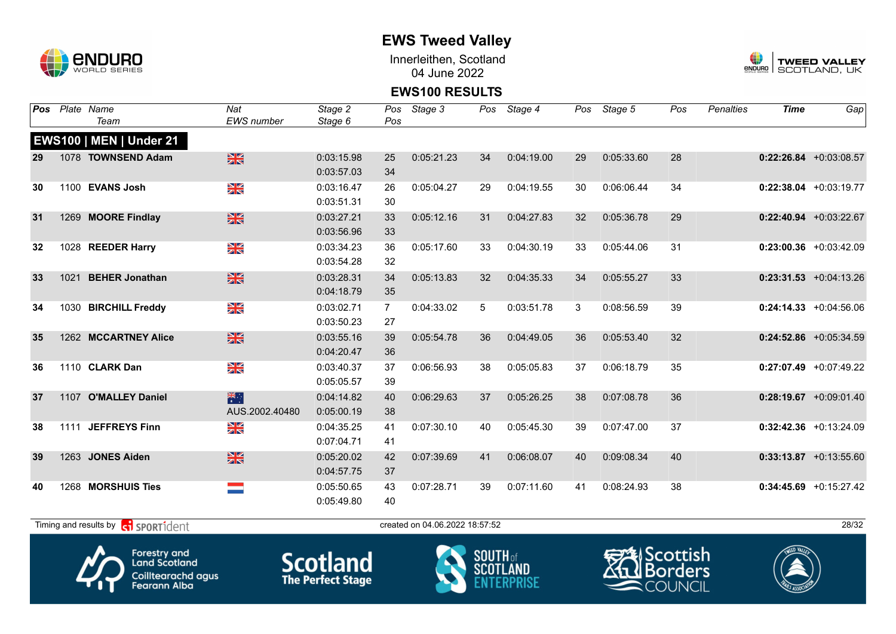

Innerleithen, Scotland 04 June 2022



#### **EWS100 RESULTS**

| Pos |      | Plate Name                                                  | Nat               | Stage 2    | Pos            | Stage 3                        |    | Pos Stage 4 |    | Pos Stage 5 | Pos | <b>Penalties</b> | <b>Time</b> | Gap                       |
|-----|------|-------------------------------------------------------------|-------------------|------------|----------------|--------------------------------|----|-------------|----|-------------|-----|------------------|-------------|---------------------------|
|     |      | Team                                                        | <b>EWS</b> number | Stage 6    | Pos            |                                |    |             |    |             |     |                  |             |                           |
|     |      | <b>EWS100   MEN   Under 21</b>                              |                   |            |                |                                |    |             |    |             |     |                  |             |                           |
| 29  |      | 1078 TOWNSEND Adam                                          | $\frac{N}{N}$     | 0:03:15.98 | 25             | 0:05:21.23                     | 34 | 0:04:19.00  | 29 | 0:05:33.60  | 28  |                  |             | $0:22:26.84$ +0:03:08.57  |
|     |      |                                                             |                   | 0:03:57.03 | 34             |                                |    |             |    |             |     |                  |             |                           |
| 30  |      | 1100 EVANS Josh                                             | XK<br>X           | 0:03:16.47 | 26             | 0:05:04.27                     | 29 | 0:04:19.55  | 30 | 0:06:06.44  | 34  |                  |             | $0:22:38.04$ +0:03:19.77  |
|     |      |                                                             |                   | 0:03:51.31 | 30             |                                |    |             |    |             |     |                  |             |                           |
| 31  |      | 1269 MOORE Findlay                                          | $\frac{N}{N}$     | 0:03:27.21 | 33             | 0:05:12.16                     | 31 | 0:04:27.83  | 32 | 0:05:36.78  | 29  |                  |             | $0:22:40.94$ +0:03:22.67  |
|     |      |                                                             |                   | 0:03:56.96 | 33             |                                |    |             |    |             |     |                  |             |                           |
| 32  |      | 1028 REEDER Harry                                           | $\frac{N}{N}$     | 0:03:34.23 | 36             | 0:05:17.60                     | 33 | 0:04:30.19  | 33 | 0:05:44.06  | 31  |                  |             | $0:23:00.36$ +0:03:42.09  |
|     |      |                                                             |                   | 0:03:54.28 | 32             |                                |    |             |    |             |     |                  |             |                           |
| 33  | 1021 | <b>BEHER Jonathan</b>                                       | $\frac{N}{N}$     | 0:03:28.31 | 34             | 0:05:13.83                     | 32 | 0:04:35.33  | 34 | 0:05:55.27  | 33  |                  |             | $0:23:31.53$ +0:04:13.26  |
|     |      |                                                             |                   | 0:04:18.79 | 35             |                                |    |             |    |             |     |                  |             |                           |
| 34  |      | 1030 BIRCHILL Freddy                                        | NK<br>ZK          | 0:03:02.71 | $\overline{7}$ | 0:04:33.02                     | 5  | 0:03:51.78  | 3  | 0:08:56.59  | 39  |                  |             | $0:24:14.33 + 0:04:56.06$ |
|     |      |                                                             |                   | 0:03:50.23 | 27             |                                |    |             |    |             |     |                  |             |                           |
| 35  |      | 1262 MCCARTNEY Alice                                        | $\frac{N}{N}$     | 0:03:55.16 | 39             | 0:05:54.78                     | 36 | 0:04:49.05  | 36 | 0:05:53.40  | 32  |                  |             | $0:24:52.86$ +0:05:34.59  |
|     |      |                                                             |                   | 0:04:20.47 | 36             |                                |    |             |    |             |     |                  |             |                           |
| 36  |      | 1110 CLARK Dan                                              | NK<br>ZK          | 0:03:40.37 | 37             | 0:06:56.93                     | 38 | 0:05:05.83  | 37 | 0:06:18.79  | 35  |                  |             | $0:27:07.49$ +0:07:49.22  |
|     |      |                                                             |                   | 0:05:05.57 | 39             |                                |    |             |    |             |     |                  |             |                           |
| 37  |      | 1107 O'MALLEY Daniel                                        | 米门                | 0:04:14.82 | 40             | 0:06:29.63                     | 37 | 0:05:26.25  | 38 | 0:07:08.78  | 36  |                  |             | $0:28:19.67$ +0:09:01.40  |
|     |      |                                                             | AUS.2002.40480    | 0:05:00.19 | 38             |                                |    |             |    |             |     |                  |             |                           |
| 38  |      | 1111 JEFFREYS Finn                                          | NK<br>AR          | 0:04:35.25 | 41             | 0:07:30.10                     | 40 | 0:05:45.30  | 39 | 0:07:47.00  | 37  |                  |             | $0:32:42.36$ +0:13:24.09  |
|     |      |                                                             |                   | 0:07:04.71 | 41             |                                |    |             |    |             |     |                  |             |                           |
| 39  |      | 1263 JONES Aiden                                            | $\frac{N}{N}$     | 0:05:20.02 | 42             | 0:07:39.69                     | 41 | 0:06:08.07  | 40 | 0:09:08.34  | 40  |                  |             | $0:33:13.87$ +0:13:55.60  |
|     |      |                                                             |                   | 0:04:57.75 | 37             |                                |    |             |    |             |     |                  |             |                           |
| 40  |      | 1268 MORSHUIS Ties                                          |                   | 0:05:50.65 | 43             | 0:07:28.71                     | 39 | 0:07:11.60  | 41 | 0:08:24.93  | 38  |                  |             | $0:34:45.69$ +0:15:27.42  |
|     |      |                                                             |                   | 0:05:49.80 | 40             |                                |    |             |    |             |     |                  |             |                           |
|     |      | Timing and results by <b>container that the SPORT1</b> dent |                   |            |                | created on 04.06.2022 18:57:52 |    |             |    |             |     |                  |             | 28/32                     |
|     |      |                                                             |                   |            |                |                                |    |             |    |             |     |                  |             |                           |







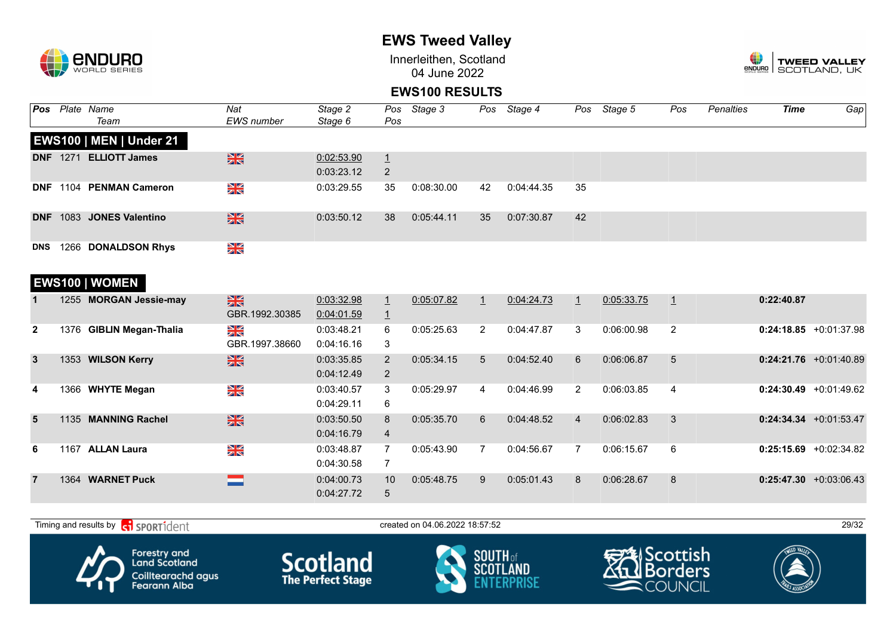

Innerleithen, Scotland 04 June 2022



#### **EWS100 RESULTS**

| Pos            |      | Plate Name<br>Team             | Nat<br><b>EWS</b> number        | Stage 2<br>Stage 6       | Pos<br>Pos                       | Stage 3    | Pos            | Stage 4    | Pos            | Stage 5    | Pos            | Penalties | Time       | Gap                       |
|----------------|------|--------------------------------|---------------------------------|--------------------------|----------------------------------|------------|----------------|------------|----------------|------------|----------------|-----------|------------|---------------------------|
|                |      | <b>EWS100   MEN   Under 21</b> |                                 |                          |                                  |            |                |            |                |            |                |           |            |                           |
|                |      | DNF 1271 ELLIOTT James         | $\frac{N}{N}$                   | 0:02:53.90<br>0:03:23.12 | $\overline{1}$<br>2              |            |                |            |                |            |                |           |            |                           |
|                |      | DNF 1104 PENMAN Cameron        | NK<br>ZK                        | 0:03:29.55               | 35                               | 0:08:30.00 | 42             | 0:04:44.35 | 35             |            |                |           |            |                           |
| <b>DNF</b>     |      | 1083 JONES Valentino           | $\frac{N}{N}$                   | 0:03:50.12               | 38                               | 0:05:44.11 | 35             | 0:07:30.87 | 42             |            |                |           |            |                           |
| <b>DNS</b>     |      | 1266 DONALDSON Rhys            | NK<br>ZK                        |                          |                                  |            |                |            |                |            |                |           |            |                           |
|                |      | EWS100   WOMEN                 |                                 |                          |                                  |            |                |            |                |            |                |           |            |                           |
|                |      | 1255 MORGAN Jessie-may         | $\frac{N}{N}$<br>GBR.1992.30385 | 0:03:32.98<br>0:04:01.59 | $\overline{1}$<br>$\overline{1}$ | 0:05:07.82 | $\mathbf{1}$   | 0:04:24.73 | $\mathbf{1}$   | 0:05:33.75 | $\mathbf{1}$   |           | 0:22:40.87 |                           |
| $\overline{2}$ |      | 1376 GIBLIN Megan-Thalia       | $\frac{N}{N}$<br>GBR.1997.38660 | 0:03:48.21<br>0:04:16.16 | 6<br>3                           | 0:05:25.63 | $\overline{2}$ | 0:04:47.87 | 3              | 0:06:00.98 | 2              |           |            | $0:24:18.85 +0:01:37.98$  |
| $\mathbf{3}$   |      | 1353 WILSON Kerry              | $\frac{N}{N}$                   | 0:03:35.85<br>0:04:12.49 | 2<br>2                           | 0:05:34.15 | 5              | 0:04:52.40 | 6              | 0:06:06.87 | 5              |           |            | $0:24:21.76$ +0:01:40.89  |
| 4              |      | 1366 WHYTE Megan               | NK<br>ZK                        | 0:03:40.57<br>0:04:29.11 | 3<br>6                           | 0:05:29.97 | 4              | 0:04:46.99 | $\overline{2}$ | 0:06:03.85 | $\overline{4}$ |           |            | $0:24:30.49$ +0:01:49.62  |
| 5              |      | 1135 MANNING Rachel            | $\frac{N}{N}$                   | 0:03:50.50<br>0:04:16.79 | 8<br>$\overline{4}$              | 0:05:35.70 | 6              | 0:04:48.52 | $\overline{4}$ | 0:06:02.83 | 3              |           |            | $0:24:34.34 + 0:01:53.47$ |
| 6              | 1167 | <b>ALLAN Laura</b>             | NK<br>ZK                        | 0:03:48.87<br>0:04:30.58 | $\overline{7}$<br>7              | 0:05:43.90 | $\overline{7}$ | 0:04:56.67 | $\overline{7}$ | 0:06:15.67 | 6              |           |            | $0:25:15.69$ +0:02:34.82  |
| $\overline{7}$ |      | 1364 WARNET Puck               | <b>STATISTICS</b>               | 0:04:00.73<br>0:04:27.72 | 10<br>$\sqrt{5}$                 | 0:05:48.75 | 9              | 0:05:01.43 | 8              | 0:06:28.67 | 8              |           |            | $0:25:47.30 + 0:03:06.43$ |

 $T$ iming and results by  $\overline{c_1}$  SPORT1 $\overline{d}$  enter the created on 04.06.2022 18:57:52 29/32









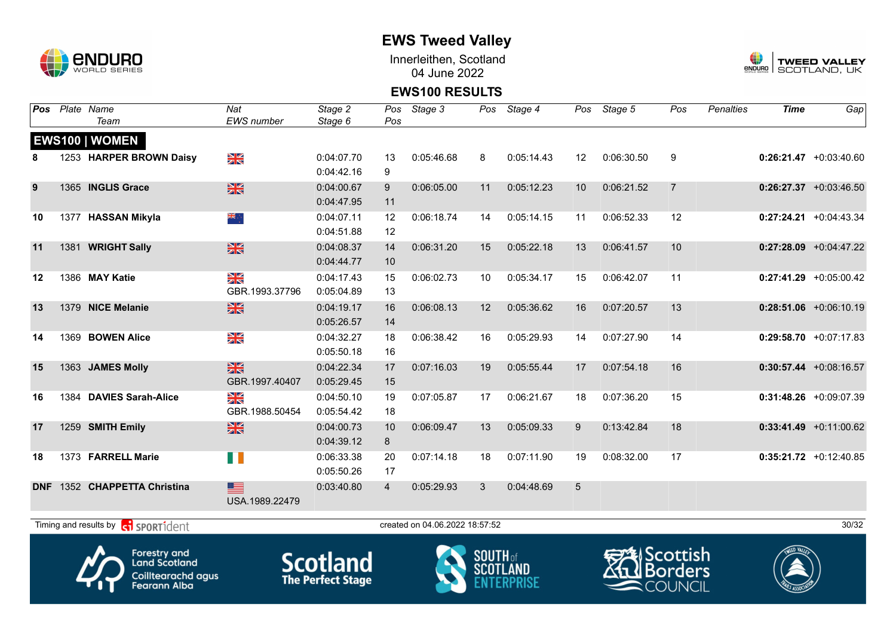

Innerleithen, Scotland 04 June 2022



### **EWS100 RESULTS**

| Pos        |      | Plate Name<br>Team                                | Nat<br><b>EWS</b> number    | Stage 2<br>Stage 6       | Pos<br>Pos     | Stage 3                        | Pos                                | Stage 4    | Pos | Stage 5    | Pos            | <b>Penalties</b> | <b>Time</b> | Gap                       |
|------------|------|---------------------------------------------------|-----------------------------|--------------------------|----------------|--------------------------------|------------------------------------|------------|-----|------------|----------------|------------------|-------------|---------------------------|
|            |      | EWS100   WOMEN                                    |                             |                          |                |                                |                                    |            |     |            |                |                  |             |                           |
| 8          |      | 1253 HARPER BROWN Daisy                           | N<br>X                      | 0:04:07.70               | 13             | 0:05:46.68                     | 8                                  | 0:05:14.43 | 12  | 0:06:30.50 | 9              |                  |             | $0:26:21.47 + 0:03:40.60$ |
|            |      |                                                   |                             | 0:04:42.16               | 9              |                                |                                    |            |     |            |                |                  |             |                           |
| 9          |      | 1365 INGLIS Grace                                 | 米                           | 0:04:00.67               | 9              | 0:06:05.00                     | 11                                 | 0:05:12.23 | 10  | 0:06:21.52 | $\overline{7}$ |                  |             | $0:26:27.37 + 0:03:46.50$ |
|            |      |                                                   |                             | 0:04:47.95               | 11             |                                |                                    |            |     |            |                |                  |             |                           |
| 10         |      | 1377 HASSAN Mikyla                                | ÷, <u>sik</u>               | 0:04:07.11               | 12             | 0:06:18.74                     | 14                                 | 0:05:14.15 | 11  | 0:06:52.33 | 12             |                  |             | $0:27:24.21$ +0:04:43.34  |
|            |      |                                                   |                             | 0:04:51.88               | 12             |                                |                                    |            |     |            |                |                  |             |                           |
| 11         | 1381 | <b>WRIGHT Sally</b>                               | 米                           | 0:04:08.37               | 14             | 0:06:31.20                     | 15                                 | 0:05:22.18 | 13  | 0:06:41.57 | 10             |                  |             | $0:27:28.09$ +0:04:47.22  |
|            |      |                                                   |                             | 0:04:44.77               | 10             |                                |                                    |            |     |            |                |                  |             |                           |
| 12         |      | 1386 MAY Katie                                    | X                           | 0:04:17.43               | 15             | 0:06:02.73                     | 10                                 | 0:05:34.17 | 15  | 0:06:42.07 | 11             |                  |             | $0:27:41.29$ +0:05:00.42  |
|            |      |                                                   | GBR.1993.37796              | 0:05:04.89               | 13             |                                |                                    |            |     |            |                |                  |             |                           |
| 13         |      | 1379 NICE Melanie                                 | 米                           | 0:04:19.17               | 16             | 0:06:08.13                     | 12                                 | 0:05:36.62 | 16  | 0:07:20.57 | 13             |                  |             | $0:28:51.06$ +0:06:10.19  |
|            |      |                                                   |                             | 0:05:26.57               | 14             |                                |                                    |            |     |            |                |                  |             |                           |
| 14         |      | 1369 BOWEN Alice                                  | NK<br>Ak                    | 0:04:32.27               | 18             | 0:06:38.42                     | 16                                 | 0:05:29.93 | 14  | 0:07:27.90 | 14             |                  |             | $0:29:58.70 +0:07:17.83$  |
|            |      |                                                   |                             | 0:05:50.18               | 16             |                                |                                    |            |     |            |                |                  |             |                           |
| 15         |      | 1363 JAMES Molly                                  | $\frac{N}{N}$               | 0:04:22.34               | 17             | 0:07:16.03                     | 19                                 | 0:05:55.44 | 17  | 0:07:54.18 | 16             |                  |             | $0:30:57.44$ +0:08:16.57  |
|            |      |                                                   | GBR.1997.40407              | 0:05:29.45               | 15             |                                |                                    |            |     |            |                |                  |             |                           |
| 16         | 1384 | <b>DAVIES Sarah-Alice</b>                         | XX                          | 0:04:50.10               | 19             | 0:07:05.87                     | 17                                 | 0:06:21.67 | 18  | 0:07:36.20 | 15             |                  |             | $0:31:48.26 + 0:09:07.39$ |
|            |      |                                                   | GBR.1988.50454              | 0:05:54.42               | 18             |                                |                                    |            |     |            |                |                  |             |                           |
| 17         |      | 1259 SMITH Emily                                  | $\frac{\text{N}}{\text{N}}$ | 0:04:00.73               | 10             | 0:06:09.47                     | 13                                 | 0:05:09.33 | 9   | 0:13:42.84 | 18             |                  |             | $0:33:41.49 +0:11:00.62$  |
|            |      |                                                   |                             | 0:04:39.12               | 8              |                                |                                    |            |     |            |                |                  |             |                           |
| 18         |      | 1373 FARRELL Marie                                | n a                         | 0:06:33.38               | 20             | 0:07:14.18                     | 18                                 | 0:07:11.90 | 19  | 0:08:32.00 | 17             |                  |             | $0:35:21.72$ +0:12:40.85  |
|            |      |                                                   |                             | 0:05:50.26               | 17             |                                |                                    |            |     |            |                |                  |             |                           |
| <b>DNF</b> |      | 1352 CHAPPETTA Christina                          | $\equiv$                    | 0:03:40.80               | $\overline{4}$ | 0:05:29.93                     | 3                                  | 0:04:48.69 | 5   |            |                |                  |             |                           |
|            |      |                                                   | USA.1989.22479              |                          |                |                                |                                    |            |     |            |                |                  |             |                           |
|            |      |                                                   |                             |                          |                |                                |                                    |            |     |            |                |                  |             | 30/32                     |
|            |      | Timing and results by contract of the SPORT1 dent |                             |                          |                | created on 04.06.2022 18:57:52 |                                    |            |     |            |                |                  |             |                           |
|            |      | <b>Forestry and</b>                               |                             |                          |                |                                |                                    |            |     | ヂしScottish |                |                  |             |                           |
|            |      | <b>Land Scotland</b>                              |                             | <b>Scotland</b>          |                |                                | <b>SOUTH of</b><br><b>SCOTLAND</b> |            |     |            |                |                  |             |                           |
|            |      | <b>Coilltearachd agus</b>                         |                             | <b>The Perfect Stage</b> |                |                                |                                    |            |     |            | <b>Borders</b> |                  |             |                           |
|            |      | <b>Fearann Alba</b>                               |                             |                          |                |                                |                                    |            |     |            | <b>COUNCIL</b> |                  |             |                           |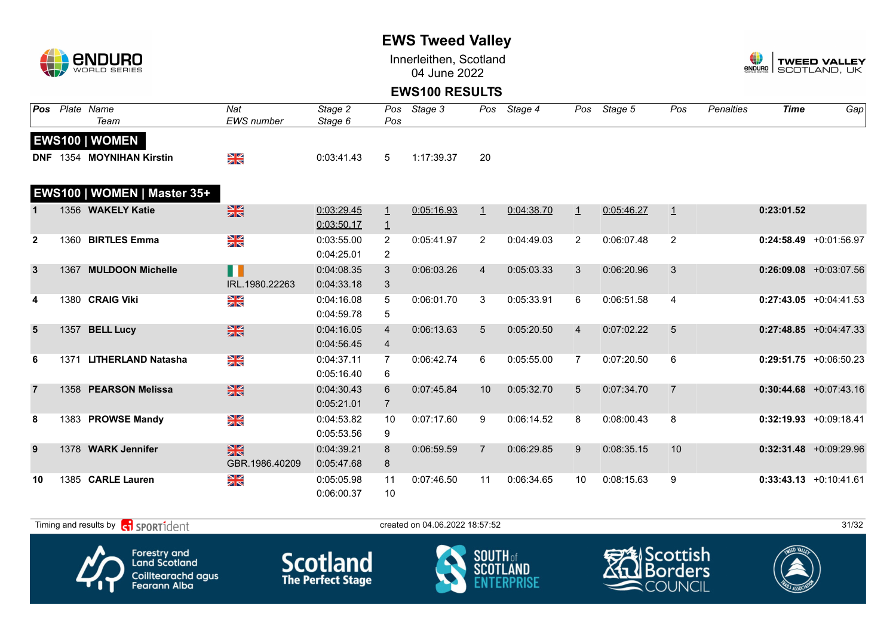

Innerleithen, Scotland 04 June 2022



#### **EWS100 RESULTS**

| <b>Pos</b>     |      | Plate Name                  | Nat                             | Stage 2    | Pos            | Stage 3    |                | Pos Stage 4 | Pos            | Stage 5    | Pos            | <b>Penalties</b> | <b>Time</b> | Gap                       |
|----------------|------|-----------------------------|---------------------------------|------------|----------------|------------|----------------|-------------|----------------|------------|----------------|------------------|-------------|---------------------------|
|                |      | Team                        | <b>EWS</b> number               | Stage 6    | Pos            |            |                |             |                |            |                |                  |             |                           |
|                |      | <b>EWS100   WOMEN</b>       |                                 |            |                |            |                |             |                |            |                |                  |             |                           |
|                |      | DNF 1354 MOYNIHAN Kirstin   | ¥≼                              | 0:03:41.43 | 5              | 1:17:39.37 | 20             |             |                |            |                |                  |             |                           |
|                |      |                             |                                 |            |                |            |                |             |                |            |                |                  |             |                           |
|                |      | EWS100   WOMEN   Master 35+ |                                 |            |                |            |                |             |                |            |                |                  |             |                           |
|                |      | 1356 WAKELY Katie           | $\frac{N}{N}$                   | 0:03:29.45 | $\perp$        | 0:05:16.93 | $\perp$        | 0:04:38.70  | $\perp$        | 0:05:46.27 | $\perp$        |                  | 0:23:01.52  |                           |
|                |      |                             |                                 | 0:03:50.17 | $\overline{1}$ |            |                |             |                |            |                |                  |             |                           |
| $\overline{2}$ | 1360 | <b>BIRTLES Emma</b>         | X                               | 0:03:55.00 | $\overline{2}$ | 0:05:41.97 | 2              | 0:04:49.03  | $\overline{2}$ | 0:06:07.48 | 2              |                  |             | $0:24:58.49$ +0:01:56.97  |
|                |      |                             |                                 | 0:04:25.01 | $\overline{2}$ |            |                |             |                |            |                |                  |             |                           |
| 3              |      | 1367 MULDOON Michelle       | H                               | 0:04:08.35 | 3              | 0:06:03.26 | $\overline{4}$ | 0:05:03.33  | 3              | 0:06:20.96 | 3              |                  |             | $0:26:09.08$ +0:03:07.56  |
|                |      |                             | IRL.1980.22263                  | 0:04:33.18 | 3              |            |                |             |                |            |                |                  |             |                           |
| 4              |      | 1380 CRAIG Viki             | ≫<br>X                          | 0:04:16.08 | 5              | 0:06:01.70 | 3              | 0:05:33.91  | 6              | 0:06:51.58 | 4              |                  |             | $0:27:43.05$ +0:04:41.53  |
|                |      |                             |                                 | 0:04:59.78 | 5              |            |                |             |                |            |                |                  |             |                           |
| 5              | 1357 | <b>BELL Lucy</b>            | $\frac{N}{N}$                   | 0:04:16.05 | $\overline{4}$ | 0:06:13.63 | 5              | 0:05:20.50  | $\overline{4}$ | 0:07:02.22 | 5              |                  |             | $0:27:48.85 + 0:04:47.33$ |
|                |      |                             |                                 | 0:04:56.45 | 4              |            |                |             |                |            |                |                  |             |                           |
| 6              | 1371 | <b>LITHERLAND Natasha</b>   | N<br>X                          | 0:04:37.11 | $\mathbf{7}$   | 0:06:42.74 | 6              | 0:05:55.00  | $\overline{7}$ | 0:07:20.50 | 6              |                  |             | $0:29:51.75$ +0:06:50.23  |
|                |      |                             |                                 | 0:05:16.40 | 6              |            |                |             |                |            |                |                  |             |                           |
| $\overline{7}$ |      | 1358 PEARSON Melissa        | $\frac{N}{N}$                   | 0:04:30.43 | 6              | 0:07:45.84 | 10             | 0:05:32.70  | 5              | 0:07:34.70 | $\overline{7}$ |                  |             | $0:30:44.68$ +0:07:43.16  |
|                |      |                             |                                 | 0:05:21.01 | $\overline{7}$ |            |                |             |                |            |                |                  |             |                           |
| 8              |      | 1383 PROWSE Mandy           | NK<br>ZK                        | 0:04:53.82 | 10             | 0:07:17.60 | 9              | 0:06:14.52  | 8              | 0:08:00.43 | 8              |                  |             | $0:32:19.93 + 0:09:18.41$ |
|                |      |                             |                                 | 0:05:53.56 | 9              |            |                |             |                |            |                |                  |             |                           |
| 9              |      | 1378 WARK Jennifer          | $\frac{N}{N}$                   | 0:04:39.21 | 8              | 0:06:59.59 | $\overline{7}$ | 0:06:29.85  | 9              | 0:08:35.15 | 10             |                  |             | $0:32:31.48$ +0:09:29.96  |
|                |      |                             | GBR.1986.40209                  | 0:05:47.68 | 8              |            |                |             |                |            |                |                  |             |                           |
|                |      |                             |                                 |            |                |            |                |             |                |            |                |                  |             |                           |
| 10             |      | 1385 CARLE Lauren           | $\frac{\mathbf{N}}{\mathbf{N}}$ | 0:05:05.98 | 11             | 0:07:46.50 | 11             | 0:06:34.65  | 10             | 0:08:15.63 | 9              |                  |             | $0:33:43.13 + 0:10:41.61$ |
|                |      |                             |                                 | 0:06:00.37 | 10             |            |                |             |                |            |                |                  |             |                           |